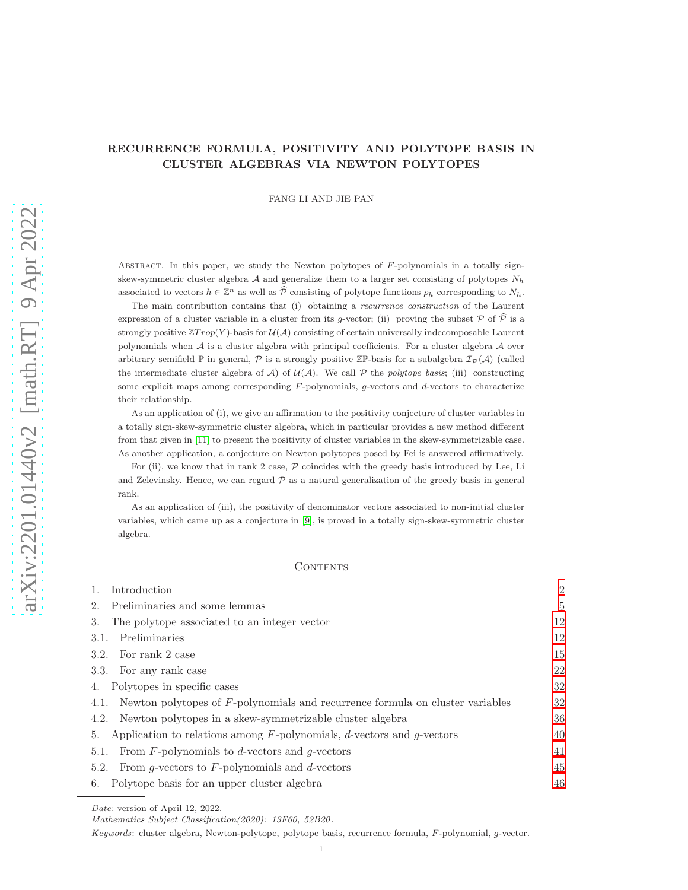# RECURRENCE FORMULA, POSITIVITY AND POLYTOPE BASIS IN CLUSTER ALGEBRAS VIA NEWTON POLYTOPES

FANG LI AND JIE PAN

Abstract. In this paper, we study the Newton polytopes of F-polynomials in a totally signskew-symmetric cluster algebra A and generalize them to a larger set consisting of polytopes  $N_h$ associated to vectors  $h \in \mathbb{Z}^n$  as well as  $\widehat{\mathcal{P}}$  consisting of polytope functions  $\rho_h$  corresponding to  $N_h$ .

The main contribution contains that (i) obtaining a recurrence construction of the Laurent expression of a cluster variable in a cluster from its g-vector; (ii) proving the subset  $\mathcal P$  of  $\widehat{\mathcal P}$  is a strongly positive  $\mathbb{Z}Trop(Y)$ -basis for  $\mathcal{U}(\mathcal{A})$  consisting of certain universally indecomposable Laurent polynomials when  $A$  is a cluster algebra with principal coefficients. For a cluster algebra  $A$  over arbitrary semifield  $\mathbb P$  in general,  $\mathcal P$  is a strongly positive  $\mathbb Z\mathbb P$ -basis for a subalgebra  $\mathcal I_{\mathcal P}(\mathcal A)$  (called the intermediate cluster algebra of  $A$ ) of  $U(A)$ . We call  $P$  the polytope basis; (iii) constructing some explicit maps among corresponding  $F$ -polynomials,  $g$ -vectors and  $d$ -vectors to characterize their relationship.

As an application of (i), we give an affirmation to the positivity conjecture of cluster variables in a totally sign-skew-symmetric cluster algebra, which in particular provides a new method different from that given in [\[11\]](#page-52-0) to present the positivity of cluster variables in the skew-symmetrizable case. As another application, a conjecture on Newton polytopes posed by Fei is answered affirmatively.

For (ii), we know that in rank 2 case,  $P$  coincides with the greedy basis introduced by Lee, Li and Zelevinsky. Hence, we can regard  $P$  as a natural generalization of the greedy basis in general rank.

As an application of (iii), the positivity of denominator vectors associated to non-initial cluster variables, which came up as a conjecture in [\[9\]](#page-52-1), is proved in a totally sign-skew-symmetric cluster algebra.

#### **CONTENTS**

| Introduction                                                                       | $\overline{2}$ |
|------------------------------------------------------------------------------------|----------------|
| Preliminaries and some lemmas<br>2.                                                | 5              |
| The polytope associated to an integer vector<br>3.                                 | 12             |
| Preliminaries<br>3.1.                                                              | 12             |
| 3.2. For rank 2 case                                                               | 15             |
| 3.3. For any rank case                                                             | 22             |
| Polytopes in specific cases<br>4.                                                  | 32             |
| 4.1. Newton polytopes of F-polynomials and recurrence formula on cluster variables | 32             |
| 4.2. Newton polytopes in a skew-symmetrizable cluster algebra                      | 36             |
| 5. Application to relations among $F$ -polynomials, d-vectors and g-vectors        | 40             |
| 5.1. From F-polynomials to d-vectors and g-vectors                                 | 41             |
| 5.2. From g-vectors to $F$ -polynomials and d-vectors                              | 45             |
| Polytope basis for an upper cluster algebra<br>6.                                  | 46             |

Keywords: cluster algebra, Newton-polytope, polytope basis, recurrence formula, F-polynomial, g-vector.

Date: version of April 12, 2022.

Mathematics Subject Classification(2020): 13F60, 52B20.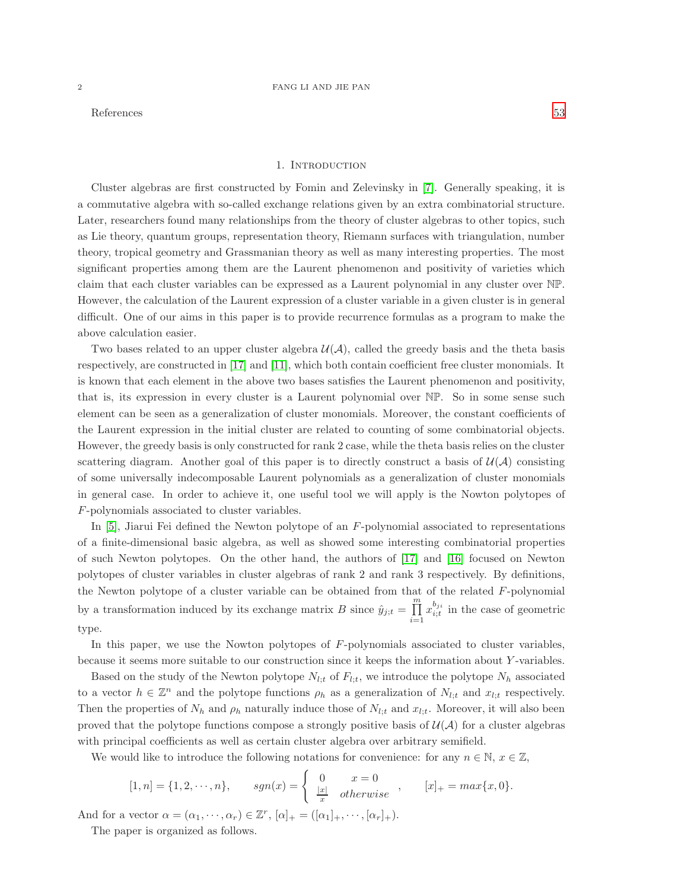<span id="page-1-0"></span>References [53](#page-52-2)

# 1. Introduction

Cluster algebras are first constructed by Fomin and Zelevinsky in [\[7\]](#page-52-3). Generally speaking, it is a commutative algebra with so-called exchange relations given by an extra combinatorial structure. Later, researchers found many relationships from the theory of cluster algebras to other topics, such as Lie theory, quantum groups, representation theory, Riemann surfaces with triangulation, number theory, tropical geometry and Grassmanian theory as well as many interesting properties. The most significant properties among them are the Laurent phenomenon and positivity of varieties which claim that each cluster variables can be expressed as a Laurent polynomial in any cluster over NP. However, the calculation of the Laurent expression of a cluster variable in a given cluster is in general difficult. One of our aims in this paper is to provide recurrence formulas as a program to make the above calculation easier.

Two bases related to an upper cluster algebra  $\mathcal{U}(\mathcal{A})$ , called the greedy basis and the theta basis respectively, are constructed in [\[17\]](#page-52-4) and [\[11\]](#page-52-0), which both contain coefficient free cluster monomials. It is known that each element in the above two bases satisfies the Laurent phenomenon and positivity, that is, its expression in every cluster is a Laurent polynomial over NP. So in some sense such element can be seen as a generalization of cluster monomials. Moreover, the constant coefficients of the Laurent expression in the initial cluster are related to counting of some combinatorial objects. However, the greedy basis is only constructed for rank 2 case, while the theta basis relies on the cluster scattering diagram. Another goal of this paper is to directly construct a basis of  $\mathcal{U}(\mathcal{A})$  consisting of some universally indecomposable Laurent polynomials as a generalization of cluster monomials in general case. In order to achieve it, one useful tool we will apply is the Nowton polytopes of F-polynomials associated to cluster variables.

In  $[5]$ , Jiarui Fei defined the Newton polytope of an F-polynomial associated to representations of a finite-dimensional basic algebra, as well as showed some interesting combinatorial properties of such Newton polytopes. On the other hand, the authors of [\[17\]](#page-52-4) and [\[16\]](#page-52-6) focused on Newton polytopes of cluster variables in cluster algebras of rank 2 and rank 3 respectively. By definitions, the Newton polytope of a cluster variable can be obtained from that of the related  $F$ -polynomial by a transformation induced by its exchange matrix B since  $\hat{y}_{j;t} = \prod_{k=1}^{m}$  $i=1$  $x_{i;t}^{b_{ji}}$  in the case of geometric type.

In this paper, we use the Nowton polytopes of F-polynomials associated to cluster variables, because it seems more suitable to our construction since it keeps the information about Y -variables.

Based on the study of the Newton polytope  $N_{l;t}$  of  $F_{l;t}$ , we introduce the polytope  $N_h$  associated to a vector  $h \in \mathbb{Z}^n$  and the polytope functions  $\rho_h$  as a generalization of  $N_{l;t}$  and  $x_{l;t}$  respectively. Then the properties of  $N_h$  and  $\rho_h$  naturally induce those of  $N_{l:t}$  and  $x_{l:t}$ . Moreover, it will also been proved that the polytope functions compose a strongly positive basis of  $\mathcal{U}(\mathcal{A})$  for a cluster algebras with principal coefficients as well as certain cluster algebra over arbitrary semifield.

We would like to introduce the following notations for convenience: for any  $n \in \mathbb{N}$ ,  $x \in \mathbb{Z}$ ,

$$
[1, n] = \{1, 2, \cdots, n\}, \qquad sgn(x) = \begin{cases} 0 & x = 0 \\ \frac{|x|}{x} & otherwise \end{cases}, \qquad [x]_+ = max\{x, 0\}.
$$

And for a vector  $\alpha = (\alpha_1, \dots, \alpha_r) \in \mathbb{Z}^r$ ,  $[\alpha]_+ = ([\alpha_1]_+, \dots, [\alpha_r]_+).$ 

The paper is organized as follows.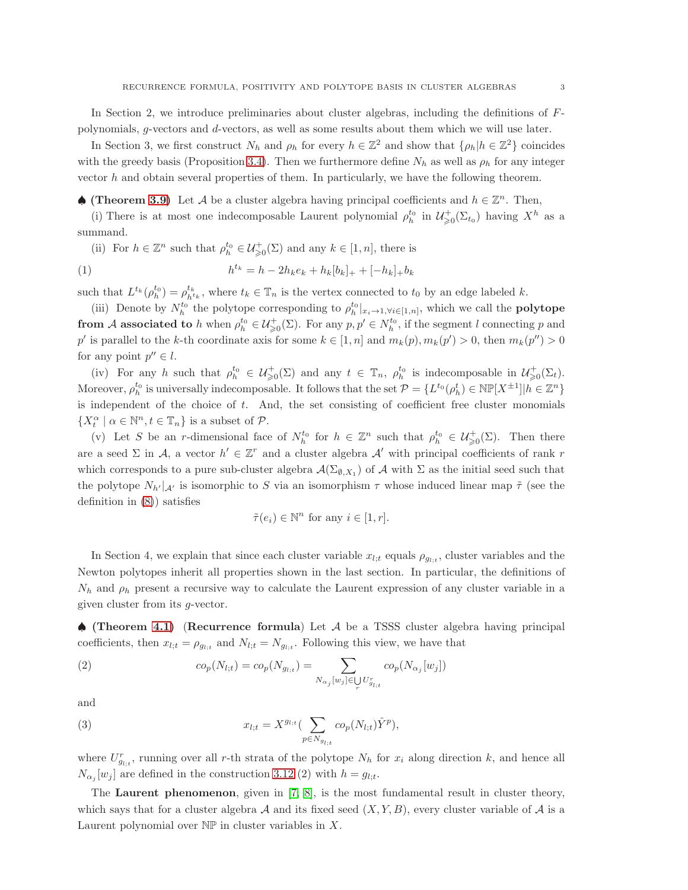In Section 2, we introduce preliminaries about cluster algebras, including the definitions of Fpolynomials, g-vectors and d-vectors, as well as some results about them which we will use later.

In Section 3, we first construct  $N_h$  and  $\rho_h$  for every  $h \in \mathbb{Z}^2$  and show that  $\{\rho_h | h \in \mathbb{Z}^2\}$  coincides with the greedy basis (Proposition [3.4\)](#page-18-0). Then we furthermore define  $N_h$  as well as  $\rho_h$  for any integer vector  $h$  and obtain several properties of them. In particularly, we have the following theorem.

♦ (Theorem [3.9\)](#page-22-0) Let A be a cluster algebra having principal coefficients and  $h \in \mathbb{Z}^n$ . Then,

(i) There is at most one indecomposable Laurent polynomial  $\rho_h^{t_0}$  in  $\mathcal{U}^+_{\geq 0}(\Sigma_{t_0})$  having  $X^h$  as a summand.

(ii) For  $h \in \mathbb{Z}^n$  such that  $\rho_h^{t_0} \in \mathcal{U}^+_{\geq 0}(\Sigma)$  and any  $k \in [1, n]$ , there is

(1) 
$$
h^{t_k} = h - 2h_k e_k + h_k [b_k]_+ + [-h_k]_+ b_k
$$

such that  $L^{t_k}(\rho_h^{t_0}) = \rho_{h^{t_k}}^{t_k}$ , where  $t_k \in \mathbb{T}_n$  is the vertex connected to  $t_0$  by an edge labeled k.

(iii) Denote by  $N_h^{t_0}$  the polytope corresponding to  $\rho_h^{t_0}|_{x_i\to 1,\forall i\in [1,n]}$ , which we call the **polytope** from A associated to h when  $\rho_h^{t_0} \in \mathcal{U}_{\geqslant 0}^{\perp}(\Sigma)$ . For any  $p, p' \in N_h^{t_0}$ , if the segment l connecting p and p' is parallel to the k-th coordinate axis for some  $k \in [1, n]$  and  $m_k(p)$ ,  $m_k(p') > 0$ , then  $m_k(p'') > 0$ for any point  $p'' \in l$ .

(iv) For any h such that  $\rho_h^{t_0} \in \mathcal{U}^+_{\geq 0}(\Sigma)$  and any  $t \in \mathbb{T}_n$ ,  $\rho_h^{t_0}$  is indecomposable in  $\mathcal{U}^+_{\geq 0}(\Sigma_t)$ . Moreover,  $\rho_h^{t_0}$  is universally indecomposable. It follows that the set  $\mathcal{P} = \{L^{t_0}(\rho_h^t) \in \mathbb{NP}[X^{\pm 1}] \mid h \in \mathbb{Z}^n\}$ is independent of the choice of  $t$ . And, the set consisting of coefficient free cluster monomials  $\{X_t^{\alpha} \mid \alpha \in \mathbb{N}^n, t \in \mathbb{T}_n\}$  is a subset of  $\mathcal{P}$ .

(v) Let S be an r-dimensional face of  $N_h^{t_0}$  for  $h \in \mathbb{Z}^n$  such that  $\rho_h^{t_0} \in \mathcal{U}_{\geq 0}^{\perp}(\Sigma)$ . Then there are a seed  $\Sigma$  in A, a vector  $h' \in \mathbb{Z}^r$  and a cluster algebra A' with principal coefficients of rank r which corresponds to a pure sub-cluster algebra  $\mathcal{A}(\Sigma_{\emptyset,X_1})$  of  $\mathcal A$  with  $\Sigma$  as the initial seed such that the polytope  $N_{h'}|_{\mathcal{A}}$  is isomorphic to S via an isomorphism  $\tau$  whose induced linear map  $\tilde{\tau}$  (see the definition in [\(8\)](#page-13-0)) satisfies

$$
\tilde{\tau}(e_i) \in \mathbb{N}^n \text{ for any } i \in [1, r].
$$

In Section 4, we explain that since each cluster variable  $x_{l,t}$  equals  $\rho_{g_l,t}$ , cluster variables and the Newton polytopes inherit all properties shown in the last section. In particular, the definitions of  $N_h$  and  $\rho_h$  present a recursive way to calculate the Laurent expression of any cluster variable in a given cluster from its g-vector.

♠ (Theorem [4.1\)](#page-32-0) (Recurrence formula) Let A be a TSSS cluster algebra having principal coefficients, then  $x_{l,t} = \rho_{g_{l,t}}$  and  $N_{l,t} = N_{g_{l,t}}$ . Following this view, we have that

(2) 
$$
co_p(N_{l;t}) = co_p(N_{g_{l;t}}) = \sum_{N_{\alpha_j}[w_j] \in \bigcup_r U_{g_{l;t}}^r} co_p(N_{\alpha_j}[w_j])
$$

and

(3) 
$$
x_{l;t} = X^{g_{l;t}} \left( \sum_{p \in N_{g_{l;t}}} c o_p(N_{l;t}) \hat{Y}^p \right),
$$

where  $U_{g_{l,t}}^{r}$ , running over all r-th strata of the polytope  $N_h$  for  $x_i$  along direction k, and hence all  $N_{\alpha_j}[w_j]$  are defined in the construction [3.12](#page-29-0) (2) with  $h = g_{l,t}$ .

The Laurent phenomenon, given in [\[7,](#page-52-3) [8\]](#page-52-7), is the most fundamental result in cluster theory, which says that for a cluster algebra A and its fixed seed  $(X, Y, B)$ , every cluster variable of A is a Laurent polynomial over  $\mathbb{NP}$  in cluster variables in X.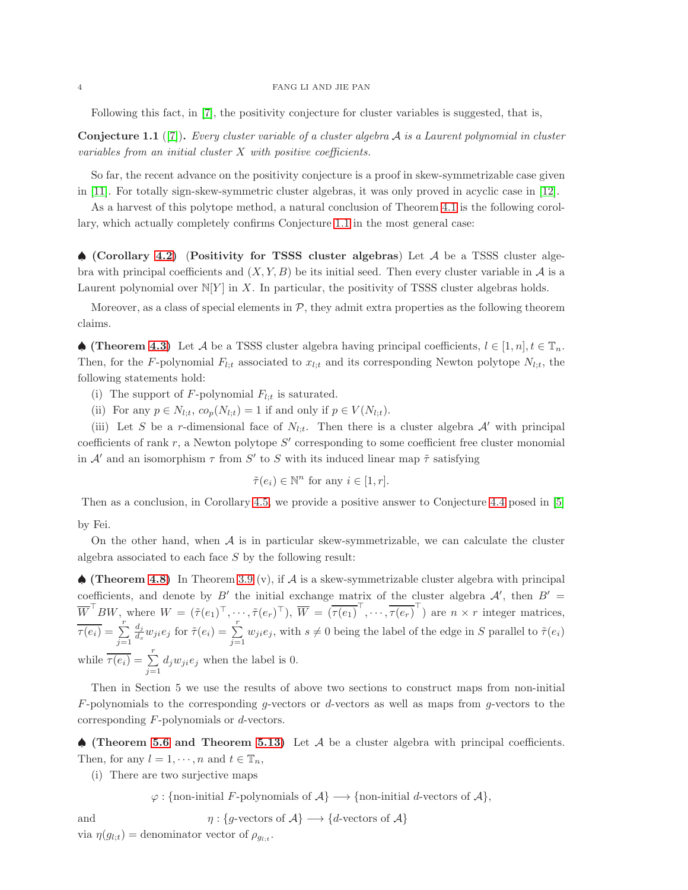Following this fact, in [\[7\]](#page-52-3), the positivity conjecture for cluster variables is suggested, that is,

<span id="page-3-0"></span>**Conjecture 1.1** ([\[7\]](#page-52-3)). Every cluster variable of a cluster algebra  $A$  is a Laurent polynomial in cluster variables from an initial cluster  $X$  with positive coefficients.

So far, the recent advance on the positivity conjecture is a proof in skew-symmetrizable case given in [\[11\]](#page-52-0). For totally sign-skew-symmetric cluster algebras, it was only proved in acyclic case in [\[12\]](#page-52-8).

As a harvest of this polytope method, a natural conclusion of Theorem [4.1](#page-32-0) is the following corollary, which actually completely confirms Conjecture [1.1](#page-3-0) in the most general case:

 $\triangle$  (Corollary [4.2\)](#page-32-1) (Positivity for TSSS cluster algebras) Let A be a TSSS cluster algebra with principal coefficients and  $(X, Y, B)$  be its initial seed. Then every cluster variable in A is a Laurent polynomial over  $N[Y]$  in X. In particular, the positivity of TSSS cluster algebras holds.

Moreover, as a class of special elements in  $P$ , they admit extra properties as the following theorem claims.

♦ (Theorem [4.3\)](#page-32-2) Let A be a TSSS cluster algebra having principal coefficients,  $l \in [1, n], t \in \mathbb{T}_n$ . Then, for the F-polynomial  $F_{l;t}$  associated to  $x_{l;t}$  and its corresponding Newton polytope  $N_{l;t}$ , the following statements hold:

(i) The support of  $F$ -polynomial  $F_{l:t}$  is saturated.

(ii) For any  $p \in N_{l:t}$ ,  $co_p(N_{l:t}) = 1$  if and only if  $p \in V(N_{l:t})$ .

(iii) Let S be a r-dimensional face of  $N_{l,t}$ . Then there is a cluster algebra  $\mathcal{A}'$  with principal coefficients of rank  $r$ , a Newton polytope  $S'$  corresponding to some coefficient free cluster monomial in  $\mathcal{A}'$  and an isomorphism  $\tau$  from  $S'$  to S with its induced linear map  $\tilde{\tau}$  satisfying

$$
\tilde{\tau}(e_i) \in \mathbb{N}^n \text{ for any } i \in [1, r].
$$

Then as a conclusion, in Corollary [4.5,](#page-33-0) we provide a positive answer to Conjecture [4.4](#page-33-1) posed in [\[5\]](#page-52-5) by Fei.

On the other hand, when  $A$  is in particular skew-symmetrizable, we can calculate the cluster algebra associated to each face  $S$  by the following result:

 $\bullet$  (Theorem [4.8\)](#page-36-0) In Theorem [3.9](#page-22-0) (v), if A is a skew-symmetrizable cluster algebra with principal coefficients, and denote by B' the initial exchange matrix of the cluster algebra  $\mathcal{A}'$ , then  $B' =$  $\overline{W}^{\perp}BW$ , where  $W = (\tilde{\tau}(e_1)^{\top}, \cdots, \tilde{\tau}(e_r)^{\top}), \ \overline{W} = (\overline{\tau(e_1)}^{\perp}, \cdots, \overline{\tau(e_r)}^{\perp})$  are  $n \times r$  integer matrices,  $\overline{\tau(e_i)} = \sum_{j=1}^r$  $d_j$  $\frac{d_j}{ds} w_{ji} e_j$  for  $\tilde{\tau}(e_i) = \sum_{j=1}^r w_{ji} e_j$ , with  $s \neq 0$  being the label of the edge in S parallel to  $\tilde{\tau}(e_i)$ while  $\overline{\tau(e_i)} = \sum_{j=1}^r d_j w_{ji} e_j$  when the label is 0.

Then in Section 5 we use the results of above two sections to construct maps from non-initial  $F$ -polynomials to the corresponding g-vectors or d-vectors as well as maps from g-vectors to the corresponding F-polynomials or d-vectors.

 $\spadesuit$  (Theorem [5.6](#page-42-0) and Theorem [5.13\)](#page-44-1) Let A be a cluster algebra with principal coefficients. Then, for any  $l = 1, \dots, n$  and  $t \in \mathbb{T}_n$ ,

(i) There are two surjective maps

 $\varphi:$  {non-initial F-polynomials of  $\mathcal{A}\} \longrightarrow$  {non-initial d-vectors of  $\mathcal{A}\},$ 

and  $\eta : \{g\text{-vectors of }\mathcal{A}\} \longrightarrow \{d\text{-vectors of }\mathcal{A}\}\$ 

via  $\eta(g_{l;t}) =$  denominator vector of  $\rho_{g_{l;t}}$ .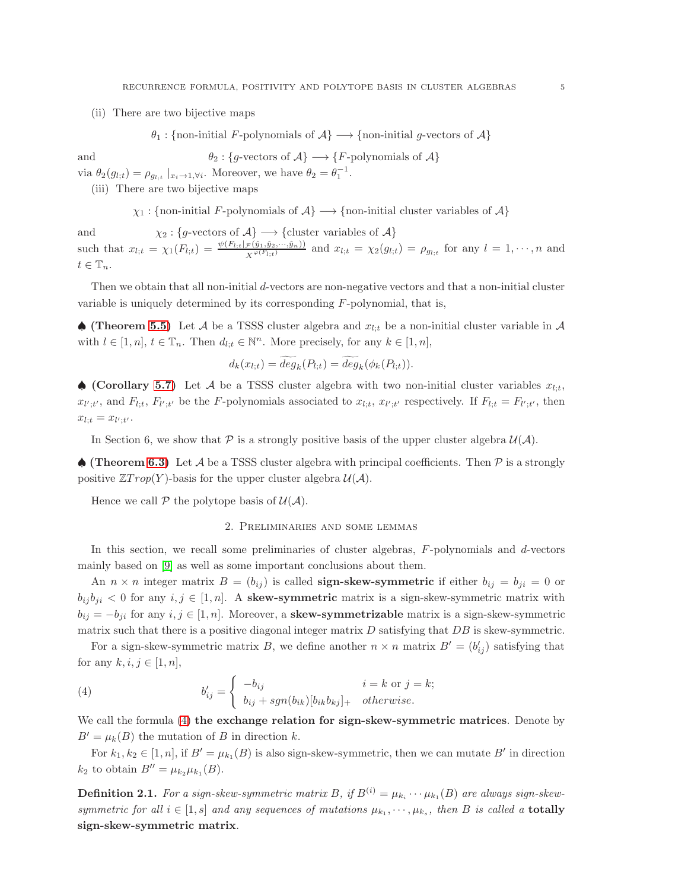(ii) There are two bijective maps

$$
\theta_1
$$
: {non-inital *F*-polynomials of  $\mathcal{A}$ }  $\longrightarrow$  {non-inital *g*-vectors of  $\mathcal{A}$ }

and 
$$
\theta_2 : \{g\text{-vectors of } A\} \longrightarrow \{F\text{-polynomials of } A\}
$$

via  $\theta_2(g_{l;t}) = \rho_{g_{l;t}} |_{x_i \to 1, \forall i}$ . Moreover, we have  $\theta_2 = \theta_1^{-1}$ .

(iii) There are two bijective maps

$$
\chi_1
$$
: {non-inital *F*-polynomials of  $\mathcal{A}$ }  $\longrightarrow$  {non-inital cluster variables of  $\mathcal{A}$ }

and  $\chi_2 : \{g\text{-vectors of }\mathcal{A}\} \longrightarrow \{\text{cluster variables of }\mathcal{A}\}\$ such that  $x_{l,t} = \chi_1(F_{l,t}) = \frac{\psi(F_{l,t}|_{\mathcal{F}}(\hat{y}_1, \hat{y}_2, \dots, \hat{y}_n))}{X^{\varphi(F_{l,t})}}$  and  $x_{l,t} = \chi_2(g_{l,t}) = \rho_{g_{l,t}}$  for any  $l = 1, \dots, n$  and  $t \in \mathbb{T}_n$ .

Then we obtain that all non-initial d-vectors are non-negative vectors and that a non-initial cluster variable is uniquely determined by its corresponding  $F$ -polynomial, that is,

 $\spadesuit$  (Theorem [5.5\)](#page-41-0) Let A be a TSSS cluster algebra and  $x_{l,t}$  be a non-initial cluster variable in A with  $l \in [1, n], t \in \mathbb{T}_n$ . Then  $d_{l,t} \in \mathbb{N}^n$ . More precisely, for any  $k \in [1, n]$ ,

$$
d_k(x_{l;t}) = deg_k(P_{l;t}) = deg_k(\phi_k(P_{l;t})).
$$

♦ (Corollary [5.7\)](#page-43-0) Let A be a TSSS cluster algebra with two non-initial cluster variables  $x_{l:t}$ ,  $x_{l';t'}$ , and  $F_{l;t}$ ,  $F_{l';t'}$  be the F-polynomials associated to  $x_{l;t}$ ,  $x_{l';t'}$  respectively. If  $F_{l;t} = F_{l';t'}$ , then  $x_{l;t} = x_{l';t'}$ .

In Section 6, we show that P is a strongly positive basis of the upper cluster algebra  $\mathcal{U}(\mathcal{A})$ .

 $\triangle$  (Theorem [6.3\)](#page-48-0) Let A be a TSSS cluster algebra with principal coefficients. Then P is a strongly positive  $\mathbb{Z} Trop(Y)$ -basis for the upper cluster algebra  $\mathcal{U}(\mathcal{A})$ .

<span id="page-4-0"></span>Hence we call  $P$  the polytope basis of  $\mathcal{U}(\mathcal{A})$ .

### 2. Preliminaries and some lemmas

In this section, we recall some preliminaries of cluster algebras,  $F$ -polynomials and  $d$ -vectors mainly based on [\[9\]](#page-52-1) as well as some important conclusions about them.

An  $n \times n$  integer matrix  $B = (b_{ij})$  is called **sign-skew-symmetric** if either  $b_{ij} = b_{ji} = 0$  or  $b_{ij} b_{ji} < 0$  for any  $i, j \in [1, n]$ . A skew-symmetric matrix is a sign-skew-symmetric matrix with  $b_{ij} = -b_{ji}$  for any  $i, j \in [1, n]$ . Moreover, a **skew-symmetrizable** matrix is a sign-skew-symmetric matrix such that there is a positive diagonal integer matrix  $D$  satisfying that  $DB$  is skew-symmetric.

For a sign-skew-symmetric matrix B, we define another  $n \times n$  matrix  $B' = (b'_{ij})$  satisfying that for any  $k, i, j \in [1, n]$ ,

<span id="page-4-1"></span>(4) 
$$
b'_{ij} = \begin{cases} -b_{ij} & i=k \text{ or } j=k; \\ b_{ij} + sgn(b_{ik})[b_{ik}b_{kj}]_+ & otherwise. \end{cases}
$$

We call the formula  $(4)$  the exchange relation for sign-skew-symmetric matrices. Denote by  $B' = \mu_k(B)$  the mutation of B in direction k.

For  $k_1, k_2 \in [1, n]$ , if  $B' = \mu_{k_1}(B)$  is also sign-skew-symmetric, then we can mutate  $B'$  in direction  $k_2$  to obtain  $B'' = \mu_{k_2} \mu_{k_1}(B)$ .

**Definition 2.1.** For a sign-skew-symmetric matrix B, if  $B^{(i)} = \mu_{k_i} \cdots \mu_{k_1}(B)$  are always sign-skewsymmetric for all  $i \in [1, s]$  and any sequences of mutations  $\mu_{k_1}, \dots, \mu_{k_s}$ , then B is called a **totally** sign-skew-symmetric matrix.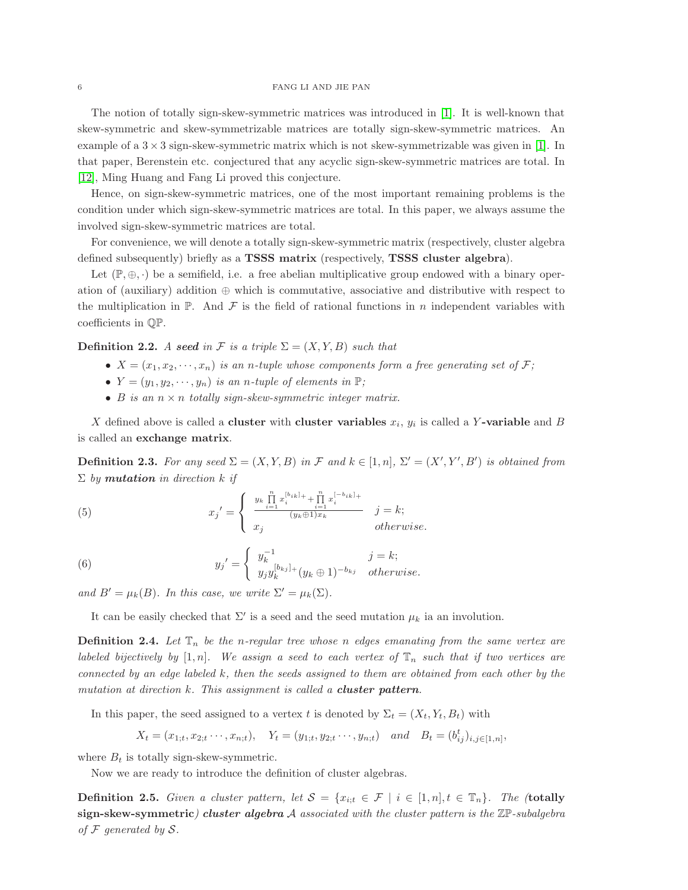# 6 FANG LI AND JIE PAN

The notion of totally sign-skew-symmetric matrices was introduced in [\[1\]](#page-52-9). It is well-known that skew-symmetric and skew-symmetrizable matrices are totally sign-skew-symmetric matrices. An example of a  $3 \times 3$  sign-skew-symmetric matrix which is not skew-symmetrizable was given in [\[1\]](#page-52-9). In that paper, Berenstein etc. conjectured that any acyclic sign-skew-symmetric matrices are total. In [\[12\]](#page-52-8), Ming Huang and Fang Li proved this conjecture.

Hence, on sign-skew-symmetric matrices, one of the most important remaining problems is the condition under which sign-skew-symmetric matrices are total. In this paper, we always assume the involved sign-skew-symmetric matrices are total.

For convenience, we will denote a totally sign-skew-symmetric matrix (respectively, cluster algebra defined subsequently) briefly as a TSSS matrix (respectively, TSSS cluster algebra).

Let  $(\mathbb{P}, \oplus, \cdot)$  be a semifield, i.e. a free abelian multiplicative group endowed with a binary operation of (auxiliary) addition ⊕ which is commutative, associative and distributive with respect to the multiplication in  $\mathbb{P}$ . And  $\mathcal F$  is the field of rational functions in n independent variables with coefficients in QP.

**Definition 2.2.** A seed in F is a triple  $\Sigma = (X, Y, B)$  such that

- $X = (x_1, x_2, \dots, x_n)$  is an n-tuple whose components form a free generating set of F;
- $Y = (y_1, y_2, \dots, y_n)$  is an n-tuple of elements in  $\mathbb{P};$
- B is an  $n \times n$  totally sign-skew-symmetric integer matrix.

X defined above is called a **cluster** with **cluster variables**  $x_i$ ,  $y_i$  is called a Y-variable and B is called an exchange matrix.

**Definition 2.3.** For any seed  $\Sigma = (X, Y, B)$  in F and  $k \in [1, n]$ ,  $\Sigma' = (X', Y', B')$  is obtained from  $\Sigma$  by **mutation** in direction k if

<span id="page-5-0"></span>(5) 
$$
x_{j}' = \begin{cases} y_{k} \prod_{i=1}^{n} x_{i}^{[b_{ik}]_{+}} + \prod_{i=1}^{n} x_{i}^{[-b_{ik}]_{+}} & j=k; \\ x_{j} & otherwise. \end{cases}
$$

<span id="page-5-1"></span>(6) 
$$
y_{j}' = \begin{cases} y_{k}^{-1} & j = k; \\ y_{j}y_{k}^{[b_{kj}]_{+}}(y_{k} \oplus 1)^{-b_{kj}} & otherwise. \end{cases}
$$

and  $B' = \mu_k(B)$ . In this case, we write  $\Sigma' = \mu_k(\Sigma)$ .

It can be easily checked that  $\Sigma'$  is a seed and the seed mutation  $\mu_k$  ia an involution.

**Definition 2.4.** Let  $\mathbb{T}_n$  be the n-regular tree whose n edges emanating from the same vertex are labeled bijectively by [1, n]. We assign a seed to each vertex of  $\mathbb{T}_n$  such that if two vertices are connected by an edge labeled  $k$ , then the seeds assigned to them are obtained from each other by the mutation at direction k. This assignment is called a **cluster pattern**.

In this paper, the seed assigned to a vertex t is denoted by  $\Sigma_t = (X_t, Y_t, B_t)$  with

$$
X_t = (x_{1,t}, x_{2,t}, \dots, x_{n,t}),
$$
  $Y_t = (y_{1,t}, y_{2,t}, \dots, y_{n,t})$  and  $B_t = (b_{ij}^t)_{i,j \in [1,n]},$ 

where  $B_t$  is totally sign-skew-symmetric.

Now we are ready to introduce the definition of cluster algebras.

**Definition 2.5.** Given a cluster pattern, let  $S = \{x_{i:t} \in \mathcal{F} \mid i \in [1,n], t \in \mathbb{T}_n\}$ . The (totally sign-skew-symmetric) cluster algebra  $A$  associated with the cluster pattern is the  $\mathbb{Z}P$ -subalgebra of  $\mathcal F$  generated by  $\mathcal S$ .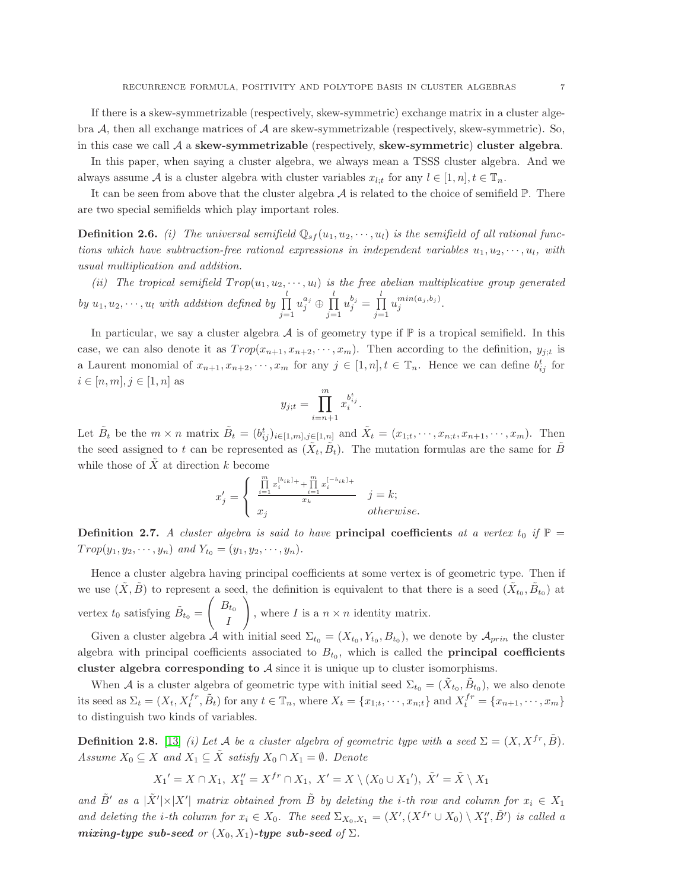If there is a skew-symmetrizable (respectively, skew-symmetric) exchange matrix in a cluster algebra  $A$ , then all exchange matrices of  $A$  are skew-symmetrizable (respectively, skew-symmetric). So, in this case we call  $\mathcal A$  a skew-symmetrizable (respectively, skew-symmetric) cluster algebra.

In this paper, when saying a cluster algebra, we always mean a TSSS cluster algebra. And we always assume A is a cluster algebra with cluster variables  $x_{l:t}$  for any  $l \in [1, n], t \in \mathbb{T}_n$ .

It can be seen from above that the cluster algebra  $A$  is related to the choice of semifield  $\mathbb{P}$ . There are two special semifields which play important roles.

**Definition 2.6.** (i) The universal semifield  $\mathbb{Q}_{sf}(u_1, u_2, \dots, u_l)$  is the semifield of all rational functions which have subtraction-free rational expressions in independent variables  $u_1, u_2, \dots, u_l$ , with usual multiplication and addition.

(ii) The tropical semifield  $Trop(u_1, u_2, \dots, u_l)$  is the free abelian multiplicative group generated by  $u_1, u_2, \dots, u_l$  with addition defined by  $\prod$  $j=1$  $u_j^{a_j} \oplus \prod^l$  $j=1$  $u_j^{b_j} = \prod^l$  $j=1$  $u_j^{min(a_j,b_j)}.$ 

In particular, we say a cluster algebra  $A$  is of geometry type if  $\mathbb P$  is a tropical semifield. In this case, we can also denote it as  $Trop(x_{n+1}, x_{n+2}, \dots, x_m)$ . Then according to the definition,  $y_{j;t}$  is a Laurent monomial of  $x_{n+1}, x_{n+2}, \dots, x_m$  for any  $j \in [1, n], t \in \mathbb{T}_n$ . Hence we can define  $b_{ij}^t$  for  $i \in [n, m], j \in [1, n]$  as

$$
y_{j;t} = \prod_{i=n+1}^{m} x_i^{b_{ij}^t}.
$$

Let  $\tilde{B}_t$  be the  $m \times n$  matrix  $\tilde{B}_t = (b_{ij}^t)_{i \in [1,m], j \in [1,n]}$  and  $\tilde{X}_t = (x_{1,t}, \dots, x_{n,t}, x_{n+1}, \dots, x_m)$ . Then the seed assigned to t can be represented as  $(\tilde{X}_t, \tilde{B}_t)$ . The mutation formulas are the same for  $\tilde{B}$ while those of  $\tilde{X}$  at direction k become

$$
x_j' = \begin{cases} \begin{array}{l} \prod\limits_{i=1}^m x_i^{[b_{ik}]_+} + \prod\limits_{i=1}^m x_i^{[-b_{ik}]_+} \\ x_i & i \end{array} \\ x_j & otherwise. \end{cases} \quad j = k;
$$

**Definition 2.7.** A cluster algebra is said to have **principal coefficients** at a vertex  $t_0$  if  $\mathbb{P}$  =  $Trop(y_1, y_2, \dots, y_n)$  and  $Y_{t_0} = (y_1, y_2, \dots, y_n)$ .

Hence a cluster algebra having principal coefficients at some vertex is of geometric type. Then if we use  $(\tilde{X}, \tilde{B})$  to represent a seed, the definition is equivalent to that there is a seed  $(\tilde{X}_{t_0}, \tilde{B}_{t_0})$  at vertex  $t_0$  satisfying  $\tilde{B}_{t_0} =$  $\int B_{t_0}$ I ! , where  $I$  is a  $n \times n$  identity matrix.

Given a cluster algebra A with initial seed  $\Sigma_{t_0} = (X_{t_0}, Y_{t_0}, B_{t_0})$ , we denote by  $\mathcal{A}_{prin}$  the cluster algebra with principal coefficients associated to  $B_{t_0}$ , which is called the **principal coefficients** cluster algebra corresponding to  $A$  since it is unique up to cluster isomorphisms.

When A is a cluster algebra of geometric type with initial seed  $\Sigma_{t_0} = (\tilde{X}_{t_0}, \tilde{B}_{t_0})$ , we also denote its seed as  $\Sigma_t = (X_t, X_t^{fr}, \tilde{B}_t)$  for any  $t \in \mathbb{T}_n$ , where  $X_t = \{x_{1;t}, \dots, x_{n;t}\}$  and  $X_t^{fr} = \{x_{n+1}, \dots, x_m\}$ to distinguish two kinds of variables.

**Definition 2.8.** [\[13\]](#page-52-10) *(i)* Let A be a cluster algebra of geometric type with a seed  $\Sigma = (X, X^{fr}, \tilde{B})$ . Assume  $X_0 \subseteq X$  and  $X_1 \subseteq \tilde{X}$  satisfy  $X_0 \cap X_1 = \emptyset$ . Denote

$$
X_1' = X \cap X_1, X_1'' = X^{fr} \cap X_1, X' = X \setminus (X_0 \cup X_1'), \tilde{X}' = \tilde{X} \setminus X_1
$$

and  $\tilde{B}'$  as a  $|\tilde{X}'|\times|X'|$  matrix obtained from  $\tilde{B}$  by deleting the *i*-th row and column for  $x_i \in X_1$ and deleting the *i*-th column for  $x_i \in X_0$ . The seed  $\Sigma_{X_0,X_1} = (X', (X^{fr} \cup X_0) \setminus X''_1, \tilde{B}')$  is called a mixing-type sub-seed or  $(X_0, X_1)$ -type sub-seed of  $\Sigma$ .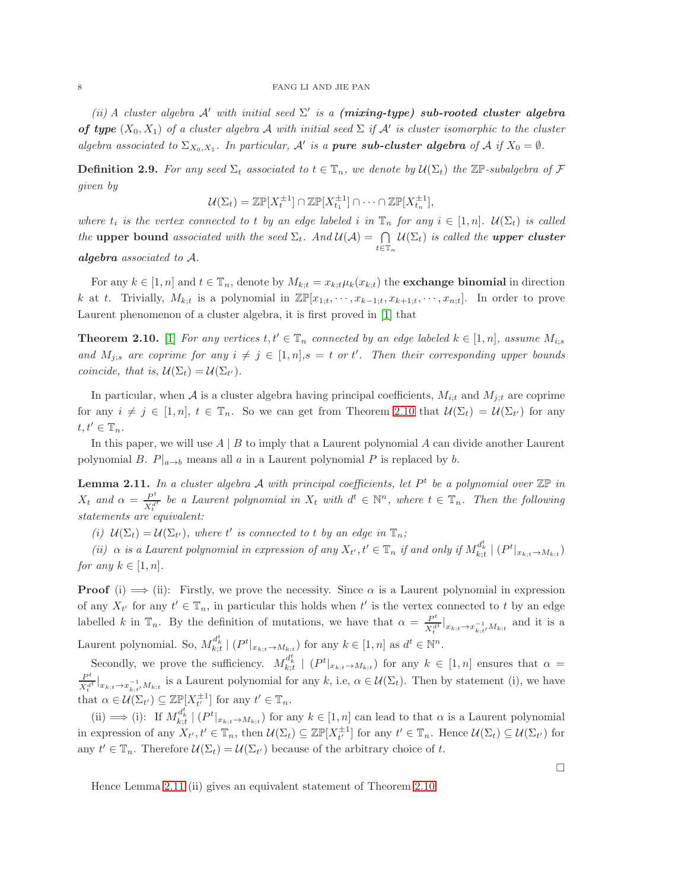# 8 FANG LI AND JIE PAN

(ii) A cluster algebra A' with initial seed  $\Sigma'$  is a (mixing-type) sub-rooted cluster algebra **of type**  $(X_0, X_1)$  of a cluster algebra A with initial seed  $\Sigma$  if A' is cluster isomorphic to the cluster algebra associated to  $\Sigma_{X_0,X_1}$ . In particular, A' is a **pure sub-cluster algebra** of A if  $X_0 = \emptyset$ .

**Definition 2.9.** For any seed  $\Sigma_t$  associated to  $t \in \mathbb{T}_n$ , we denote by  $\mathcal{U}(\Sigma_t)$  the  $\mathbb{Z} \mathbb{P}$ -subalgebra of F given by

$$
\mathcal{U}(\Sigma_t) = \mathbb{Z} \mathbb{P}[X_t^{\pm 1}] \cap \mathbb{Z} \mathbb{P}[X_{t_1}^{\pm 1}] \cap \cdots \cap \mathbb{Z} \mathbb{P}[X_{t_n}^{\pm 1}],
$$

where  $t_i$  is the vertex connected to t by an edge labeled i in  $\mathbb{T}_n$  for any  $i \in [1, n]$ .  $\mathcal{U}(\Sigma_t)$  is called the upper bound associated with the seed  $\Sigma_t$ . And  $\mathcal{U}(\mathcal{A}) = \bigcap$  $t\in\mathbb{T}_n$  $\mathcal{U}(\Sigma_t)$  is called the **upper cluster** 

algebra associated to A.

For any  $k \in [1, n]$  and  $t \in \mathbb{T}_n$ , denote by  $M_{k:t} = x_{k:t} \mu_k(x_{k:t})$  the **exchange binomial** in direction k at t. Trivially,  $M_{k;t}$  is a polynomial in  $\mathbb{Z}\mathbb{P}[x_{1;t},\dots,x_{k-1;t},x_{k+1;t},\dots,x_{n;t}]$ . In order to prove Laurent phenomenon of a cluster algebra, it is first proved in [\[1\]](#page-52-9) that

<span id="page-7-0"></span>**Theorem 2.10.** [\[1\]](#page-52-9) For any vertices  $t, t' \in \mathbb{T}_n$  connected by an edge labeled  $k \in [1, n]$ , assume  $M_{i;s}$ and  $M_{j;s}$  are coprime for any  $i \neq j \in [1,n], s = t$  or t'. Then their corresponding upper bounds coincide, that is,  $\mathcal{U}(\Sigma_t) = \mathcal{U}(\Sigma_{t'})$ .

In particular, when A is a cluster algebra having principal coefficients,  $M_{i;t}$  and  $M_{j;t}$  are coprime for any  $i \neq j \in [1, n], t \in \mathbb{T}_n$ . So we can get from Theorem [2.10](#page-7-0) that  $\mathcal{U}(\Sigma_t) = \mathcal{U}(\Sigma_{t'})$  for any  $t, t' \in \mathbb{T}_n$ .

In this paper, we will use  $A \mid B$  to imply that a Laurent polynomial A can divide another Laurent polynomial B.  $P|_{a\to b}$  means all a in a Laurent polynomial P is replaced by b.

<span id="page-7-1"></span>**Lemma 2.11.** In a cluster algebra A with principal coefficients, let  $P<sup>t</sup>$  be a polynomial over  $\mathbb{Z}P$  in  $X_t$  and  $\alpha = \frac{P^t}{X^d}$  $\frac{P^t}{X_t^{d^t}}$  be a Laurent polynomial in  $X_t$  with  $d^t \in \mathbb{N}^n$ , where  $t \in \mathbb{T}_n$ . Then the following statements are equivalent:

(i)  $\mathcal{U}(\Sigma_t) = \mathcal{U}(\Sigma_{t'})$ , where t' is connected to t by an edge in  $\mathbb{T}_n$ ;

(ii)  $\alpha$  is a Laurent polynomial in expression of any  $X_{t'}$ ,  $t' \in \mathbb{T}_n$  if and only if  $M_{k;t}^{d^t_k} \mid (P^t|_{x_{k;t} \to M_{k;t}})$ for any  $k \in [1, n]$ .

**Proof** (i)  $\implies$  (ii): Firstly, we prove the necessity. Since  $\alpha$  is a Laurent polynomial in expression of any  $X_{t'}$  for any  $t' \in \mathbb{T}_n$ , in particular this holds when  $t'$  is the vertex connected to t by an edge labelled k in  $\mathbb{T}_n$ . By the definition of mutations, we have that  $\alpha = \frac{P^t}{\sqrt{d}}$  $\frac{P^{\circ}}{X_t^{d^t}}|_{x_{k;t}\to x_{k;t'}^{-1}M_{k;t}}$  and it is a Laurent polynomial. So,  $M_{k;t}^{d_k^t} \mid (P^t|_{x_{k;t}\to M_{k;t}})$  for any  $k \in [1,n]$  as  $d^t \in \mathbb{N}^n$ .

Secondly, we prove the sufficiency.  $M_{k;t}^{d_k^t} \mid (P^t|_{x_{k;t}\to M_{k;t}})$  for any  $k \in [1,n]$  ensures that  $\alpha =$  $P^t$  $\frac{P^{\epsilon}}{X_t^{dt}}|_{x_{k;t}\to x_{k;t'}^{-1}M_{k;t}}$  is a Laurent polynomial for any k, i.e,  $\alpha \in \mathcal{U}(\Sigma_t)$ . Then by statement (i), we have that  $\alpha \in \mathcal{U}(\Sigma_{t'}) \subseteq \mathbb{Z} \mathbb{P}[X_{t'}^{\pm 1}]$  for any  $t' \in \mathbb{T}_n$ .

(ii)  $\implies$  (i): If  $M_{k;t}^{d_k^t} \mid (P^t|_{x_{k;t}\to M_{k;t}})$  for any  $k \in [1,n]$  can lead to that  $\alpha$  is a Laurent polynomial in expression of any  $X_{t'}$ ,  $t' \in \mathbb{T}_n$ , then  $\mathcal{U}(\Sigma_t) \subseteq \mathbb{Z} \mathbb{P}[X_{t'}^{\pm 1}]$  for any  $t' \in \mathbb{T}_n$ . Hence  $\mathcal{U}(\Sigma_t) \subseteq \mathcal{U}(\Sigma_{t'})$  for any  $t' \in \mathbb{T}_n$ . Therefore  $\mathcal{U}(\Sigma_t) = \mathcal{U}(\Sigma_{t'})$  because of the arbitrary choice of t.

Hence Lemma [2.11](#page-7-1) (ii) gives an equivalent statement of Theorem [2.10.](#page-7-0)

 $\Box$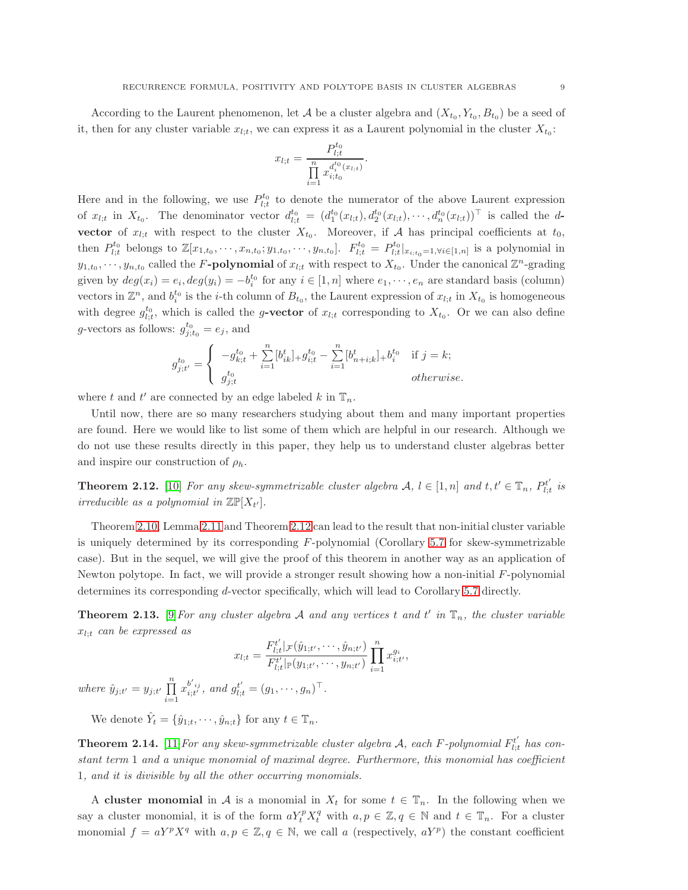According to the Laurent phenomenon, let A be a cluster algebra and  $(X_{t_0}, Y_{t_0}, B_{t_0})$  be a seed of it, then for any cluster variable  $x_{l,t}$ , we can express it as a Laurent polynomial in the cluster  $X_{t_0}$ :

$$
x_{l;t} = \frac{P_{l;t}^{t_0}}{\prod_{i=1}^n x_{i;t_0}^{d_i^{t_0}(x_{l;t})}}.
$$

Here and in the following, we use  $P_{l;t}^{t_0}$  to denote the numerator of the above Laurent expression of  $x_{l,t}$  in  $X_{t_0}$ . The denominator vector  $d_{l,t}^{t_0} = (d_1^{t_0}(x_{l,t}), d_2^{t_0}(x_{l,t}), \cdots, d_n^{t_0}(x_{l,t}))$ <sup>T</sup> is called the dvector of  $x_{l,t}$  with respect to the cluster  $X_{t_0}$ . Moreover, if A has principal coefficients at  $t_0$ , then  $P_{l;t}^{t_0}$  belongs to  $\mathbb{Z}[x_{1,t_0},\cdots,x_{n,t_0};y_{1,t_0},\cdots,y_{n,t_0}]$ .  $F_{l;t}^{t_0} = P_{l;t}^{t_0}|_{x_{i,t_0}=1,\forall i\in[n,n]}$  is a polynomial in  $y_{1,t_0}, \dots, y_{n,t_0}$  called the F-polynomial of  $x_{l,t}$  with respect to  $X_{t_0}$ . Under the canonical  $\mathbb{Z}^n$ -grading given by  $deg(x_i) = e_i, deg(y_i) = -b_i^{t_0}$  for any  $i \in [1, n]$  where  $e_1, \dots, e_n$  are standard basis (column) vectors in  $\mathbb{Z}^n$ , and  $b_i^{t_0}$  is the *i*-th column of  $B_{t_0}$ , the Laurent expression of  $x_{l,t}$  in  $X_{t_0}$  is homogeneous with degree  $g_{l;t}^{t_0}$ , which is called the g-vector of  $x_{l;t}$  corresponding to  $X_{t_0}$ . Or we can also define g-vectors as follows:  $g_{j;t_0}^{t_0} = e_j$ , and

$$
g_{j;t'}^{t_0} = \begin{cases} \n-g_{k;t}^{t_0} + \sum_{i=1}^n [b_{ik}^t]_{+} g_{i;t}^{t_0} - \sum_{i=1}^n [b_{n+i;k}^t]_{+} b_i^{t_0} & \text{if } j = k; \\
g_{j;t}^{t_0} & otherwise.\n\end{cases}
$$

where t and t' are connected by an edge labeled  $k$  in  $\mathbb{T}_n$ .

Until now, there are so many researchers studying about them and many important properties are found. Here we would like to list some of them which are helpful in our research. Although we do not use these results directly in this paper, they help us to understand cluster algebras better and inspire our construction of  $\rho_h$ .

<span id="page-8-0"></span>**Theorem 2.12.** [\[10\]](#page-52-11) For any skew-symmetrizable cluster algebra  $\mathcal{A}, l \in [1, n]$  and  $t, t' \in \mathbb{T}_n$ ,  $P_{l,t}^{t'}$  $\hat{l}_{l;t}^{t'}$  is irreducible as a polynomial in  $\mathbb{Z}\mathbb{P}[X_{t'}].$ 

Theorem [2.10,](#page-7-0) Lemma [2.11](#page-7-1) and Theorem [2.12](#page-8-0) can lead to the result that non-initial cluster variable is uniquely determined by its corresponding  $F$ -polynomial (Corollary [5.7](#page-43-0) for skew-symmetrizable case). But in the sequel, we will give the proof of this theorem in another way as an application of Newton polytope. In fact, we will provide a stronger result showing how a non-initial  $F$ -polynomial determines its corresponding d-vector specifically, which will lead to Corollary [5.7](#page-43-0) directly.

<span id="page-8-1"></span>**Theorem 2.13.** [\[9\]](#page-52-1) For any cluster algebra A and any vertices t and t' in  $\mathbb{T}_n$ , the cluster variable  $x_{l:t}$  can be expressed as

$$
x_{l;t} = \frac{F_{l;t}^{t'}|_{\mathcal{F}}(\hat{y}_{1;t'}, \cdots, \hat{y}_{n;t'})}{F_{l;t}^{t'}|_{\mathbb{P}}(y_{1;t'}, \cdots, y_{n;t'})} \prod_{i=1}^{n} x_{i;t'}^{g_i},
$$
  
where  $\hat{y}_{j;t'} = y_{j;t'} \prod_{i=1}^{n} x_{i;t'}^{b'_{ij}}$ , and  $g_{l;t}^{t'} = (g_1, \cdots, g_n)^\top$ .

We denote  $\hat{Y}_t = \{\hat{y}_{1;t}, \cdots, \hat{y}_{n;t}\}\$ for any  $t \in \mathbb{T}_n$ .

**Theorem 2.14.** [\[11\]](#page-52-0) For any skew-symmetrizable cluster algebra A, each F-polynomial  $F_{l,t}^{t'}$  $\mathcal{L}_{l;t}^{t'}$  has constant term 1 and a unique monomial of maximal degree. Furthermore, this monomial has coefficient 1, and it is divisible by all the other occurring monomials.

A cluster monomial in A is a monomial in  $X_t$  for some  $t \in \mathbb{T}_n$ . In the following when we say a cluster monomial, it is of the form  $aY_t^p X_t^q$  with  $a, p \in \mathbb{Z}, q \in \mathbb{N}$  and  $t \in \mathbb{T}_n$ . For a cluster monomial  $f = aY^p X^q$  with  $a, p \in \mathbb{Z}, q \in \mathbb{N}$ , we call a (respectively,  $aY^p$ ) the constant coefficient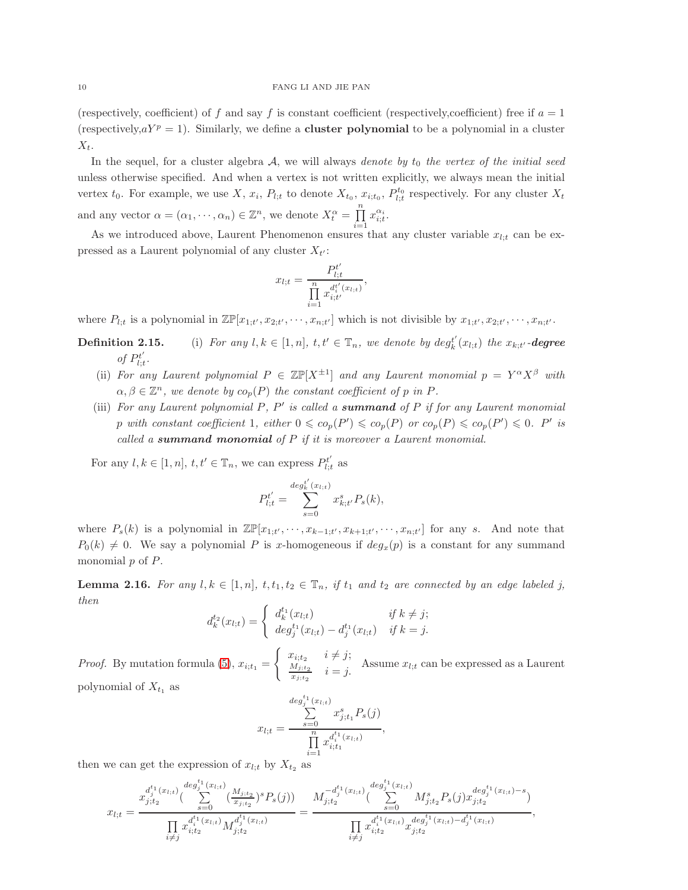(respectively, coefficient) of f and say f is constant coefficient (respectively, coefficient) free if  $a = 1$ (respectively, $aY^p = 1$ ). Similarly, we define a **cluster polynomial** to be a polynomial in a cluster  $X_t$ .

In the sequel, for a cluster algebra  $A$ , we will always denote by  $t_0$  the vertex of the initial seed unless otherwise specified. And when a vertex is not written explicitly, we always mean the initial vertex  $t_0$ . For example, we use X,  $x_i$ ,  $P_{l;t}$  to denote  $X_{t_0}$ ,  $x_{i;t_0}$ ,  $P_{l;t}^{t_0}$  respectively. For any cluster  $X_t$ and any vector  $\alpha = (\alpha_1, \dots, \alpha_n) \in \mathbb{Z}^n$ , we denote  $X_t^{\alpha} = \prod_{k=1}^{n}$  $i=1$  $x_{i;t}^{\alpha_i}$ .

As we introduced above, Laurent Phenomenon ensures that any cluster variable  $x_{l:t}$  can be expressed as a Laurent polynomial of any cluster  $X_{t'}$ :

$$
x_{l;t} = \frac{P_{l;t}^{t'}}{\prod_{i=1}^{n} x_{i;t'}^{d_i^{t'}(x_{l;t})}},
$$

where  $P_{l;t}$  is a polynomial in  $\mathbb{Z}\mathbb{P}[x_{1;t'}, x_{2;t'}, \cdots, x_{n;t'}]$  which is not divisible by  $x_{1;t'}, x_{2;t'}, \cdots, x_{n;t'}$ .

- **Definition 2.15.** (i) For any  $l, k \in [1, n]$ ,  $t, t' \in \mathbb{T}_n$ , we denote by  $\deg_k^{t'}$  $\mathcal{E}_{k}^{t}\left(x_{l;t}\right)$  the  $x_{k;t'}$ -degree of  $P_{l}^{t'}$  $_{l;t}^{t^{\prime}}.$ 
	- (ii) For any Laurent polynomial  $P \in \mathbb{Z} \mathbb{P}[X^{\pm 1}]$  and any Laurent monomial  $p = Y^{\alpha} X^{\beta}$  with  $\alpha, \beta \in \mathbb{Z}^n$ , we denote by  $co_p(P)$  the constant coefficient of p in P.
	- (iii) For any Laurent polynomial  $P, P'$  is called a **summand** of  $P$  if for any Laurent monomial p with constant coefficient 1, either  $0 \leqslant c o_p(P') \leqslant c o_p(P)$  or  $c o_p(P) \leqslant c o_p(P') \leqslant 0$ . P' is called a summand monomial of  $P$  if it is moreover a Laurent monomial.

For any  $l, k \in [1, n], t, t' \in \mathbb{T}_n$ , we can express  $P_{l,i}^{t'}$  $l;t$  as

$$
P_{l;t}^{t'} = \sum_{s=0}^{deg_k^{t'}(x_{l;t})} x_{k;t'}^s P_s(k),
$$

where  $P_s(k)$  is a polynomial in  $\mathbb{Z}\mathbb{P}[x_{1;t'},\dots,x_{k-1;t'},x_{k+1;t'},\dots,x_{n;t'}]$  for any s. And note that  $P_0(k) \neq 0$ . We say a polynomial P is x-homogeneous if  $deg_x(p)$  is a constant for any summand monomial  $p$  of  $P$ .

<span id="page-9-0"></span>**Lemma 2.16.** For any  $l, k \in [1, n], t, t_1, t_2 \in \mathbb{T}_n$ , if  $t_1$  and  $t_2$  are connected by an edge labeled j, then

$$
d_k^{t_2}(x_{l;t}) = \begin{cases} d_k^{t_1}(x_{l;t}) & \text{if } k \neq j; \\ deg_j^{t_1}(x_{l;t}) - d_j^{t_1}(x_{l;t}) & \text{if } k = j. \end{cases}
$$

*Proof.* By mutation formula [\(5\)](#page-5-0),  $x_{i;t_1} =$  $\int x_{i;t_2}$   $i \neq j;$  $M_{j;t_2}$  $\frac{M_{j;t_2}}{x_{j;t_2}}$   $i = j$ . Assume  $x_{l;t}$  can be expressed as a Laurent polynomial of  $X_{t_1}$  as

$$
x_{l;t} = \frac{\sum_{s=0}^{d_{t} g_{j}^{t_1}(x_{l;t})} x_{j;t_1}^s P_s(j)}{\prod_{i=1}^{n} x_{i;t_1}^{d_i^{t_1}(x_{l;t})}},
$$

then we can get the expression of  $x_{l;t}$  by  $X_{t_2}$  as

$$
x_{l;t} = \frac{x_{j;t_2}^{d_1^t(x_{l;t})} \left( \sum_{s=0}^{deg_2^t(x_{l;t})} \left( \frac{M_{j;t_2}}{x_{j;t_2}} \right)^s P_s(j) \right)}{\prod_{i \neq j} x_{i;t_2}^{d_1^t(x_{l;t})} M_{j;t_2}^{d_1^t(x_{l;t})}} = \frac{M_{j;t_2}^{-d_2^{t_1}(x_{l;t})} \left( \sum_{s=0}^{deg_2^t(x_{l;t})} M_{j;t_2}^s P_s(j) x_{j;t_2}^{deg_2^{t_1}(x_{l;t}) - s} \right)}{\prod_{i \neq j} x_{i;t_2}^{d_1^t(x_{l;t})} x_{j;t_2}^{deg_2^{t_1}(x_{l;t}) - d_2^{t_1}(x_{l;t})}},
$$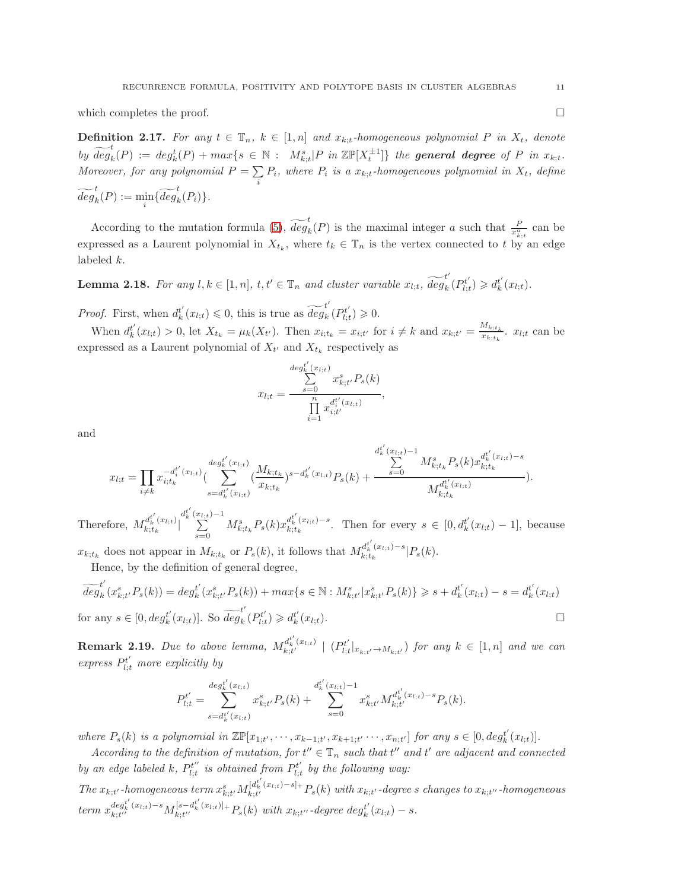which completes the proof.  $\Box$ 

**Definition 2.17.** For any  $t \in \mathbb{T}_n$ ,  $k \in [1, n]$  and  $x_{k,t}$ -homogeneous polynomial P in  $X_t$ , denote by  $\widetilde{deg}_k^t(P) := deg_k^t(P) + max\{s \in \mathbb{N} : M_{k,t}^s | P \text{ in } \mathbb{ZP}[X_t^{\pm 1}] \}$  the **general degree** of P in  $x_{k,t}$ . Moreover, for any polynomial  $P = \sum$  $\sum_{i} P_i$ , where  $P_i$  is a  $x_{k,t}$ -homogeneous polynomial in  $X_t$ , define  $\widetilde{deg}_k^t(P) := \min_i \{ \widetilde{deg}_k^t(P_i) \}.$ 

According to the mutation formula [\(5\)](#page-5-0),  $\widetilde{deg}_k(P)$  is the maximal integer a such that  $\frac{P}{x_{k;t}^a}$  can be expressed as a Laurent polynomial in  $X_{t_k}$ , where  $t_k \in \mathbb{T}_n$  is the vertex connected to t by an edge labeled k.

<span id="page-10-0"></span>**Lemma 2.18.** For any  $l, k \in [1, n]$ ,  $t, t' \in \mathbb{T}_n$  and cluster variable  $x_{l,t}$ ,  $\widetilde{deg}_k$  $_{k}^{t}\left( P_{l;i}^{t^{\prime }}\right)$  $\left( \begin{matrix} b_t^t \\ b_t^t \end{matrix} \right) \geq d_k^{t'}$  $_{k}^{t'}(x_{l;t}).$ 

*Proof.* First, when  $d_k^{t'}$  $t'_{k}(x_{l;t}) \leq 0$ , this is true as  $\widetilde{deg}_{k}^{t'}$  $_{k}^{t}\left( P_{l;t}^{t^{\prime }}\right)$  $b_{l;t}^{t'}$ )  $\geqslant 0$ .

When  $d_k^{t'}$  $x'_{k}(x_{l;t}) > 0$ , let  $X_{t_k} = \mu_k(X_{t'})$ . Then  $x_{i;t_k} = x_{i;t'}$  for  $i \neq k$  and  $x_{k;t'} = \frac{M_{k;t_k}}{x_{k;t}}$  $\frac{w_{k;t_k}}{x_{k;t_k}}$ .  $x_{l;t}$  can be expressed as a Laurent polynomial of  $X_{t'}$  and  $X_{t_k}$  respectively as

$$
x_{l;t} = \frac{\sum_{s=0}^{deg'_{k}(x_{l;t})} x_{k;t'}^s P_s(k)}{\prod_{i=1}^n x_{i;t'}^{d_i^{t'}(x_{l;t})}},
$$

and

$$
x_{l;t} = \prod_{i \neq k} x_{i;t_k}^{-d_t^{t'}(x_{l;t})} (\sum_{s=d_t^{t'}(x_{l;t})}^{deg_k^{t'}(x_{l;t})} (\frac{M_{k;t_k}}{x_{k;t_k}})^{s-d_t^{t'}(x_{l;t})} P_s(k) + \frac{\sum_{s=0}^{d_t^{t'}(x_{l;t})-1} M_{k;t_k}^s P_s(k) x_{k;t_k}^{d_t^{t'}(x_{l;t})-s}}{M_{k;t_k}^{d_t^{t'}(x_{l;t})}}).
$$

Therefore,  $M_{k:t}^{d_k^{t'}(x_{l;t})}$  $\left| \frac{u_k(x_l;t)}{k;t_k} \right|$  $d_k^{t'}(\frac{x_{l;t})-1}{\sum}$  $\sum_{s=0}^{x_{l;t}} M^s_{k;t_k} P_s(k) x_{k;t_k}^{d^{t'}_k(x_{l;t})-s}$ . Then for every  $s \in [0, d^{t'}_k]$  $k (x_{l;t}) - 1$ , because

 $x_{k;t_k}$  does not appear in  $M_{k;t_k}$  or  $P_s(k)$ , it follows that  $M_{k;t_k}^{d_k^{t'}(x_{l;t})-s}|P_s(k)$ . Hence, by the definition of general degree,

$$
\begin{aligned}\n\overrightarrow{deg}_{k}(x_{k;t'}^{s}P_{s}(k)) &= deg_{k}^{t'}(x_{k;t'}^{s}P_{s}(k)) + \max\{s \in \mathbb{N} : M_{k;t'}^{s}|x_{k;t'}^{s}P_{s}(k)\} \geqslant s + d_{k}^{t'}(x_{l;t}) - s = d_{k}^{t'}(x_{l;t}) \\
\text{for any } s \in [0, deg_{k}^{t'}(x_{l;t})]. \text{ So } \widetilde{deg}_{k}^{t'}(P_{l;t}^{t'}) \geqslant d_{k}^{t'}(x_{l;t}).\n\end{aligned}
$$

**Remark 2.19.** Due to above lemma,  $M_{k;t'}^{d_k^{t'}(x_{l;t})} \mid (P_{l;t}^{t'}$  $\left\{ \begin{array}{l} \left\langle \boldsymbol{y}_{t}^{t}\right\rangle \left\langle \boldsymbol{x}_{t}^{t}\right\rangle \neq\boldsymbol{M}_{k;t^{\prime}}\end{array}\right\}$  for any  $k\,\in\,\left[ 1,n\right]$  and we can express  $P_{l;t}^{t'}$  more explicitly by

$$
P_{l;t}^{t'} = \sum_{s=d_k^{t'}(x_{l;t})}^{deg_k^{t'}(x_{l;t})} x_{k;t'}^s P_s(k) + \sum_{s=0}^{d_k^{t'}(x_{l;t})-1} x_{k;t'}^s M_{k;t'}^{d_k^{t'}(x_{l;t})-s} P_s(k).
$$

where  $P_s(k)$  is a polynomial in  $\mathbb{Z}\mathbb{P}[x_{1;t'},\dots,x_{k-1;t'},x_{k+1;t'}\dots,x_{n;t'}]$  for any  $s \in [0, deg_k^{t'}]$  $_{k}^{t'}(x_{l;t})].$ 

According to the definition of mutation, for  $t'' \in \mathbb{T}_n$  such that  $t''$  and  $t'$  are adjacent and connected by an edge labeled k,  $P_{l:t}^{t''}$  $p_{l;t}^{t^{\prime\prime}}$  is obtained from  $P_{l;t}^{t^{\prime}}$  $\mathcal{U}^{t'}_{l;t}$  by the following way:

 $The x_{k;t'}\text{-}homogeneous term$   $x_{k;t'}^sM_{k;t'}^{[d_k^{t'}(x_{l;t})-s]+}P_s(k)$  with  $x_{k;t'}\text{-}degrees$  changes to  $x_{k;t''}\text{-}homogeneous$  $term \ x_{k;t''}^{deg_k^{t'}(x_{l;t})-s} M_{k;t''}^{[s-d_k^{t'}(x_{l;t})]+} P_s(k) \ with \ x_{k;t''}$ -degree deg $t'$  $_{k}^{t'}(x_{l;t})-s.$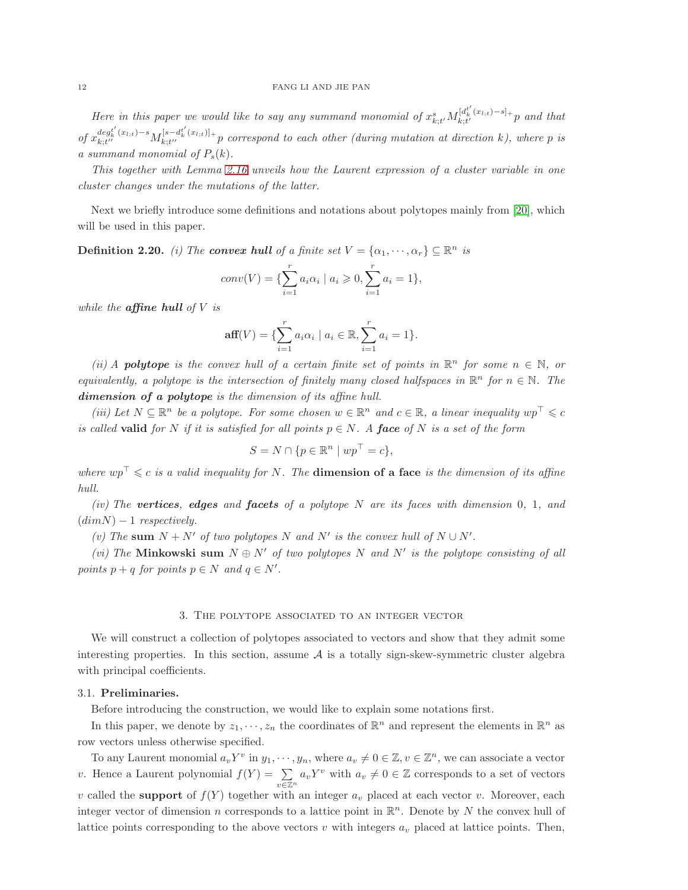# 12 FANG LI AND JIE PAN

Here in this paper we would like to say any summand monomial of  $x_{k;t'}^sM_{k;t'}^{[d_k^{t'}(x_{l;t})-s]+}$  p and that of  $x_{k;t'}^{deg_k^{i'}(x_{l;t})-s}M_{k;t''}^{[s-d_k^{i'}(x_{l;t})]+}$  correspond to each other (during mutation at direction k), where p is a summand monomial of  $P_s(k)$ .

This together with Lemma [2.16](#page-9-0) unveils how the Laurent expression of a cluster variable in one cluster changes under the mutations of the latter.

Next we briefly introduce some definitions and notations about polytopes mainly from [\[20\]](#page-52-12), which will be used in this paper.

<span id="page-11-2"></span>**Definition 2.20.** (i) The **convex hull** of a finite set  $V = {\alpha_1, \cdots, \alpha_r} \subseteq \mathbb{R}^n$  is

$$
conv(V) = \{ \sum_{i=1}^{r} a_i \alpha_i \mid a_i \geqslant 0, \sum_{i=1}^{r} a_i = 1 \},\
$$

while the **affine hull** of  $V$  is

$$
\text{aff}(V) = \{ \sum_{i=1}^{r} a_i \alpha_i \mid a_i \in \mathbb{R}, \sum_{i=1}^{r} a_i = 1 \}.
$$

(ii) A **polytope** is the convex hull of a certain finite set of points in  $\mathbb{R}^n$  for some  $n \in \mathbb{N}$ , or equivalently, a polytope is the intersection of finitely many closed halfspaces in  $\mathbb{R}^n$  for  $n \in \mathbb{N}$ . The dimension of a polytope is the dimension of its affine hull.

(iii) Let  $N \subseteq \mathbb{R}^n$  be a polytope. For some chosen  $w \in \mathbb{R}^n$  and  $c \in \mathbb{R}$ , a linear inequality  $wp^{\top} \leq c$ is called **valid** for N if it is satisfied for all points  $p \in N$ . A face of N is a set of the form

$$
S = N \cap \{ p \in \mathbb{R}^n \mid wp^\top = c \},
$$

where  $wp^{\top} \leq c$  is a valid inequality for N. The **dimension of a face** is the dimension of its affine hull.

(iv) The vertices, edges and facets of a polytope  $N$  are its faces with dimension  $0, 1,$  and  $(dimN) - 1$  respectively.

(v) The sum  $N + N'$  of two polytopes N and N' is the convex hull of  $N \cup N'$ .

(vi) The Minkowski sum  $N \oplus N'$  of two polytopes N and N' is the polytope consisting of all points  $p + q$  for points  $p \in N$  and  $q \in N'$ .

#### 3. The polytope associated to an integer vector

<span id="page-11-0"></span>We will construct a collection of polytopes associated to vectors and show that they admit some interesting properties. In this section, assume  $A$  is a totally sign-skew-symmetric cluster algebra with principal coefficients.

#### <span id="page-11-1"></span>3.1. Preliminaries.

Before introducing the construction, we would like to explain some notations first.

In this paper, we denote by  $z_1, \dots, z_n$  the coordinates of  $\mathbb{R}^n$  and represent the elements in  $\mathbb{R}^n$  as row vectors unless otherwise specified.

To any Laurent monomial  $a_v Y^v$  in  $y_1, \dots, y_n$ , where  $a_v \neq 0 \in \mathbb{Z}$ ,  $v \in \mathbb{Z}^n$ , we can associate a vector v. Hence a Laurent polynomial  $f(Y) = \sum$  $v\overline{\in }\mathbb{Z}^n$  $a_v Y^v$  with  $a_v \neq 0 \in \mathbb{Z}$  corresponds to a set of vectors v called the **support** of  $f(Y)$  together with an integer  $a_v$  placed at each vector v. Moreover, each integer vector of dimension n corresponds to a lattice point in  $\mathbb{R}^n$ . Denote by N the convex hull of lattice points corresponding to the above vectors  $v$  with integers  $a_v$  placed at lattice points. Then,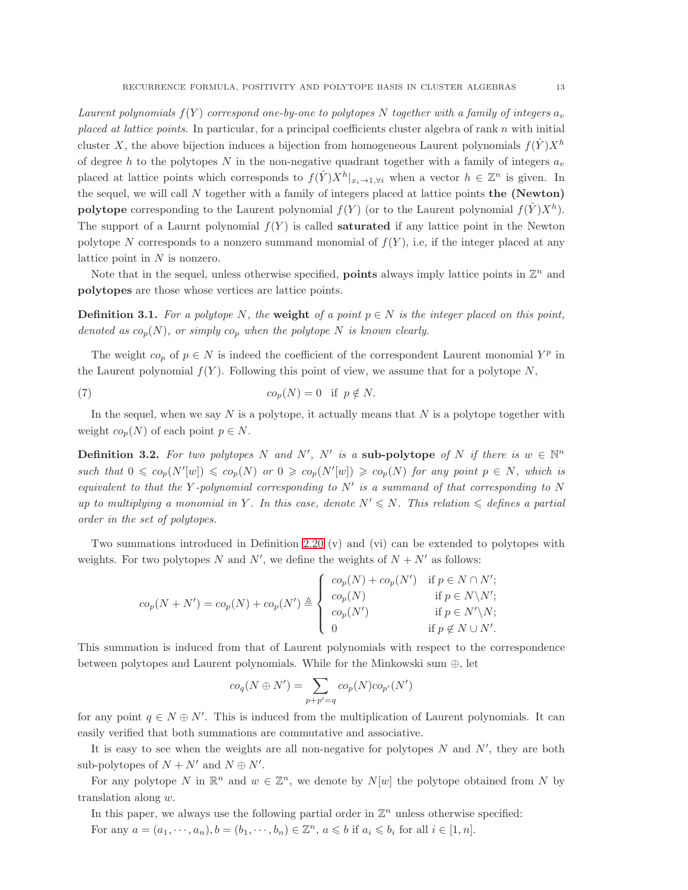Laurent polynomials  $f(Y)$  correspond one-by-one to polytopes N together with a family of integers  $a_v$ placed at lattice points. In particular, for a principal coefficients cluster algebra of rank n with initial cluster X, the above bijection induces a bijection from homogeneous Laurent polynomials  $f(Y)X^h$ of degree h to the polytopes N in the non-negative quadrant together with a family of integers  $a_v$ placed at lattice points which corresponds to  $f(\hat{Y})X^h|_{x_i\to 1,\forall i}$  when a vector  $h \in \mathbb{Z}^n$  is given. In the sequel, we will call  $N$  together with a family of integers placed at lattice points the (Newton) polytope corresponding to the Laurent polynomial  $f(Y)$  (or to the Laurent polynomial  $f(\hat{Y})X^h$ ). The support of a Laurnt polynomial  $f(Y)$  is called **saturated** if any lattice point in the Newton polytope N corresponds to a nonzero summand monomial of  $f(Y)$ , i.e, if the integer placed at any lattice point in  $N$  is nonzero.

Note that in the sequel, unless otherwise specified, **points** always imply lattice points in  $\mathbb{Z}^n$  and polytopes are those whose vertices are lattice points.

**Definition 3.1.** For a polytope N, the weight of a point  $p \in N$  is the integer placed on this point, denoted as  $co_p(N)$ , or simply  $co_p$  when the polytope N is known clearly.

The weight  $co_p$  of  $p \in N$  is indeed the coefficient of the correspondent Laurent monomial  $Y^p$  in the Laurent polynomial  $f(Y)$ . Following this point of view, we assume that for a polytope N,

(7) 
$$
co_p(N) = 0 \text{ if } p \notin N.
$$

In the sequel, when we say  $N$  is a polytope, it actually means that  $N$  is a polytope together with weight  $co_n(N)$  of each point  $p \in N$ .

**Definition 3.2.** For two polytopes N and N', N' is a sub-polytope of N if there is  $w \in \mathbb{N}^n$ such that  $0 \leqslant c_{p}(N'[w]) \leqslant c_{p}(N)$  or  $0 \geqslant c_{p}(N'[w]) \geqslant c_{p}(N)$  for any point  $p \in N$ , which is equivalent to that the Y-polynomial corresponding to  $N'$  is a summand of that corresponding to N up to multiplying a monomial in Y. In this case, denote  $N' \leq N$ . This relation  $\leqslant$  defines a partial order in the set of polytopes.

Two summations introduced in Definition [2.20](#page-11-2) (v) and (vi) can be extended to polytopes with weights. For two polytopes N and N', we define the weights of  $N + N'$  as follows:

$$
co_p(N + N') = co_p(N) + co_p(N') \triangleq \begin{cases} co_p(N) + co_p(N') & \text{if } p \in N \cap N'; \\ co_p(N) & \text{if } p \in N \setminus N'; \\ co_p(N') & \text{if } p \in N' \setminus N; \\ 0 & \text{if } p \notin N \cup N'. \end{cases}
$$

This summation is induced from that of Laurent polynomials with respect to the correspondence between polytopes and Laurent polynomials. While for the Minkowski sum ⊕, let

$$
co_q(N \oplus N') = \sum_{p+p'=q} co_p(N) co_{p'}(N')
$$

for any point  $q \in N \oplus N'$ . This is induced from the multiplication of Laurent polynomials. It can easily verified that both summations are commutative and associative.

It is easy to see when the weights are all non-negative for polytopes  $N$  and  $N'$ , they are both sub-polytopes of  $N + N'$  and  $N \oplus N'$ .

For any polytope N in  $\mathbb{R}^n$  and  $w \in \mathbb{Z}^n$ , we denote by  $N[w]$  the polytope obtained from N by translation along w.

In this paper, we always use the following partial order in  $\mathbb{Z}^n$  unless otherwise specified: For any  $a = (a_1, \dots, a_n), b = (b_1, \dots, b_n) \in \mathbb{Z}^n$ ,  $a \leqslant b$  if  $a_i \leqslant b_i$  for all  $i \in [1, n]$ .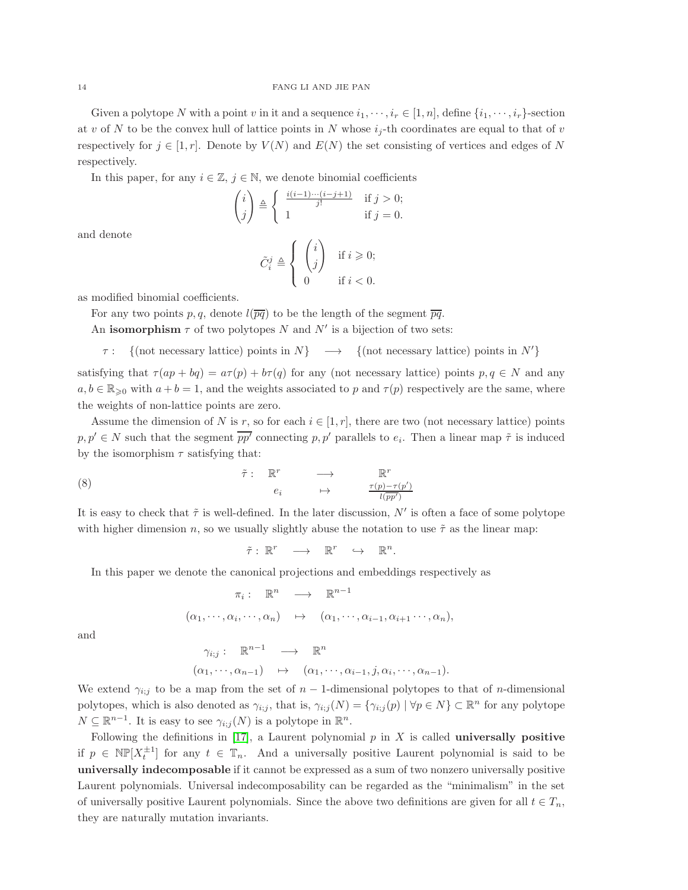Given a polytope N with a point v in it and a sequence  $i_1, \dots, i_r \in [1, n]$ , define  $\{i_1, \dots, i_r\}$ -section at v of N to be the convex hull of lattice points in N whose  $i_j$ -th coordinates are equal to that of v respectively for  $j \in [1, r]$ . Denote by  $V(N)$  and  $E(N)$  the set consisting of vertices and edges of N respectively.

In this paper, for any  $i \in \mathbb{Z}$ ,  $j \in \mathbb{N}$ , we denote binomial coefficients

$$
\begin{pmatrix} i \\ j \end{pmatrix} \triangleq \begin{cases} \frac{i(i-1)\cdots(i-j+1)}{j!} & \text{if } j > 0; \\ 1 & \text{if } j = 0. \end{cases}
$$

and denote

$$
\tilde{C}_i^j \triangleq \left\{ \begin{array}{ll} \begin{pmatrix} i \\ j \end{pmatrix} & \text{if } i \geqslant 0; \\ 0 & \text{if } i < 0. \end{array} \right.
$$

as modified binomial coefficients.

For any two points p, q, denote  $l(\overline{pq})$  to be the length of the segment  $\overline{pq}$ .

An isomorphism  $\tau$  of two polytopes N and N' is a bijection of two sets:

 $\tau: \{(\text{not necessary lattice}) \text{ points in } N\} \longrightarrow \{(\text{not necessary lattice}) \text{ points in } N'\}$ 

satisfying that  $\tau(ap + bq) = a\tau(p) + b\tau(q)$  for any (not necessary lattice) points  $p, q \in N$  and any  $a, b \in \mathbb{R}_{\geqslant 0}$  with  $a + b = 1$ , and the weights associated to p and  $\tau(p)$  respectively are the same, where the weights of non-lattice points are zero.

Assume the dimension of N is r, so for each  $i \in [1, r]$ , there are two (not necessary lattice) points  $p, p' \in N$  such that the segment  $pp'$  connecting  $p, p'$  parallels to  $e_i$ . Then a linear map  $\tilde{\tau}$  is induced by the isomorphism  $\tau$  satisfying that:

(8) 
$$
\tilde{\tau}: \mathbb{R}^r \longrightarrow \mathbb{R}^r
$$
  
\n $e_i \longrightarrow \frac{\tau(p) - \tau(p')}{l(p p')}$ 

It is easy to check that  $\tilde{\tau}$  is well-defined. In the later discussion, N' is often a face of some polytope with higher dimension n, so we usually slightly abuse the notation to use  $\tilde{\tau}$  as the linear map:

<span id="page-13-0"></span>
$$
\tilde{\tau}: \mathbb{R}^r \longrightarrow \mathbb{R}^r \hookrightarrow \mathbb{R}^n.
$$

In this paper we denote the canonical projections and embeddings respectively as

$$
\pi_i: \mathbb{R}^n \longrightarrow \mathbb{R}^{n-1}
$$
  

$$
(\alpha_1, \dots, \alpha_i, \dots, \alpha_n) \mapsto (\alpha_1, \dots, \alpha_{i-1}, \alpha_{i+1} \dots, \alpha_n),
$$

and

$$
\gamma_{i,j} : \mathbb{R}^{n-1} \longrightarrow \mathbb{R}^n
$$
  

$$
(\alpha_1, \dots, \alpha_{n-1}) \mapsto (\alpha_1, \dots, \alpha_{i-1}, j, \alpha_i, \dots, \alpha_{n-1}).
$$

We extend  $\gamma_{i,j}$  to be a map from the set of  $n-1$ -dimensional polytopes to that of n-dimensional polytopes, which is also denoted as  $\gamma_{i,j}$ , that is,  $\gamma_{i,j}(N) = \{\gamma_{i,j}(p) \mid \forall p \in N\} \subset \mathbb{R}^n$  for any polytope  $N \subseteq \mathbb{R}^{n-1}$ . It is easy to see  $\gamma_{i;j}(N)$  is a polytope in  $\mathbb{R}^n$ .

Following the definitions in [\[17\]](#page-52-4), a Laurent polynomial  $p$  in X is called universally positive if  $p \in \mathbb{NP}[X_t^{\pm 1}]$  for any  $t \in \mathbb{T}_n$ . And a universally positive Laurent polynomial is said to be universally indecomposable if it cannot be expressed as a sum of two nonzero universally positive Laurent polynomials. Universal indecomposability can be regarded as the "minimalism" in the set of universally positive Laurent polynomials. Since the above two definitions are given for all  $t \in T_n$ , they are naturally mutation invariants.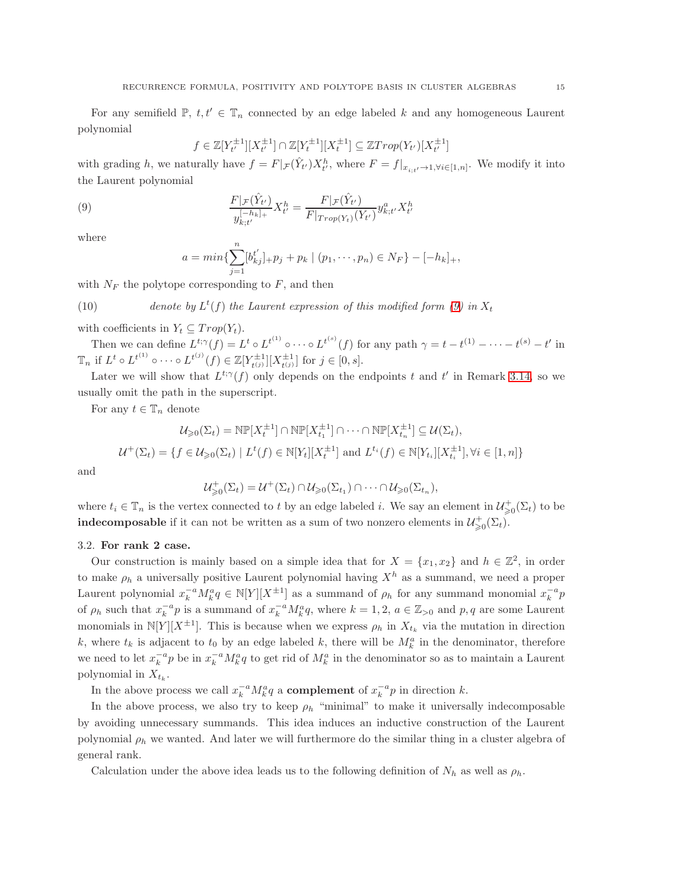For any semifield  $\mathbb{P}, t, t' \in \mathbb{T}_n$  connected by an edge labeled k and any homogeneous Laurent polynomial

$$
f \in \mathbb{Z}[Y_{t'}^{\pm 1}][X_{t'}^{\pm 1}] \cap \mathbb{Z}[Y_t^{\pm 1}][X_t^{\pm 1}] \subseteq \mathbb{Z}Trop(Y_{t'})[X_{t'}^{\pm 1}]
$$

with grading h, we naturally have  $f = F|_{\mathcal{F}}(\hat{Y}_{t'})X_{t'}^h$ , where  $F = f|_{x_{i;t'}\to 1,\forall i\in[1,n]}$ . We modify it into the Laurent polynomial

(9) 
$$
\frac{F|_{\mathcal{F}}(\hat{Y}_{t'})}{y_{k;t'}^{[-h_k]_+}} X_{t'}^h = \frac{F|_{\mathcal{F}}(\hat{Y}_{t'})}{F|_{Trop(Y_t)}(Y_{t'})} y_{k;t'}^a X_{t'}^h
$$

where

<span id="page-14-1"></span>
$$
a = min\{\sum_{j=1}^{n} [b_{kj}^{t'}]_{+}p_j + p_k | (p_1, \cdots, p_n) \in N_F\} - [-h_k]_{+},
$$

with  $N_F$  the polytope corresponding to  $F$ , and then

(10) denote by 
$$
L^t(f)
$$
 the Laurent expression of this modified form (9) in  $X_t$ 

with coefficients in  $Y_t \subseteq Trop(Y_t)$ .

Then we can define  $L^{t;\gamma}(f) = L^t \circ L^{t^{(1)}} \circ \cdots \circ L^{t^{(s)}}(f)$  for any path  $\gamma = t - t^{(1)} - \cdots - t^{(s)} - t'$  in  $\mathbb{T}_n$  if  $L^t \circ L^{t^{(1)}} \circ \cdots \circ L^{t^{(j)}}(f) \in \mathbb{Z}[Y_{t^{(j)}}^{\pm 1}][X_{t^{(j)}}^{\pm 1}]$  for  $j \in [0, s]$ .

Later we will show that  $L^{t;\gamma}(f)$  only depends on the endpoints t and t' in Remark [3.14,](#page-30-0) so we usually omit the path in the superscript.

For any  $t\in \mathbb{T}_n$  denote

$$
\mathcal{U}_{\geqslant 0}(\Sigma_t) = \mathbb{NP}[X_t^{\pm 1}] \cap \mathbb{NP}[X_{t_1}^{\pm 1}] \cap \cdots \cap \mathbb{NP}[X_{t_n}^{\pm 1}] \subseteq \mathcal{U}(\Sigma_t),
$$

$$
\mathcal{U}^+(\Sigma_t) = \{ f \in \mathcal{U}_{\geq 0}(\Sigma_t) \mid L^t(f) \in \mathbb{N}[Y_t][X_t^{\pm 1}] \text{ and } L^{t_i}(f) \in \mathbb{N}[Y_{t_i}][X_{t_i}^{\pm 1}], \forall i \in [1, n] \}
$$

and

$$
\mathcal{U}^+_{\geq 0}(\Sigma_t) = \mathcal{U}^+(\Sigma_t) \cap \mathcal{U}_{\geq 0}(\Sigma_{t_1}) \cap \cdots \cap \mathcal{U}_{\geq 0}(\Sigma_{t_n}),
$$

where  $t_i \in \mathbb{T}_n$  is the vertex connected to t by an edge labeled i. We say an element in  $\mathcal{U}^+_{\geq 0}(\Sigma_t)$  to be **indecomposable** if it can not be written as a sum of two nonzero elements in  $\mathcal{U}^+_{\geq 0}(\Sigma_t)$ .

#### <span id="page-14-0"></span>3.2. For rank 2 case.

Our construction is mainly based on a simple idea that for  $X = \{x_1, x_2\}$  and  $h \in \mathbb{Z}^2$ , in order to make  $\rho_h$  a universally positive Laurent polynomial having  $X^h$  as a summand, we need a proper Laurent polynomial  $x_k^{-a} M_k^a q \in N[Y][X^{\pm 1}]$  as a summand of  $\rho_h$  for any summand monomial  $x_k^{-a} p$ of  $\rho_h$  such that  $x_k^{-a}p$  is a summand of  $x_k^{-a}M_k^aq$ , where  $k = 1, 2, a \in \mathbb{Z}_{>0}$  and  $p, q$  are some Laurent monomials in  $\mathbb{N}[Y][X^{\pm 1}]$ . This is because when we express  $\rho_h$  in  $X_{t_k}$  via the mutation in direction k, where  $t_k$  is adjacent to  $t_0$  by an edge labeled k, there will be  $M_k^a$  in the denominator, therefore we need to let  $x_k^{-a} p$  be in  $x_k^{-a} M_k^a q$  to get rid of  $M_k^a$  in the denominator so as to maintain a Laurent polynomial in  $X_{t_k}$ .

In the above process we call  $x_k^{-a} M_k^a q$  a **complement** of  $x_k^{-a} p$  in direction k.

In the above process, we also try to keep  $\rho_h$  "minimal" to make it universally indecomposable by avoiding unnecessary summands. This idea induces an inductive construction of the Laurent polynomial  $\rho_h$  we wanted. And later we will furthermore do the similar thing in a cluster algebra of general rank.

Calculation under the above idea leads us to the following definition of  $N_h$  as well as  $\rho_h$ .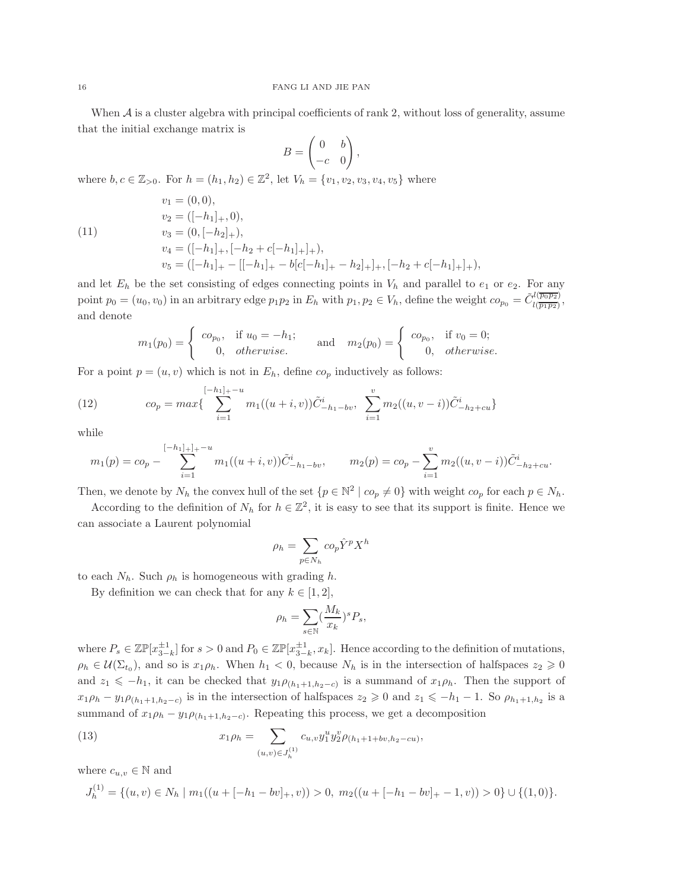When  $A$  is a cluster algebra with principal coefficients of rank 2, without loss of generality, assume that the initial exchange matrix is

$$
B = \begin{pmatrix} 0 & b \\ -c & 0 \end{pmatrix},
$$

where  $b, c \in \mathbb{Z}_{>0}$ . For  $h = (h_1, h_2) \in \mathbb{Z}^2$ , let  $V_h = \{v_1, v_2, v_3, v_4, v_5\}$  where

 $v_1 = (0, 0),$ 

(11)

$$
v_2 = ([-h_1]_+, 0),
$$
  
\n
$$
v_3 = (0, [-h_2]_+),
$$
  
\n
$$
v_4 = ([-h_1]_+, [-h_2 + c[-h_1]_+],
$$
  
\n
$$
v_5 = ([-h_1]_+ - [[-h_1]_+ - b[c[-h_1]_+ - h_2]_+], [-h_2 + c[-h_1]_+],
$$

and let  $E_h$  be the set consisting of edges connecting points in  $V_h$  and parallel to  $e_1$  or  $e_2$ . For any point  $p_0 = (u_0, v_0)$  in an arbitrary edge  $p_1 p_2$  in  $E_h$  with  $p_1, p_2 \in V_h$ , define the weight  $co_{p_0} = \tilde{C}^{l(\overline{p_0 p_2})}_{l(\overline{p_1 p_2})}$  $\frac{\mu(p_0p_2)}{\mu(\overline{p_1p_2})},$ and denote

$$
m_1(p_0) = \begin{cases} c o_{p_0}, & \text{if } u_0 = -h_1; \\ 0, & \text{otherwise.} \end{cases} \quad \text{and} \quad m_2(p_0) = \begin{cases} c o_{p_0}, & \text{if } v_0 = 0; \\ 0, & \text{otherwise.} \end{cases}
$$

For a point  $p = (u, v)$  which is not in  $E_h$ , define  $co_p$  inductively as follows:

<span id="page-15-1"></span>(12) 
$$
co_p = max \{ \sum_{i=1}^{[-h_1]_+ - u} m_1((u+i, v)) \tilde{C}_{-h_1 - bv}^i, \sum_{i=1}^v m_2((u, v-i)) \tilde{C}_{-h_2 + cu}^i \}
$$

while

$$
m_1(p) = c_0 - \sum_{i=1}^{[-h_1]_+|-u} m_1((u+i,v)) \tilde{C}^i_{-h_1-bv}, \qquad m_2(p) = c_0 - \sum_{i=1}^v m_2((u,v-i)) \tilde{C}^i_{-h_2+cu}.
$$

Then, we denote by  $N_h$  the convex hull of the set  $\{p \in \mathbb{N}^2 \mid co_p \neq 0\}$  with weight  $co_p$  for each  $p \in N_h$ .

According to the definition of  $N_h$  for  $h \in \mathbb{Z}^2$ , it is easy to see that its support is finite. Hence we can associate a Laurent polynomial

$$
\rho_h = \sum_{p \in N_h} c o_p \hat{Y}^p X^h
$$

to each  $N_h$ . Such  $\rho_h$  is homogeneous with grading h.

By definition we can check that for any  $k \in [1, 2]$ ,

<span id="page-15-0"></span>
$$
\rho_h = \sum_{s \in \mathbb{N}} \left(\frac{M_k}{x_k}\right)^s P_s,
$$

where  $P_s \in \mathbb{Z} \mathbb{P}[x_{3-k}^{\pm 1}]$  for  $s > 0$  and  $P_0 \in \mathbb{Z} \mathbb{P}[x_{3-k}^{\pm 1}, x_k]$ . Hence according to the definition of mutations,  $\rho_h \in \mathcal{U}(\Sigma_{t_0})$ , and so is  $x_1 \rho_h$ . When  $h_1 < 0$ , because  $N_h$  is in the intersection of halfspaces  $z_2 \geq 0$ and  $z_1 \leq -h_1$ , it can be checked that  $y_1\rho_{(h_1+1,h_2-c)}$  is a summand of  $x_1\rho_h$ . Then the support of  $x_1\rho_h - y_1\rho_{(h_1+1,h_2-c)}$  is in the intersection of halfspaces  $z_2 \geqslant 0$  and  $z_1 \leqslant -h_1-1$ . So  $\rho_{h_1+1,h_2}$  is a summand of  $x_1 \rho_h - y_1 \rho_{(h_1+1,h_2-c)}$ . Repeating this process, we get a decomposition

(13) 
$$
x_1 \rho_h = \sum_{(u,v) \in J_h^{(1)}} c_{u,v} y_1^u y_2^v \rho_{(h_1+1+bv,h_2-cu)},
$$

where  $c_{u,v} \in \mathbb{N}$  and

$$
J_h^{(1)} = \{(u, v) \in N_h \mid m_1((u + [-h_1 - bv]_+, v)) > 0, m_2((u + [-h_1 - bv]_+ - 1, v)) > 0\} \cup \{(1, 0)\}.
$$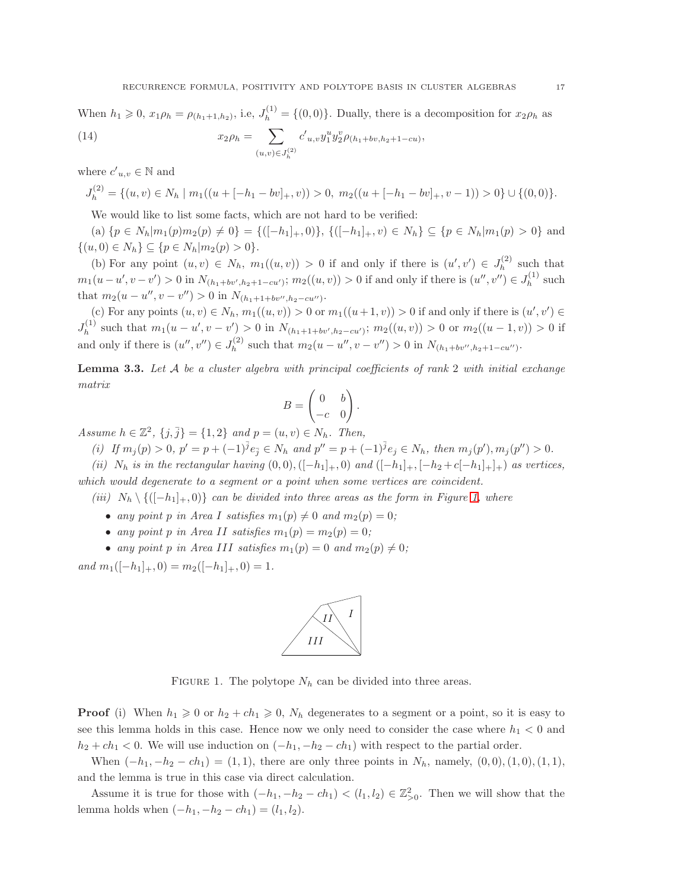When  $h_1 \geq 0$ ,  $x_1 \rho_h = \rho_{(h_1+1,h_2)}$ , i.e,  $J_h^{(1)} = \{(0,0)\}\$ . Dually, there is a decomposition for  $x_2 \rho_h$  as

<span id="page-16-1"></span>(14) 
$$
x_2 \rho_h = \sum_{(u,v)\in J_h^{(2)}} c'_{u,v} y_1^u y_2^v \rho_{(h_1+bv,h_2+1-cu)},
$$

where  $c'_{u,v} \in \mathbb{N}$  and

$$
J_h^{(2)} = \{(u, v) \in N_h \mid m_1((u + [-h_1 - bv]_+, v)) > 0, m_2((u + [-h_1 - bv]_+, v - 1)) > 0\} \cup \{(0, 0)\}.
$$

We would like to list some facts, which are not hard to be verified:

(a)  $\{p \in N_h | m_1(p)m_2(p) \neq 0\} = \{([-h_1]_+, 0)\}, \{([-h_1]_+, v) \in N_h\} \subseteq \{p \in N_h | m_1(p) > 0\}$  and  $\{(u, 0) \in N_h\} \subseteq \{p \in N_h | m_2(p) > 0\}.$ 

(b) For any point  $(u, v) \in N_h$ ,  $m_1((u, v)) > 0$  if and only if there is  $(u', v') \in J_h^{(2)}$  $h^{(2)}$  such that  $m_1(u-u',v-v') > 0$  in  $N_{(h_1+bv',h_2+1-cu')}$ ;  $m_2((u,v)) > 0$  if and only if there is  $(u'',v'') \in J_h^{(1)}$  $h^{(1)}$  such that  $m_2(u - u'', v - v'') > 0$  in  $N_{(h_1 + 1 + bv'', h_2 - cu'')}$ .

(c) For any points  $(u, v) \in N_h$ ,  $m_1((u, v)) > 0$  or  $m_1((u+1, v)) > 0$  if and only if there is  $(u', v') \in N_h$  $J_h^{(1)}$  $h_1^{(1)}$  such that  $m_1(u-u', v-v') > 0$  in  $N_{(h_1+1+bv', h_2-cu')}$ ;  $m_2((u, v)) > 0$  or  $m_2((u-1, v)) > 0$  if and only if there is  $(u'', v'') \in J_h^{(2)}$  $h_h^{(2)}$  such that  $m_2(u - u'', v - v'') > 0$  in  $N_{(h_1 + bv'', h_2 + 1 - cu'')}$ .

<span id="page-16-2"></span>**Lemma 3.3.** Let  $A$  be a cluster algebra with principal coefficients of rank 2 with initial exchange matrix

$$
B = \begin{pmatrix} 0 & b \\ -c & 0 \end{pmatrix}.
$$

Assume  $h \in \mathbb{Z}^2$ ,  $\{j, \bar{j}\} = \{1, 2\}$  and  $p = (u, v) \in N_h$ . Then,

(i) If  $m_j(p) > 0$ ,  $p' = p + (-1)^{\bar{j}} e_{\bar{j}} \in N_h$  and  $p'' = p + (-1)^{\bar{j}} e_j \in N_h$ , then  $m_j(p'), m_j(p'') > 0$ .

(ii)  $N_h$  is in the rectangular having  $(0, 0), (-h_1]_+, 0)$  and  $([-h_1]_+, [-h_2 + c[-h_1]_+]_+$  as vertices,

which would degenerate to a segment or a point when some vertices are coincident.

(iii)  $N_h \setminus \{([-h_1]_+, 0)\}$  can be divided into three areas as the form in Figure [1,](#page-16-0) where

- any point p in Area I satisfies  $m_1(p) \neq 0$  and  $m_2(p) = 0$ ;
- any point p in Area II satisfies  $m_1(p) = m_2(p) = 0$ ;
- any point p in Area III satisfies  $m_1(p) = 0$  and  $m_2(p) \neq 0$ ;

and  $m_1([-h_1]_+, 0) = m_2([-h_1]_+, 0) = 1.$ 



<span id="page-16-0"></span>FIGURE 1. The polytope  $N_h$  can be divided into three areas.

**Proof** (i) When  $h_1 \geq 0$  or  $h_2 + ch_1 \geq 0$ ,  $N_h$  degenerates to a segment or a point, so it is easy to see this lemma holds in this case. Hence now we only need to consider the case where  $h_1 < 0$  and  $h_2 + ch_1 < 0$ . We will use induction on  $(-h_1, -h_2 - ch_1)$  with respect to the partial order.

When  $(-h_1, -h_2 - ch_1) = (1, 1)$ , there are only three points in  $N_h$ , namely,  $(0, 0), (1, 0), (1, 1)$ , and the lemma is true in this case via direct calculation.

Assume it is true for those with  $(-h_1, -h_2 - ch_1) < (l_1, l_2) \in \mathbb{Z}_{>0}^2$ . Then we will show that the lemma holds when  $(-h_1, -h_2 - ch_1) = (l_1, l_2)$ .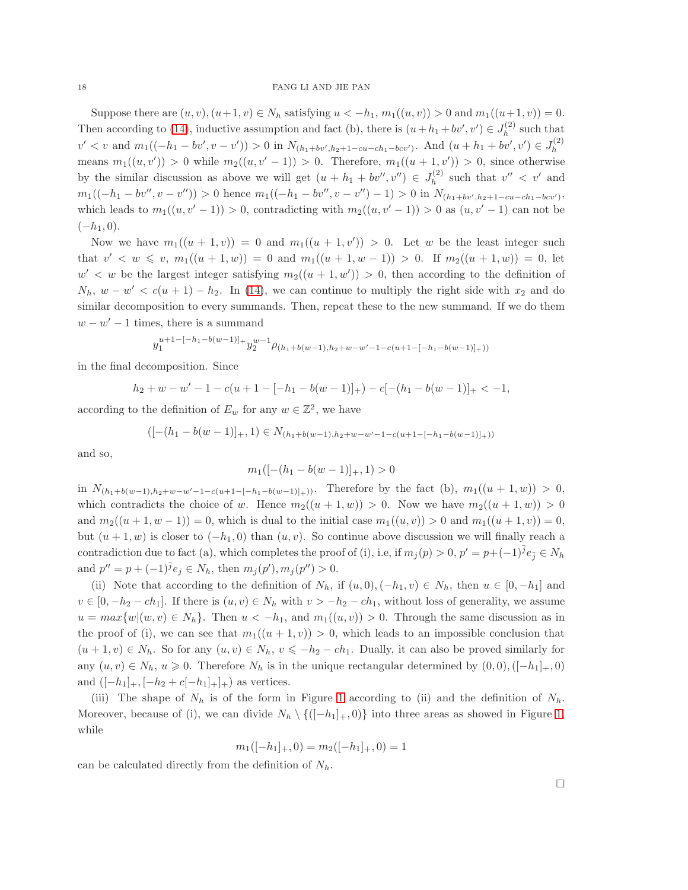Suppose there are  $(u, v), (u+1, v) \in N_h$  satisfying  $u < -h_1, m_1((u, v)) > 0$  and  $m_1((u+1, v)) = 0$ . Then according to [\(14\)](#page-16-1), inductive assumption and fact (b), there is  $(u+h_1+bv',v') \in J_h^{(2)}$  $h^{(2)}$  such that  $v' < v$  and  $m_1((-h_1 - bv', v - v')) > 0$  in  $N_{(h_1 + bv', h_2 + 1 - cu - ch_1 - bcv')}$ . And  $(u + h_1 + bv', v') \in J_h^{(2)}$ h means  $m_1((u, v')) > 0$  while  $m_2((u, v' - 1)) > 0$ . Therefore,  $m_1((u + 1, v')) > 0$ , since otherwise by the similar discussion as above we will get  $(u + h_1 + bv'', v'') \in J_h^{(2)}$  $h_h^{(2)}$  such that  $v'' < v'$  and  $m_1((-h_1-bv'',v-v''))>0$  hence  $m_1((-h_1-bv'',v-v'')-1)>0$  in  $N_{(h_1+bv',h_2+1-cu-ch_1-bcv')}$ , which leads to  $m_1((u, v' - 1)) > 0$ , contradicting with  $m_2((u, v' - 1)) > 0$  as  $(u, v' - 1)$  can not be  $(-h_1, 0).$ 

Now we have  $m_1((u+1,v)) = 0$  and  $m_1((u+1,v')) > 0$ . Let w be the least integer such that  $v' < w \leq v$ ,  $m_1((u + 1, w)) = 0$  and  $m_1((u + 1, w - 1)) > 0$ . If  $m_2((u + 1, w)) = 0$ , let  $w' < w$  be the largest integer satisfying  $m_2((u+1, w')) > 0$ , then according to the definition of  $N_h$ ,  $w - w' < c(u + 1) - h_2$ . In [\(14\)](#page-16-1), we can continue to multiply the right side with  $x_2$  and do similar decomposition to every summands. Then, repeat these to the new summand. If we do them  $w - w' - 1$  times, there is a summand

$$
y_1^{u+1-[h_1-b(w-1)]} + y_2^{w-1} \rho_{(h_1+b(w-1),h_2+w-w'-1-c(u+1-[-h_1-b(w-1)]+))}
$$

in the final decomposition. Since

 $h_2 + w - w' - 1 - c(u + 1 - [-h_1 - b(w - 1)]_+) - c[-(h_1 - b(w - 1)]_+ < -1,$ 

according to the definition of  $E_w$  for any  $w \in \mathbb{Z}^2$ , we have

$$
([- (h_1 - b(w - 1)]_+, 1) \in N_{(h_1 + b(w - 1), h_2 + w - w' - 1 - c(u + 1 - [-h_1 - b(w - 1)]_+))}
$$

and so,

$$
m_1([-(h_1-b(w-1)]_+,1)>0
$$

in  $N_{(h_1+b(w-1),h_2+w-w'-1-c(u+1-[-h_1-b(w-1)]_+))}$ . Therefore by the fact (b),  $m_1((u+1,w)) > 0$ , which contradicts the choice of w. Hence  $m_2((u+1,w)) > 0$ . Now we have  $m_2((u+1,w)) > 0$ and  $m_2((u+1, w-1)) = 0$ , which is dual to the initial case  $m_1((u, v)) > 0$  and  $m_1((u+1, v)) = 0$ , but  $(u + 1, w)$  is closer to  $(-h_1, 0)$  than  $(u, v)$ . So continue above discussion we will finally reach a contradiction due to fact (a), which completes the proof of (i), i.e, if  $m_j(p) > 0$ ,  $p' = p + (-1)^{\bar{j}} e_{\bar{j}} \in N_h$ and  $p'' = p + (-1)^{\bar{j}} e_j \in N_h$ , then  $m_j(p'')$ ,  $m_j(p'') > 0$ .

(ii) Note that according to the definition of  $N_h$ , if  $(u, 0), (-h_1, v) \in N_h$ , then  $u \in [0, -h_1]$  and  $v \in [0, -h_2 - ch_1]$ . If there is  $(u, v) \in N_h$  with  $v > -h_2 - ch_1$ , without loss of generality, we assume  $u = max{w | (w, v) \in N_h}$ . Then  $u < -h_1$ , and  $m_1((u, v)) > 0$ . Through the same discussion as in the proof of (i), we can see that  $m_1((u + 1, v)) > 0$ , which leads to an impossible conclusion that  $(u + 1, v) \in N_h$ . So for any  $(u, v) \in N_h$ ,  $v \le -h_2 - ch_1$ . Dually, it can also be proved similarly for any  $(u, v) \in N_h$ ,  $u \geq 0$ . Therefore  $N_h$  is in the unique rectangular determined by  $(0, 0), ([-h_1]_+, 0)$ and  $([-h<sub>1</sub>]<sub>+</sub>, [-h<sub>2</sub> + c[-h<sub>1</sub>]<sub>+</sub>]$  as vertices.

(iii) The shape of  $N_h$  is of the form in Figure [1](#page-16-0) according to (ii) and the definition of  $N_h$ . Moreover, because of (i), we can divide  $N_h \setminus \{([-h_1]_+, 0)\}$  into three areas as showed in Figure [1,](#page-16-0) while

$$
m_1([-h_1]_+,0) = m_2([-h_1]_+,0) = 1
$$

can be calculated directly from the definition of  $N_h$ .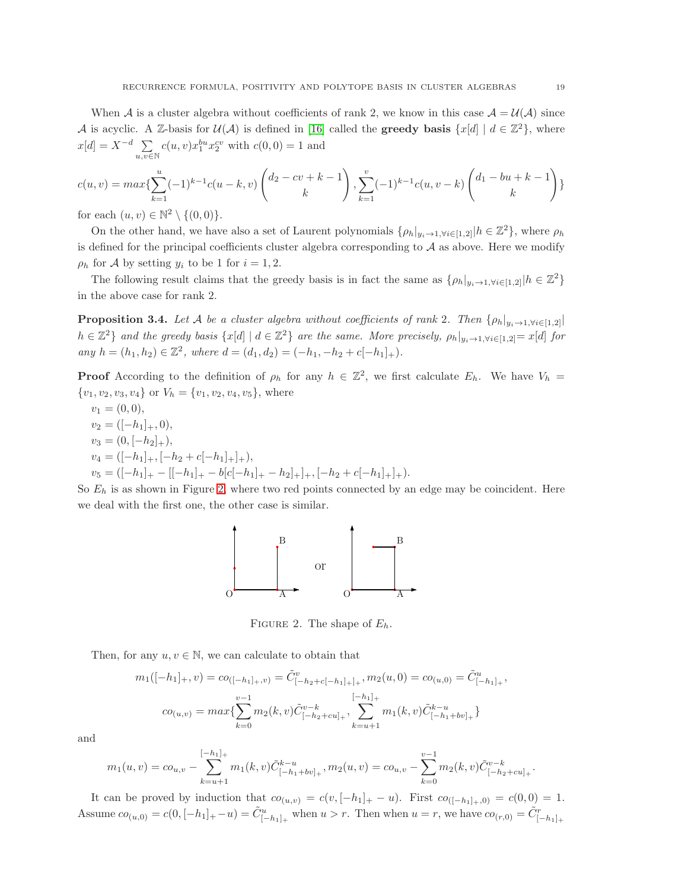When A is a cluster algebra without coefficients of rank 2, we know in this case  $A = U(A)$  since A is acyclic. A Z-basis for  $\mathcal{U}(\mathcal{A})$  is defined in [\[16\]](#page-52-6) called the **greedy basis**  $\{x[d] \mid d \in \mathbb{Z}^2\}$ , where  $x[d] = X^{-d} \sum$  $u,\overline{v} \in \mathbb{N}$  $c(u, v)x_1^{bu}x_2^{cv}$  with  $c(0, 0) = 1$  and

$$
c(u,v) = \max\{\sum_{k=1}^{u}(-1)^{k-1}c(u-k,v)\begin{pmatrix}d_2-cv+k-1\\k\end{pmatrix},\sum_{k=1}^{v}(-1)^{k-1}c(u,v-k)\begin{pmatrix}d_1-bu+k-1\\k\end{pmatrix}\}
$$

for each  $(u, v) \in \mathbb{N}^2 \setminus \{(0, 0)\}.$ 

On the other hand, we have also a set of Laurent polynomials  $\{\rho_h|_{y_i\to 1, \forall i\in [1,2]}|h\in \mathbb{Z}^2\}$ , where  $\rho_h$ is defined for the principal coefficients cluster algebra corresponding to  $A$  as above. Here we modify  $\rho_h$  for A by setting  $y_i$  to be 1 for  $i = 1, 2$ .

The following result claims that the greedy basis is in fact the same as  $\{\rho_h|_{y_i\to 1, \forall i\in [1,2]}|h\in \mathbb{Z}^2\}$ in the above case for rank 2.

<span id="page-18-0"></span>**Proposition 3.4.** Let A be a cluster algebra without coefficients of rank 2. Then  $\{\rho_h|_{y_i\to 1, \forall i\in[1,2]}$  $h \in \mathbb{Z}^2$  and the greedy basis  $\{x[d] \mid d \in \mathbb{Z}^2\}$  are the same. More precisely,  $\rho_h|_{y_i \to 1, \forall i \in [1,2]} = x[d]$  for any  $h = (h_1, h_2) \in \mathbb{Z}^2$ , where  $d = (d_1, d_2) = (-h_1, -h_2 + c[-h_1]_+)$ .

**Proof** According to the definition of  $\rho_h$  for any  $h \in \mathbb{Z}^2$ , we first calculate  $E_h$ . We have  $V_h$  ${v_1, v_2, v_3, v_4}$  or  $V_h = {v_1, v_2, v_4, v_5}$ , where

 $v_1 = (0, 0),$  $v_2 = ([-h_1]_+, 0),$  $v_3 = (0, [-h_2]_+),$  $v_4 = ([-h_1]_+, [-h_2 + c[-h_1]_+],$  $v_5 = ([-h_1]_+ - [[-h_1]_+ - b[c[-h_1]_+ - h_2]_+]_+, [-h_2 + c[-h_1]_+]_+).$ 

So  $E_h$  is as shown in Figure [2,](#page-18-1) where two red points connected by an edge may be coincident. Here we deal with the first one, the other case is similar.



<span id="page-18-1"></span>FIGURE 2. The shape of  $E_h$ .

Then, for any  $u, v \in \mathbb{N}$ , we can calculate to obtain that

$$
m_1([-h_1]_+, v) = co_{([-h_1]_+, v)} = \tilde{C}_{[-h_2+c[-h_1]_+]_+}^v, m_2(u, 0) = co_{(u, 0)} = \tilde{C}_{[-h_1]_+}^u,
$$
  

$$
co_{(u,v)} = max\{\sum_{k=0}^{v-1} m_2(k, v)\tilde{C}_{[-h_2+cu]_+}^{v-k}, \sum_{k=u+1}^{[-h_1]_+} m_1(k, v)\tilde{C}_{[-h_1+bv]_+}^{k-u}\}
$$

and

$$
m_1(u,v) = c_0u,v - \sum_{k=u+1}^{[-h_1]_+} m_1(k,v) \tilde{C}_{[-h_1+bv]_+}^{k-u}, m_2(u,v) = c_0u,v - \sum_{k=0}^{v-1} m_2(k,v) \tilde{C}_{[-h_2+cu]_+}^{v-k}.
$$

It can be proved by induction that  $co_{(u,v)} = c(v, [-h_1]_+ - u)$ . First  $co_{([-h_1]_+,0)} = c(0,0) = 1$ . Assume  $co_{(u,0)} = c(0, [-h_1]_+ - u) = \tilde{C}_{[-h_1]_+}^u$  when  $u > r$ . Then when  $u = r$ , we have  $co_{(r,0)} = \tilde{C}_{[-h_1]_+}^r$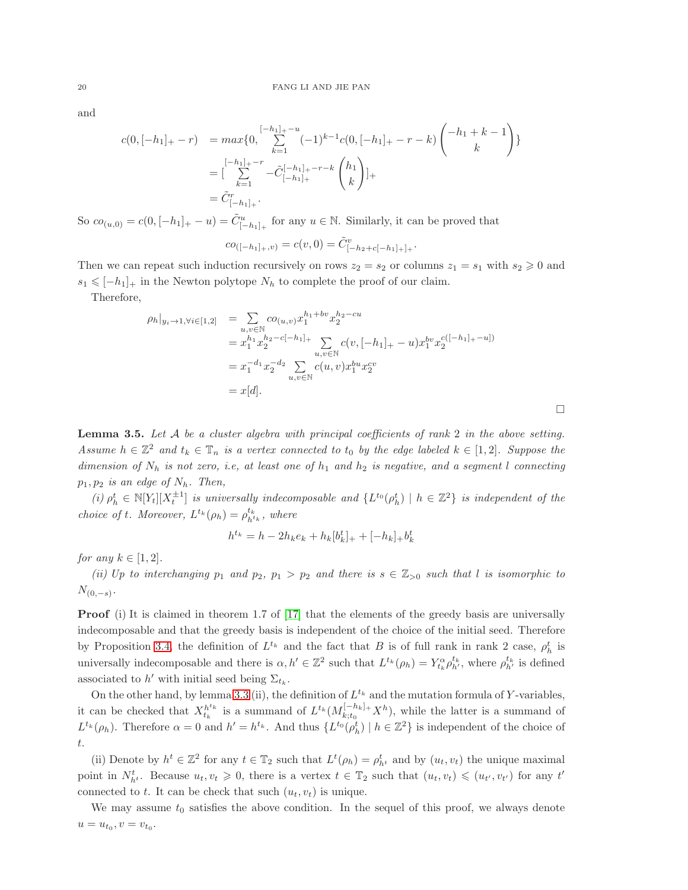and

$$
c(0,[-h_1]_+ - r) = \max\{0, \sum_{k=1}^{[-h_1]_+ - u} (-1)^{k-1} c(0,[-h_1]_+ - r - k) \binom{-h_1 + k - 1}{k}\}
$$
  

$$
= \left[\sum_{k=1}^{[-h_1]_+ - r} -\tilde{C}^{-[-h_1]_+ - r - k}_{[-h_1]_+} \binom{h_1}{k}\right]_+
$$
  

$$
= \tilde{C}^r_{[-h_1]_+}.
$$

So  $co_{(u,0)} = c(0, [-h_1]_+ - u) = \tilde{C}^u_{[-h_1]_+}$  for any  $u \in \mathbb{N}$ . Similarly, it can be proved that

$$
co_{([-h1],+,v)} = c(v,0) = \tilde{C}^v_{[-h_2+c[-h_1]_+]_+}.
$$

Then we can repeat such induction recursively on rows  $z_2 = s_2$  or columns  $z_1 = s_1$  with  $s_2 \geq 0$  and  $s_1 \leq -h_1$  in the Newton polytope  $N_h$  to complete the proof of our claim.

Therefore,

$$
\rho_h|_{y_i \to 1, \forall i \in [1,2]} = \sum_{u,v \in \mathbb{N}} c o_{(u,v)} x_1^{h_1 + bv} x_2^{h_2 - cu}
$$
  
\n
$$
= x_1^{h_1} x_2^{h_2 - c[-h_1]_+} \sum_{u,v \in \mathbb{N}} c(v, [-h_1]_+ - u) x_1^{bv} x_2^{c([-h_1]_+ - u]}
$$
  
\n
$$
= x_1^{-d_1} x_2^{-d_2} \sum_{u,v \in \mathbb{N}} c(u,v) x_1^{bu} x_2^{cv}
$$
  
\n
$$
= x[d].
$$

<span id="page-19-0"></span>**Lemma 3.5.** Let  $A$  be a cluster algebra with principal coefficients of rank 2 in the above setting. Assume  $h \in \mathbb{Z}^2$  and  $t_k \in \mathbb{T}_n$  is a vertex connected to  $t_0$  by the edge labeled  $k \in [1,2]$ . Suppose the dimension of  $N_h$  is not zero, i.e, at least one of  $h_1$  and  $h_2$  is negative, and a segment l connecting  $p_1, p_2$  is an edge of  $N_h$ . Then,

(i)  $\rho_h^t \in \mathbb{N}[Y_t][X_t^{\pm 1}]$  is universally indecomposable and  $\{L^{t_0}(\rho_h^t) \mid h \in \mathbb{Z}^2\}$  is independent of the choice of t. Moreover,  $L^{t_k}(\rho_h) = \rho_{h^{t_k}}^{t_k}$ , where

$$
h^{t_k} = h - 2h_k e_k + h_k [b_k^t]_+ + [-h_k]_+ b_k^t
$$

for any  $k \in [1, 2]$ .

(ii) Up to interchanging  $p_1$  and  $p_2$ ,  $p_1 > p_2$  and there is  $s \in \mathbb{Z}_{>0}$  such that l is isomorphic to  $N_{(0,-s)}$ .

**Proof** (i) It is claimed in theorem 1.7 of [\[17\]](#page-52-4) that the elements of the greedy basis are universally indecomposable and that the greedy basis is independent of the choice of the initial seed. Therefore by Proposition [3.4,](#page-18-0) the definition of  $L^{t_k}$  and the fact that B is of full rank in rank 2 case,  $\rho_h^t$  is universally indecomposable and there is  $\alpha, h' \in \mathbb{Z}^2$  such that  $L^{t_k}(\rho_h) = Y_{t_k}^{\alpha} \rho_{h'}^{t_k}$ , where  $\rho_{h'}^{t_k}$  is defined associated to h' with initial seed being  $\Sigma_{t_k}$ .

On the other hand, by lemma [3.3](#page-16-2) (ii), the definition of  $L^{t_k}$  and the mutation formula of Y-variables, it can be checked that  $X_{t_k}^{h^{t_k}}$  is a summand of  $L^{t_k}(M_{k;t_0}^{[-h_k]+X^h})$ , while the latter is a summand of  $L^{t_k}(\rho_h)$ . Therefore  $\alpha = 0$  and  $h' = h^{t_k}$ . And thus  $\{L^{t_0}(\rho_h^t) \mid h \in \mathbb{Z}^2\}$  is independent of the choice of t.

(ii) Denote by  $h^t \in \mathbb{Z}^2$  for any  $t \in \mathbb{T}_2$  such that  $L^t(\rho_h) = \rho_{h^t}^t$  and by  $(u_t, v_t)$  the unique maximal point in  $N_{h^t}^t$ . Because  $u_t, v_t \geq 0$ , there is a vertex  $t \in \mathbb{T}_2$  such that  $(u_t, v_t) \leq (u_{t'}, v_{t'})$  for any  $t'$ connected to t. It can be check that such  $(u_t, v_t)$  is unique.

We may assume  $t_0$  satisfies the above condition. In the sequel of this proof, we always denote  $u = u_{t_0}, v = v_{t_0}.$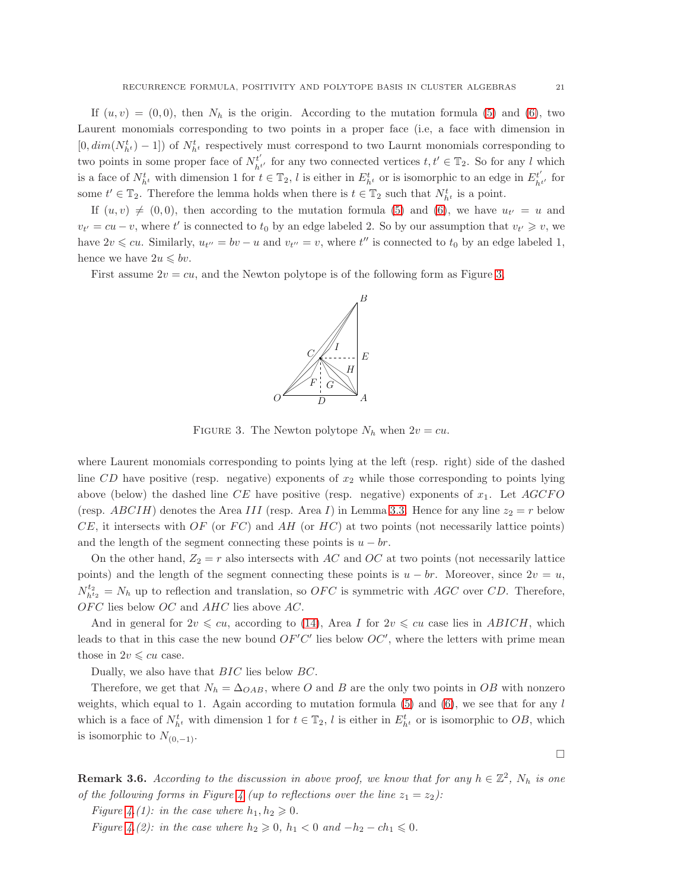If  $(u, v) = (0, 0)$ , then  $N_h$  is the origin. According to the mutation formula [\(5\)](#page-5-0) and [\(6\)](#page-5-1), two Laurent monomials corresponding to two points in a proper face (i.e, a face with dimension in  $[0, dim(N_{h^t}^t) - 1]$  of  $N_{h^t}^t$  respectively must correspond to two Laurnt monomials corresponding to two points in some proper face of  $N_{\scriptscriptstyle{bl}}^{t'}$  $t'_{h^{t'}}$  for any two connected vertices  $t, t' \in \mathbb{T}_2$ . So for any l which is a face of  $N_{h^t}^t$  with dimension 1 for  $t \in \mathbb{T}_2$ , l is either in  $E_{h^t}^t$  or is isomorphic to an edge in  $E_{h^t}^{t'}$  $\frac{t'}{h^{t'}}$  for some  $t' \in \mathbb{T}_2$ . Therefore the lemma holds when there is  $t \in \mathbb{T}_2$  such that  $N_{h^t}^t$  is a point.

If  $(u, v) \neq (0, 0)$ , then according to the mutation formula [\(5\)](#page-5-0) and [\(6\)](#page-5-1), we have  $u_{t'} = u$  and  $v_{t'} = cu - v$ , where t' is connected to  $t_0$  by an edge labeled 2. So by our assumption that  $v_{t'} \geq v$ , we have  $2v \leqslant cu$ . Similarly,  $u_{t''} = bv - u$  and  $v_{t''} = v$ , where  $t''$  is connected to  $t_0$  by an edge labeled 1, hence we have  $2u \leqslant bv$ .

First assume  $2v = cu$ , and the Newton polytope is of the following form as Figure [3,](#page-20-0)



<span id="page-20-0"></span>FIGURE 3. The Newton polytope  $N_h$  when  $2v = cu$ .

where Laurent monomials corresponding to points lying at the left (resp. right) side of the dashed line  $CD$  have positive (resp. negative) exponents of  $x<sub>2</sub>$  while those corresponding to points lying above (below) the dashed line CE have positive (resp. negative) exponents of  $x_1$ . Let  $AGCFO$ (resp. ABCIH) denotes the Area III (resp. Area I) in Lemma [3.3.](#page-16-2) Hence for any line  $z_2 = r$  below  $CE$ , it intersects with OF (or FC) and AH (or HC) at two points (not necessarily lattice points) and the length of the segment connecting these points is  $u - br$ .

On the other hand,  $Z_2 = r$  also intersects with AC and OC at two points (not necessarily lattice points) and the length of the segment connecting these points is  $u - br$ . Moreover, since  $2v = u$ ,  $N_{h^{t_2}}^{t_2} = N_h$  up to reflection and translation, so OFC is symmetric with AGC over CD. Therefore,  $OFC$  lies below  $OC$  and  $AHC$  lies above  $AC$ .

And in general for  $2v \leqslant cu$ , according to [\(14\)](#page-16-1), Area I for  $2v \leqslant cu$  case lies in ABICH, which leads to that in this case the new bound  $OF'C'$  lies below  $OC'$ , where the letters with prime mean those in  $2v \leqslant cu$  case.

Dually, we also have that BIC lies below BC.

Therefore, we get that  $N_h = \Delta_{OAB}$ , where O and B are the only two points in OB with nonzero weights, which equal to 1. Again according to mutation formula  $(5)$  and  $(6)$ , we see that for any l which is a face of  $N_{h^t}^t$  with dimension 1 for  $t \in \mathbb{T}_2$ , l is either in  $E_{h^t}^t$  or is isomorphic to  $OB$ , which is isomorphic to  $N_{(0,-1)}$ .

 $\Box$ 

<span id="page-20-1"></span>**Remark 3.6.** According to the discussion in above proof, we know that for any  $h \in \mathbb{Z}^2$ ,  $N_h$  is one of the following forms in Figure [4](#page-21-1) (up to reflections over the line  $z_1 = z_2$ ):

Figure [4.](#page-21-1)(1): in the case where  $h_1, h_2 \geqslant 0$ .

Figure [4.](#page-21-1)(2): in the case where  $h_2 \geqslant 0$ ,  $h_1 < 0$  and  $-h_2-ch_1 \leqslant 0$ .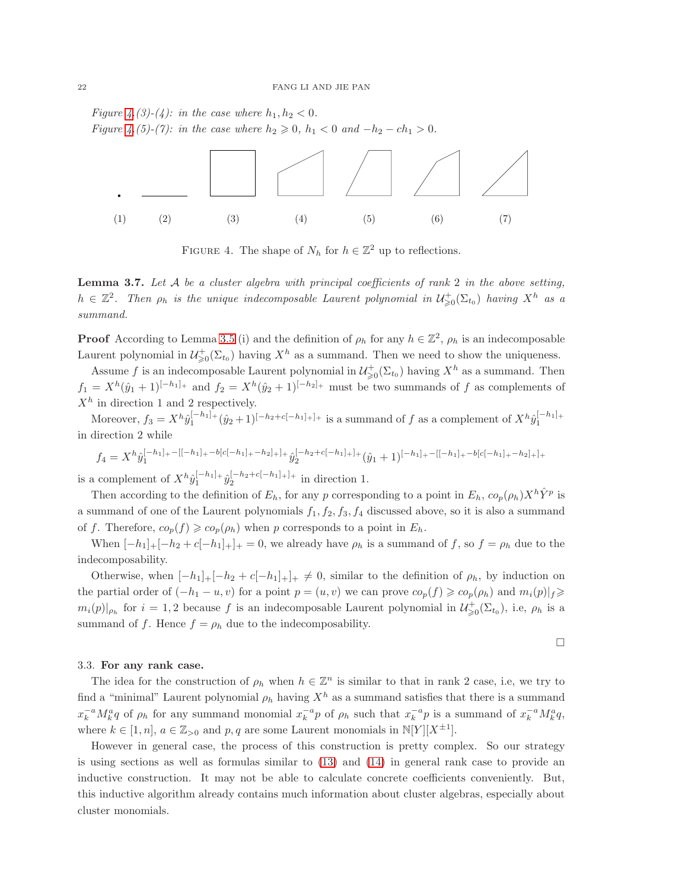Figure [4.](#page-21-1)(3)-(4): in the case where  $h_1, h_2 < 0$ . *Figure [4.](#page-21-1)*(5)-(7): in the case where  $h_2 \ge 0$ ,  $h_1 < 0$  and  $-h_2 - ch_1 > 0$ .



<span id="page-21-1"></span>FIGURE 4. The shape of  $N_h$  for  $h \in \mathbb{Z}^2$  up to reflections.

<span id="page-21-2"></span>**Lemma 3.7.** Let  $A$  be a cluster algebra with principal coefficients of rank 2 in the above setting,  $h \in \mathbb{Z}^2$ . Then  $\rho_h$  is the unique indecomposable Laurent polynomial in  $\mathcal{U}^+_{\geq 0}(\Sigma_{t_0})$  having  $X^h$  as a summand.

**Proof** According to Lemma [3.5](#page-19-0) (i) and the definition of  $\rho_h$  for any  $h \in \mathbb{Z}^2$ ,  $\rho_h$  is an indecomposable Laurent polynomial in  $\mathcal{U}^+_{\geq 0}(\Sigma_{t_0})$  having  $X^h$  as a summand. Then we need to show the uniqueness.

Assume f is an indecomposable Laurent polynomial in  $\mathcal{U}^+_{\geq 0}(\Sigma_{t_0})$  having  $X^h$  as a summand. Then  $f_1 = X^h(\hat{y}_1 + 1)^{[-h_1]_+}$  and  $f_2 = X^h(\hat{y}_2 + 1)^{[-h_2]_+}$  must be two summands of f as complements of  $X<sup>h</sup>$  in direction 1 and 2 respectively.

Moreover,  $f_3 = X^h \hat{y}_1^{[-h_1]_+} (\hat{y}_2 + 1)^{[-h_2 + c[-h_1]_+]_+}$  is a summand of f as a complement of  $X^h \hat{y}_1^{[-h_1]_+}$ in direction 2 while

$$
f_4=X^{h}\hat{y}_1^{[-h_1]_+ -[[-h_1]_+-b[c[-h_1]_+-h_2]_+]}+\hat{y}_2^{[-h_2+c[-h_1]_+]}(\hat{y}_1+1)^{[-h_1]_+ -[[-h_1]_+-b[c[-h_1]_+-h_2]_+]}+
$$

is a complement of  $X^{h} \hat{y}_1^{[-h_1]_+} \hat{y}_2^{[-h_2+c[-h_1]_+]_+}$  in direction 1.

Then according to the definition of  $E_h$ , for any p corresponding to a point in  $E_h$ ,  $co_p(\rho_h)X^h\hat{Y}^p$  is a summand of one of the Laurent polynomials  $f_1, f_2, f_3, f_4$  discussed above, so it is also a summand of f. Therefore,  $co_p(f) \geqslant co_p(\rho_h)$  when p corresponds to a point in  $E_h$ .

When  $[-h_1]_+[-h_2+c[-h_1]_+]_+ = 0$ , we already have  $\rho_h$  is a summand of f, so  $f = \rho_h$  due to the indecomposability.

Otherwise, when  $[-h_1]_+[-h_2 + c[-h_1]_+]_+ \neq 0$ , similar to the definition of  $\rho_h$ , by induction on the partial order of  $(-h_1 - u, v)$  for a point  $p = (u, v)$  we can prove  $co_p(f) \geqslant co_p(\rho_h)$  and  $m_i(p)|_f \geqslant$  $m_i(p)|_{\rho_h}$  for  $i=1,2$  because f is an indecomposable Laurent polynomial in  $\mathcal{U}^+_{\geq 0}(\Sigma_{t_0}),$  i.e,  $\rho_h$  is a summand of f. Hence  $f = \rho_h$  due to the indecomposability.

# $\Box$

### <span id="page-21-0"></span>3.3. For any rank case.

The idea for the construction of  $\rho_h$  when  $h \in \mathbb{Z}^n$  is similar to that in rank 2 case, i.e, we try to find a "minimal" Laurent polynomial  $\rho_h$  having  $X^h$  as a summand satisfies that there is a summand  $x_k^{-a} M_k^a q$  of  $\rho_h$  for any summand monomial  $x_k^{-a} p$  of  $\rho_h$  such that  $x_k^{-a} p$  is a summand of  $x_k^{-a} M_k^a q$ , where  $k \in [1, n]$ ,  $a \in \mathbb{Z}_{>0}$  and  $p, q$  are some Laurent monomials in  $\mathbb{N}[Y][X^{\pm 1}]$ .

However in general case, the process of this construction is pretty complex. So our strategy is using sections as well as formulas similar to [\(13\)](#page-15-0) and [\(14\)](#page-16-1) in general rank case to provide an inductive construction. It may not be able to calculate concrete coefficients conveniently. But, this inductive algorithm already contains much information about cluster algebras, especially about cluster monomials.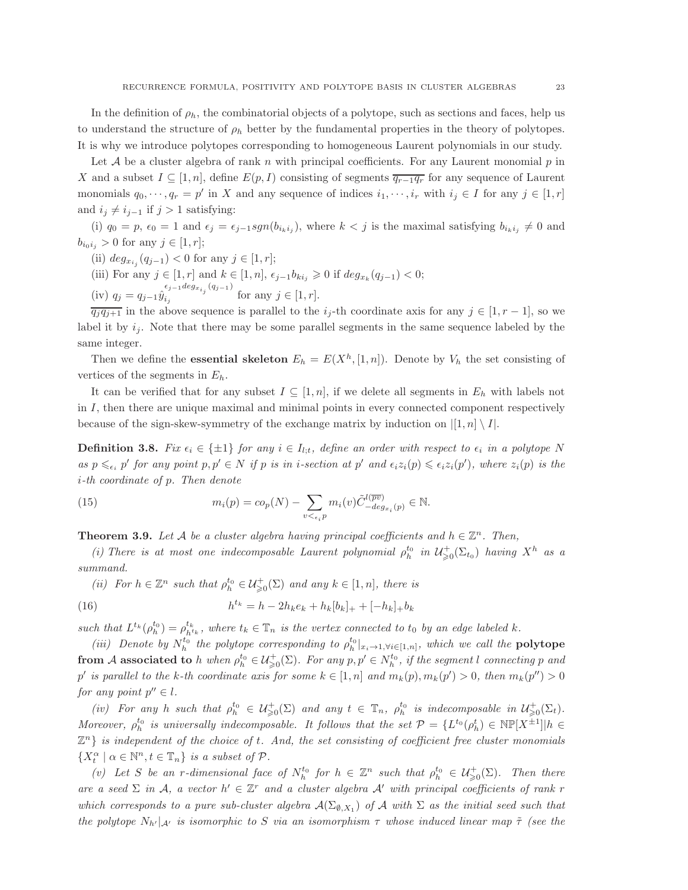In the definition of  $\rho_h$ , the combinatorial objects of a polytope, such as sections and faces, help us to understand the structure of  $\rho_h$  better by the fundamental properties in the theory of polytopes. It is why we introduce polytopes corresponding to homogeneous Laurent polynomials in our study.

Let  $A$  be a cluster algebra of rank n with principal coefficients. For any Laurent monomial  $p$  in X and a subset  $I \subseteq [1, n]$ , define  $E(p, I)$  consisting of segments  $\overline{q_{r-1}q_r}$  for any sequence of Laurent monomials  $q_0, \dots, q_r = p'$  in X and any sequence of indices  $i_1, \dots, i_r$  with  $i_j \in I$  for any  $j \in [1, r]$ and  $i_j \neq i_{j-1}$  if  $j > 1$  satisfying:

(i)  $q_0 = p$ ,  $\epsilon_0 = 1$  and  $\epsilon_j = \epsilon_{j-1} sgn(b_{i_k i_j})$ , where  $k < j$  is the maximal satisfying  $b_{i_k i_j} \neq 0$  and  $b_{i_0i_j} > 0$  for any  $j \in [1, r]$ ;

- (ii)  $deg_{x_{i_j}}(q_{j-1}) < 0$  for any  $j \in [1, r]$ ;
- (iii) For any  $j \in [1, r]$  and  $k \in [1, n]$ ,  $\epsilon_{j-1} b_{ki_j} \geq 0$  if  $deg_{x_k}(q_{j-1}) < 0$ ;
- (iv)  $q_j = q_{j-1} \hat{y}_{i_j}^{\epsilon_{j-1} \deg_{x_{i_j}}(q_{j-1})}$  $i_j$  for any  $j \in [1, r]$ .

 $\overline{q_j q_{j+1}}$  in the above sequence is parallel to the  $i_j$ -th coordinate axis for any  $j \in [1, r-1]$ , so we label it by  $i_j$ . Note that there may be some parallel segments in the same sequence labeled by the same integer.

Then we define the **essential skeleton**  $E_h = E(X^h, [1, n])$ . Denote by  $V_h$  the set consisting of vertices of the segments in  $E_h$ .

It can be verified that for any subset  $I \subseteq [1, n]$ , if we delete all segments in  $E_h$  with labels not in  $I$ , then there are unique maximal and minimal points in every connected component respectively because of the sign-skew-symmetry of the exchange matrix by induction on  $|[1,n] \setminus I|$ .

**Definition 3.8.** Fix  $\epsilon_i \in \{\pm 1\}$  for any  $i \in I_{l,t}$ , define an order with respect to  $\epsilon_i$  in a polytope N as  $p \leq_{\epsilon_i} p'$  for any point  $p, p' \in N$  if p is in i-section at  $p'$  and  $\epsilon_i z_i(p) \leq \epsilon_i z_i(p')$ , where  $z_i(p)$  is the i-th coordinate of p. Then denote

(15) 
$$
m_i(p) = co_p(N) - \sum_{v \leq \epsilon_i p} m_i(v) \tilde{C}^{l(\overline{pv})}_{-\deg_{x_i}(p)} \in \mathbb{N}.
$$

<span id="page-22-0"></span>**Theorem 3.9.** Let A be a cluster algebra having principal coefficients and  $h \in \mathbb{Z}^n$ . Then,

(i) There is at most one indecomposable Laurent polynomial  $\rho_h^{t_0}$  in  $\mathcal{U}^+_{\geq 0}(\Sigma_{t_0})$  having  $X^h$  as a summand.

(ii) For  $h \in \mathbb{Z}^n$  such that  $\rho_h^{t_0} \in \mathcal{U}^+_{\geq 0}(\Sigma)$  and any  $k \in [1, n]$ , there is

(16) 
$$
h^{t_k} = h - 2h_k e_k + h_k [b_k]_+ + [-h_k]_+ b_k
$$

such that  $L^{t_k}(\rho_h^{t_0}) = \rho_{h^{t_k}}^{t_k}$ , where  $t_k \in \mathbb{T}_n$  is the vertex connected to  $t_0$  by an edge labeled k.

(iii) Denote by  $N_h^{t_0}$  the polytope corresponding to  $\rho_h^{t_0}|_{x_i\to 1,\forall i\in [1,n]}$ , which we call the **polytope** from A associated to h when  $\rho_h^{t_0} \in \mathcal{U}^+_{\geqslant 0}(\Sigma)$ . For any  $p, p' \in N_h^{t_0}$ , if the segment l connecting p and p' is parallel to the k-th coordinate axis for some  $k \in [1, n]$  and  $m_k(p)$ ,  $m_k(p') > 0$ , then  $m_k(p'') > 0$ for any point  $p'' \in l$ .

(iv) For any h such that  $\rho_h^{t_0} \in \mathcal{U}_{\geq 0}^{\perp}(\Sigma)$  and any  $t \in \mathbb{T}_n$ ,  $\rho_h^{t_0}$  is indecomposable in  $\mathcal{U}_{\geq 0}^{\perp}(\Sigma_t)$ . Moreover,  $\rho_h^{t_0}$  is universally indecomposable. It follows that the set  $\mathcal{P} = \{L^{t_0}(\rho_h^t) \in \mathbb{N}\mathbb{P}[X^{\pm 1}] | h \in$  $\mathbb{Z}^n$  is independent of the choice of t. And, the set consisting of coefficient free cluster monomials  $\{X_t^{\alpha} \mid \alpha \in \mathbb{N}^n, t \in \mathbb{T}_n\}$  is a subset of  $\mathcal{P}$ .

(v) Let S be an r-dimensional face of  $N_h^{t_0}$  for  $h \in \mathbb{Z}^n$  such that  $\rho_h^{t_0} \in \mathcal{U}_{\geq 0}^{\perp}(\Sigma)$ . Then there are a seed  $\Sigma$  in A, a vector  $h' \in \mathbb{Z}^r$  and a cluster algebra A' with principal coefficients of rank r which corresponds to a pure sub-cluster algebra  $\mathcal{A}(\Sigma_{\emptyset,X_1})$  of  $\mathcal A$  with  $\Sigma$  as the initial seed such that the polytope  $N_{h'}|_{\mathcal{A}'}$  is isomorphic to S via an isomorphism  $\tau$  whose induced linear map  $\tilde{\tau}$  (see the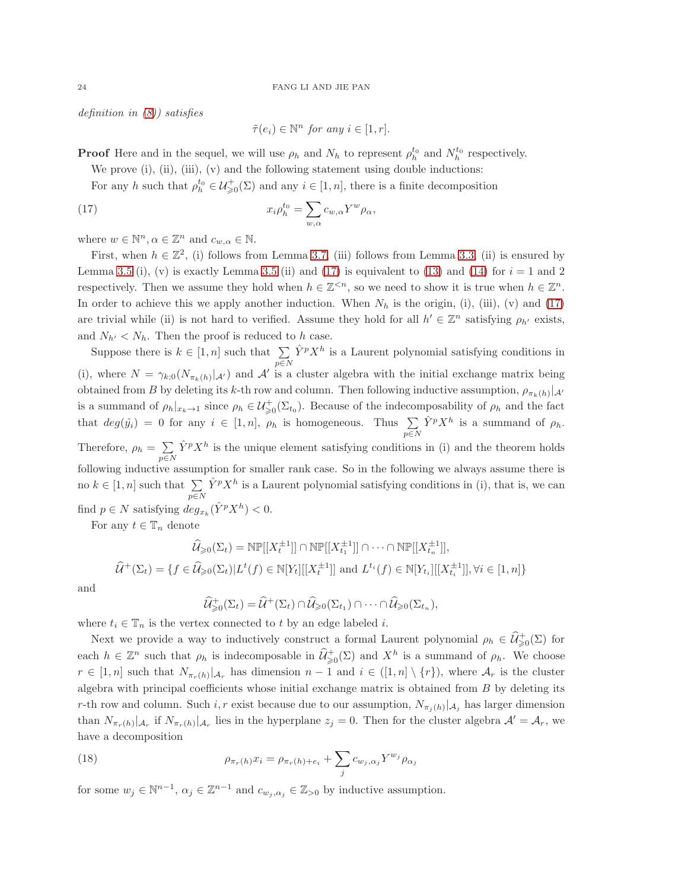definition in [\(8\)](#page-13-0)) satisfies

<span id="page-23-0"></span>
$$
\tilde{\tau}(e_i) \in \mathbb{N}^n \text{ for any } i \in [1, r].
$$

**Proof** Here and in the sequel, we will use  $\rho_h$  and  $N_h$  to represent  $\rho_h^{t_0}$  and  $N_h^{t_0}$  respectively.

We prove  $(i)$ ,  $(ii)$ ,  $(iii)$ ,  $(v)$  and the following statement using double inductions:

For any h such that  $\rho_h^{t_0} \in \mathcal{U}^+_{\geq 0}(\Sigma)$  and any  $i \in [1, n]$ , there is a finite decomposition

(17) 
$$
x_i \rho_h^{t_0} = \sum_{w,\alpha} c_{w,\alpha} Y^w \rho_\alpha,
$$

where  $w \in \mathbb{N}^n, \alpha \in \mathbb{Z}^n$  and  $c_{w,\alpha} \in \mathbb{N}$ .

First, when  $h \in \mathbb{Z}^2$ , (i) follows from Lemma [3.7,](#page-21-2) (iii) follows from Lemma [3.3,](#page-16-2) (ii) is ensured by Lemma [3.5](#page-19-0) (i), (v) is exactly Lemma 3.5 (ii) and [\(17\)](#page-23-0) is equivalent to [\(13\)](#page-15-0) and [\(14\)](#page-16-1) for  $i = 1$  and 2 respectively. Then we assume they hold when  $h \in \mathbb{Z}^{\leq n}$ , so we need to show it is true when  $h \in \mathbb{Z}^n$ . In order to achieve this we apply another induction. When  $N_h$  is the origin, (i), (iii), (v) and [\(17\)](#page-23-0) are trivial while (ii) is not hard to verified. Assume they hold for all  $h' \in \mathbb{Z}^n$  satisfying  $\rho_{h'}$  exists, and  $N_{h'} < N_h$ . Then the proof is reduced to h case.

Suppose there is  $k \in [1, n]$  such that  $\sum$  $p \in N$  $\hat{Y}^p X^h$  is a Laurent polynomial satisfying conditions in (i), where  $N = \gamma_{k;0}(N_{\pi_k(h)}|_{\mathcal{A}'})$  and  $\mathcal{A}'$  is a cluster algebra with the initial exchange matrix being obtained from B by deleting its k-th row and column. Then following inductive assumption,  $\rho_{\pi_k(h)}|_{\mathcal{A}'}$ is a summand of  $\rho_h|_{x_k\to 1}$  since  $\rho_h \in \mathcal{U}^+_{\geq 0}(\Sigma_{t_0})$ . Because of the indecomposability of  $\rho_h$  and the fact that  $deg(\hat{y}_i) = 0$  for any  $i \in [1, n]$ ,  $\rho_h$  is homogeneous. Thus  $\sum$ p∈N  $\hat{Y}^p X^h$  is a summand of  $\rho_h$ . Therefore,  $\rho_h = \sum \hat{Y}^p X^h$  is the unique element satisfying conditions in (i) and the theorem holds  $p \in N$ following inductive assumption for smaller rank case. So in the following we always assume there is no  $k \in [1, n]$  such that  $\sum$ p∈N  $\hat{Y}^p X^h$  is a Laurent polynomial satisfying conditions in (i), that is, we can find  $p \in N$  satisfying  $deg_{x_k}(\hat{Y}^p X^h) < 0$ .

For any  $t \in \mathbb{T}_n$  denote

$$
\hat{U}_{\geq 0}(\Sigma_t) = \text{NP}[[X_t^{\pm 1}]] \cap \text{NP}[[X_{t_1}^{\pm 1}]] \cap \cdots \cap \text{NP}[[X_{t_n}^{\pm 1}]],
$$
  

$$
\hat{U}^+(\Sigma_t) = \{f \in \hat{U}_{\geq 0}(\Sigma_t) | L^t(f) \in \mathbb{N}[Y_t][[X_t^{\pm 1}]] \text{ and } L^{t_i}(f) \in \mathbb{N}[Y_{t_i}][[X_{t_i}^{\pm 1}]], \forall i \in [1, n]\}
$$

and

$$
\widehat{\mathcal{U}}^+_{\geq 0}(\Sigma_t) = \widehat{\mathcal{U}}^+(\Sigma_t) \cap \widehat{\mathcal{U}}_{\geq 0}(\Sigma_{t_1}) \cap \cdots \cap \widehat{\mathcal{U}}_{\geq 0}(\Sigma_{t_n}),
$$

where  $t_i \in \mathbb{T}_n$  is the vertex connected to t by an edge labeled i.

Next we provide a way to inductively construct a formal Laurent polynomial  $\rho_h \in \widehat{\mathcal{U}}_{\geqslant 0}^+(\Sigma)$  for each  $h \in \mathbb{Z}^n$  such that  $\rho_h$  is indecomposable in  $\widehat{\mathcal{U}}^+_{\geqslant 0}(\Sigma)$  and  $X^h$  is a summand of  $\rho_h$ . We choose  $r \in [1,n]$  such that  $N_{\pi_r(h)}|_{\mathcal{A}_r}$  has dimension  $n-1$  and  $i \in ([1,n] \setminus \{r\})$ , where  $\mathcal{A}_r$  is the cluster algebra with principal coefficients whose initial exchange matrix is obtained from B by deleting its r-th row and column. Such  $i, r$  exist because due to our assumption,  $N_{\pi_j(h)}|_{\mathcal{A}_j}$  has larger dimension than  $N_{\pi_r(h)}|_{\mathcal{A}_r}$  if  $N_{\pi_r(h)}|_{\mathcal{A}_r}$  lies in the hyperplane  $z_j = 0$ . Then for the cluster algebra  $\mathcal{A}' = \mathcal{A}_r$ , we have a decomposition

<span id="page-23-1"></span>(18) 
$$
\rho_{\pi_r(h)} x_i = \rho_{\pi_r(h) + e_i} + \sum_j c_{w_j, \alpha_j} Y^{w_j} \rho_{\alpha_j}
$$

for some  $w_j \in \mathbb{N}^{n-1}$ ,  $\alpha_j \in \mathbb{Z}^{n-1}$  and  $c_{w_j, \alpha_j} \in \mathbb{Z}_{>0}$  by inductive assumption.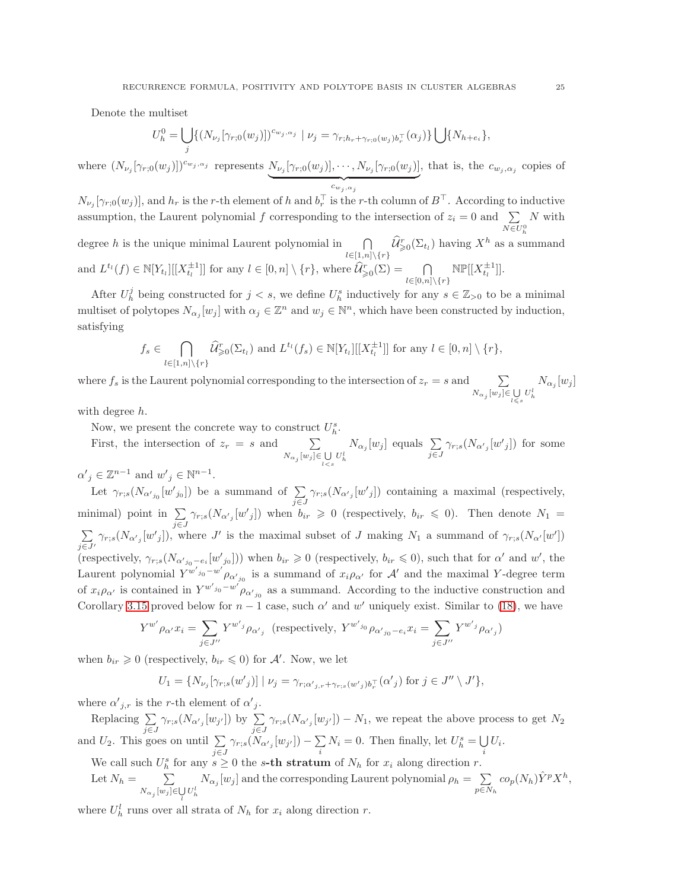Denote the multiset

$$
U^0_h = \bigcup_j \{ (N_{\nu_j}[\gamma_{r;0}(w_j)])^{c_{w_j,\alpha_j}} \mid \nu_j = \gamma_{r;h_r + \gamma_{r;0}(w_j)b_r^{\top}}(\alpha_j) \} \bigcup \{ N_{h+e_i} \},
$$

where  $(N_{\nu_j}[\gamma_{r;0}(w_j)])^{c_{w_j,\alpha_j}}$  represents  $N_{\nu_j}[\gamma_{r;0}(w_j)], \cdots, N_{\nu_j}[\gamma_{r;0}(w_j)]$  ${c_w}_j$ ,  $\alpha_j$ , that is, the  $c_{w_j,\alpha_j}$  copies of

 $N_{\nu_j}[\gamma_{r,0}(w_j)]$ , and  $h_r$  is the r-th element of h and  $b_r^+$  is the r-th column of  $B^+$ . According to inductive assumption, the Laurent polynomial f corresponding to the intersection of  $z_i = 0$  and  $\sum$  $N \in U_h^0$ N with degree h is the unique minimal Laurent polynomial in  $\bigcap$  $\bigcap_{l\in[1,n]\setminus\{r\}}\hat{\mathcal{U}}_{\geq0}^r(\Sigma_{t_l})$  having  $X^h$  as a summand and  $L^{t_l}(f) \in \mathbb{N}[Y_{t_l}][[X_{t_l}^{\pm 1}]]$  for any  $l \in [0, n] \setminus \{r\}$ , where  $\widehat{\mathcal{U}}_{\geqslant 0}^r(\Sigma) = \bigcap_{l \geqslant 1}$  $\mathbb{NP}[[X_{t_l}^{\pm 1}]].$ 

After  $U_h^j$  being constructed for  $j < s$ , we define  $U_h^s$  inductively for any  $s \in \mathbb{Z}_{>0}$  to be a minimal multiset of polytopes  $N_{\alpha_j}[w_j]$  with  $\alpha_j \in \mathbb{Z}^n$  and  $w_j \in \mathbb{N}^n$ , which have been constructed by induction, satisfying

 $l\in[0,n]\backslash\{r\}$ 

$$
f_s \in \bigcap_{l \in [1,n] \setminus \{r\}} \widehat{\mathcal{U}}_{\geq 0}^r(\Sigma_{t_l}) \text{ and } L^{t_l}(f_s) \in \mathbb{N}[Y_{t_l}][[X_{t_l}^{\pm 1}]] \text{ for any } l \in [0,n] \setminus \{r\},\
$$

where  $f_s$  is the Laurent polynomial corresponding to the intersection of  $z_r = s$  and  $\sum$  $N_{\alpha_j}[w_j] {\in} \bigcup_{l\, \leqslant \, s} U^l_h$  $N_{\alpha_j}[w_j]$ 

with degree h.

Now, we present the concrete way to construct  $U_h^s$ .

First, the intersection of  $z_r = s$  and  $\sum$  $N_{\alpha_j}[w_j] \in \bigcup_{l < s} U_h^l$  $N_{\alpha_j}[w_j]$  equals  $\sum$ j∈J  $\gamma_{r;s}(N_{\alpha'_{j}}[w'_{j}])$  for some  $\alpha'_{j} \in \mathbb{Z}^{n-1}$  and  $w'_{j} \in \mathbb{N}^{n-1}$ .

Let  $\gamma_{r;s}(N_{\alpha'_{j_0}}[w'_{j_0}])$  be a summand of  $\sum_{i=1}^{\infty}$ j∈J  $\gamma_{r,s}(N_{\alpha'_{j}}[w'_{j}])$  containing a maximal (respectively, minimal) point in  $\sum \gamma_{r,s}(N_{\alpha'_{j}}[w'_{j}])$  when  $b_{ir} \geq 0$  (respectively,  $b_{ir} \leq 0$ ). Then denote  $N_1 =$  $\sum \gamma_{r:s}(N_{\alpha'} | w'_{i}|)$ , w  $j\overline{\in}J'$  $\gamma_{r,s}(N_{\alpha'_{j}}[w'_{j}])$ , where J' is the maximal subset of J making  $N_1$  a summand of  $\gamma_{r,s}(N_{\alpha'}[w'])$ (respectively,  $\gamma_{r,s}(N_{\alpha'_{j_0}-e_i}[w'_{j_0}]))$  when  $b_{ir} \geq 0$  (respectively,  $b_{ir} \leq 0$ ), such that for  $\alpha'$  and  $w'$ , the Laurent polynomial  $Y^{w'_{j_0}-w'}\rho_{\alpha'_{j_0}}$  is a summand of  $x_i\rho_{\alpha'}$  for  $\mathcal{A}'$  and the maximal Y-degree term of  $x_i \rho_{\alpha'}$  is contained in  $Y^{w'_{j_0}-w'} \rho_{\alpha'_{j_0}}$  as a summand. According to the inductive construction and Corollary [3.15](#page-31-2) proved below for  $n-1$  case, such  $\alpha'$  and  $w'$  uniquely exist. Similar to [\(18\)](#page-23-1), we have

$$
Y^{w'}\rho_{\alpha'}x_i = \sum_{j\in J''} Y^{w'j}\rho_{\alpha'j} \quad \text{(respectively, } Y^{w'j0}\rho_{\alpha'j_0 - e_i}x_i = \sum_{j\in J''} Y^{w'j}\rho_{\alpha'j}\text{)}
$$

when  $b_{ir} \geqslant 0$  (respectively,  $b_{ir} \leqslant 0$ ) for A'. Now, we let

 $U_1 = \{N_{\nu_j}[\gamma_{r;s}(w'_j)] \mid \nu_j = \gamma_{r;\alpha'_{j,r}+\gamma_{r;s}(w'_j)b_r^{\top}}(\alpha'_j)$  for  $j \in J'' \setminus J' \},$ 

where  $\alpha'_{j,r}$  is the r-th element of  $\alpha'_{j}$ .

Replacing  $\sum \gamma_{r;s}(N_{\alpha'_{j}}[w_{j}])$  by  $\sum \gamma_{r;s}(N_{\alpha'_{j}}[w_{j}]) - N_1$ , we repeat the above process to get  $N_2$  $j\in J$ <br>and  $U_2$ . This goes on until  $\sum \gamma_{r;s}(N_\alpha)$ j∈J  $\gamma_{r;s}(N_{\alpha'{}_j}[w_{j'}])-\sum$  $\sum_i N_i = 0$ . Then finally, let  $U_h^s = \bigcup_i$  $\bigcup_i U_i.$ 

We call such  $U_h^s$  for any  $s \geq 0$  the s-th stratum of  $N_h$  for  $x_i$  along direction r.

Let 
$$
N_h = \sum_{N_{\alpha_j}[w_j] \in \bigcup_l U_h^l} N_{\alpha_j}[w_j]
$$
 and the corresponding Laurent polynomial  $\rho_h = \sum_{p \in N_h} co_p(N_h) \hat{Y}^p X^h$ ,

where  $U_h^l$  runs over all strata of  $N_h$  for  $x_i$  along direction r.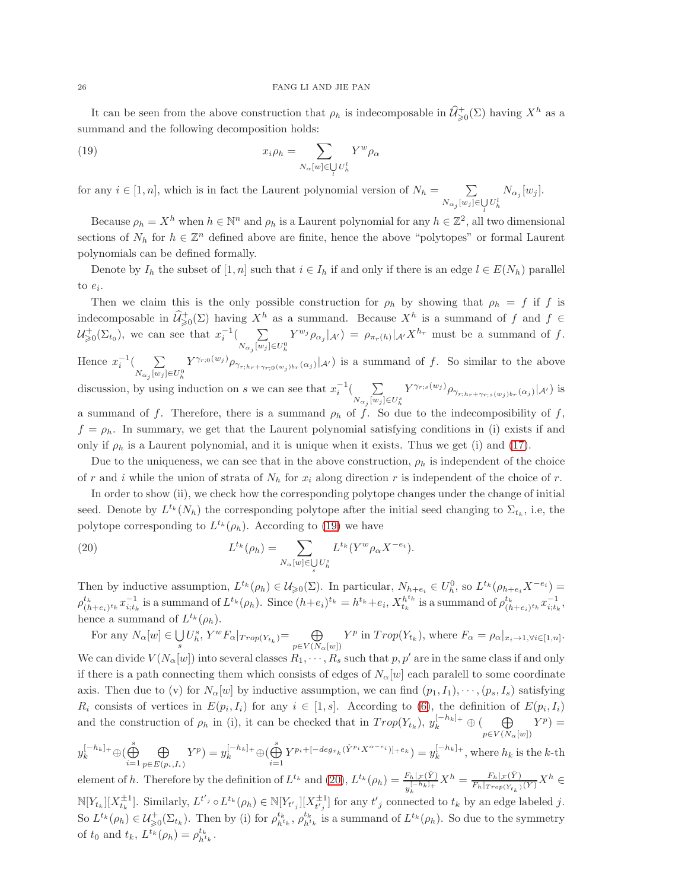It can be seen from the above construction that  $\rho_h$  is indecomposable in  $\widehat{\mathcal{U}}^+_{\geq 0}(\Sigma)$  having  $X^h$  as a summand and the following decomposition holds:

<span id="page-25-0"></span>(19) 
$$
x_i \rho_h = \sum_{N_\alpha[w] \in \bigcup_l U_h^l} Y^w \rho_\alpha
$$

for any  $i \in [1, n]$ , which is in fact the Laurent polynomial version of  $N_h = \sum$  $N_{\alpha_j}[w_j] \in \bigcup_l U_h^l$  $N_{\alpha_j}[w_j].$ 

Because  $\rho_h = X^h$  when  $h \in \mathbb{N}^n$  and  $\rho_h$  is a Laurent polynomial for any  $h \in \mathbb{Z}^2$ , all two dimensional sections of  $N_h$  for  $h \in \mathbb{Z}^n$  defined above are finite, hence the above "polytopes" or formal Laurent polynomials can be defined formally.

Denote by  $I_h$  the subset of  $[1, n]$  such that  $i \in I_h$  if and only if there is an edge  $l \in E(N_h)$  parallel to  $e_i$ .

Then we claim this is the only possible construction for  $\rho_h$  by showing that  $\rho_h = f$  if f is indecomposable in  $\widehat{\mathcal{U}}^+_{\geqslant 0}(\Sigma)$  having  $X^h$  as a summand. Because  $X^h$  is a summand of f and  $f \in$  $\mathcal{U}^+_{\geq 0}(\Sigma_{t_0}),$  we can see that  $x_i^{-1}(\_ \sum$  $N_{\alpha_j}$   $[w_j] \in U_h^0$  $Y^{w_j} \rho_{\alpha_j} |_{\mathcal{A}'} ) = \rho_{\pi_r(h)} |_{\mathcal{A}'} X^{h_r}$  must be a summand of f.

Hence  $x_i^{-1}$  (  $\sum$  $N_{\alpha_j}[w_j] \in U_h^0$  $Y^{\gamma_{r;0}(w_j)}\rho_{\gamma_{r;hr+\gamma_{r;0}(w_j)br}(\alpha_j)}(\mathcal{A}')$  is a summand of f. So similar to the above

discussion, by using induction on s we can see that  $x_i^{-1}$  ( $\sum$  $N_{\alpha_j} [w_j] \in U_h^s$  $Y^{\gamma_{r;s}(w_j)} \rho_{\gamma_{r;h_r+\gamma_{r;s}(w_j)b_r}(\alpha_j)} |_{\mathcal{A}'} )$  is a summand of f. Therefore, there is a summand  $\rho_h$  of f. So due to the indecomposibility of f,

 $f = \rho_h$ . In summary, we get that the Laurent polynomial satisfying conditions in (i) exists if and only if  $\rho_h$  is a Laurent polynomial, and it is unique when it exists. Thus we get (i) and [\(17\)](#page-23-0).

Due to the uniqueness, we can see that in the above construction,  $\rho_h$  is independent of the choice of r and i while the union of strata of  $N_h$  for  $x_i$  along direction r is independent of the choice of r.

In order to show (ii), we check how the corresponding polytope changes under the change of initial seed. Denote by  $L^{t_k}(N_h)$  the corresponding polytope after the initial seed changing to  $\Sigma_{t_k}$ , i.e, the polytope corresponding to  $L^{t_k}(\rho_h)$ . According to [\(19\)](#page-25-0) we have

<span id="page-25-1"></span>(20) 
$$
L^{t_k}(\rho_h) = \sum_{N_\alpha[w] \in \bigcup_s U_h^s} L^{t_k}(Y^w \rho_\alpha X^{-e_i}).
$$

Then by inductive assumption,  $L^{t_k}(\rho_h) \in \mathcal{U}_{\geq 0}(\Sigma)$ . In particular,  $N_{h+e_i} \in U_h^0$ , so  $L^{t_k}(\rho_{h+e_i}X^{-e_i}) =$  $\rho^{t_k}_{th}$  $\sum_{(h+e_i)^{t_k}}^{t_k} x_{i;t_k}^{-1}$  is a summand of  $L^{t_k}(\rho_h)$ . Since  $(h+e_i)^{t_k} = h^{t_k} + e_i$ ,  $X_{t_k}^{h^{t_k}}$  is a summand of  $\rho_{(h)}^{t_k}$  $_{(h+e_i)^{t_k}}^{t_k} x_{i;t_k}^{-1},$ hence a summand of  $L^{t_k}(\rho_h)$ .

For any  $N_{\alpha}[w] \in \bigcup$  $\bigcup_{s} U_{h}^{s}, Y^{w} F_{\alpha}|_{Trop(Y_{t_k})} = \bigoplus_{p \in V(N_{c_k})}$  $p \in V(N_\alpha[w])$  $Y^p$  in  $Trop(Y_{t_k})$ , where  $F_{\alpha} = \rho_{\alpha}|_{x_i \to 1, \forall i \in [1,n]}$ . We can divide  $V(N_\alpha[w])$  into several classes  $R_1, \dots, R_s$  such that  $p, p'$  are in the same class if and only if there is a path connecting them which consists of edges of  $N_\alpha[w]$  each paralell to some coordinate axis. Then due to (v) for  $N_{\alpha}[w]$  by inductive assumption, we can find  $(p_1, I_1), \cdots, (p_s, I_s)$  satisfying  $R_i$  consists of vertices in  $E(p_i, I_i)$  for any  $i \in [1, s]$ . According to [\(6\)](#page-5-1), the definition of  $E(p_i, I_i)$ and the construction of  $\rho_h$  in (i), it can be checked that in  $Trop(Y_{t_k}), y_k^{[-h_k]_+} \oplus (\Box \bigoplus$  $p\in V(N_\alpha[w])$  $Y^p) =$ 

$$
y_k^{[-h_k]_+} \oplus (\bigoplus_{i=1}^s \bigoplus_{p \in E(p_i, I_i)} Y^p) = y_k^{[-h_k]_+} \oplus (\bigoplus_{i=1}^s Y^{p_i + [-deg_{x_k}(\hat{Y}^{p_i} X^{\alpha - e_i})]_+ e_k}) = y_k^{[-h_k]_+},
$$
 where  $h_k$  is the k-th

element of h. Therefore by the definition of  $L^{t_k}$  and  $(20)$ ,  $L^{t_k}(\rho_h) = \frac{F_h|\mathcal{F}(\hat{Y})}{y_k^{[-h_k]_+}} X^h = \frac{F_h|\mathcal{F}(\hat{Y})}{F_h|\mathcal{F}^{rop}(Y_{t_k})}$  $\mathbb{N}[Y_{t_k}][X_{t_k}^{\pm 1}]$ . Similarly,  $L^{t'_{j}} \circ L^{t_k}(\rho_h) \in \mathbb{N}[Y_{t'_{j}}][X_{t'_{j}}^{\pm 1}]$  for any  $t'_{j}$  connected to  $t_k$  by an edge labeled j.  $\frac{F_h|\mathcal{F}(Y)}{F_h|_{Trop(Y_{t_k})}(Y)}X^h \in$ So  $L^{t_k}(\rho_h) \in \mathcal{U}_{\geq 0}^{\perp}(\Sigma_{t_k})$ . Then by (i) for  $\rho_{h^{t_k}}^{t_k}$ ,  $\rho_{h^{t_k}}^{t_k}$  is a summand of  $L^{t_k}(\rho_h)$ . So due to the symmetry of  $t_0$  and  $t_k$ ,  $L^{t_k}(\rho_h) = \rho_{h^{t_k}}^{t_k}$ .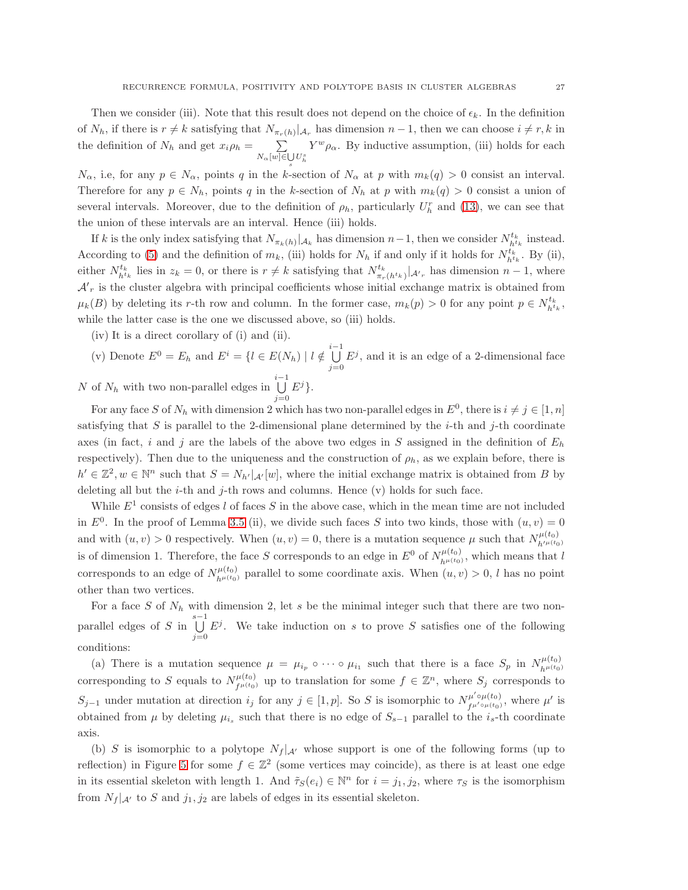Then we consider (iii). Note that this result does not depend on the choice of  $\epsilon_k$ . In the definition of  $N_h$ , if there is  $r \neq k$  satisfying that  $N_{\pi_r(h)}|_{\mathcal{A}_r}$  has dimension  $n-1$ , then we can choose  $i \neq r, k$  in the definition of  $N_h$  and get  $x_i \rho_h = \sum$  $N_\alpha[w] \in \bigcup_s U_h^s$  $Y^w \rho_\alpha$ . By inductive assumption, (iii) holds for each

 $N_{\alpha}$ , i.e, for any  $p \in N_{\alpha}$ , points q in the k-section of  $N_{\alpha}$  at p with  $m_k(q) > 0$  consist an interval. Therefore for any  $p \in N_h$ , points q in the k-section of  $N_h$  at p with  $m_k(q) > 0$  consist a union of several intervals. Moreover, due to the definition of  $\rho_h$ , particularly  $U_h^r$  and [\(13\)](#page-15-0), we can see that the union of these intervals are an interval. Hence (iii) holds.

If k is the only index satisfying that  $N_{\pi_k(h)}|_{\mathcal{A}_k}$  has dimension  $n-1$ , then we consider  $N_{h^{t_k}}^{t_k}$  instead. According to [\(5\)](#page-5-0) and the definition of  $m_k$ , (iii) holds for  $N_h$  if and only if it holds for  $N_{h^{t_k}}^{t_k}$ . By (ii), either  $N_{h^{t_k}}^{t_k}$  lies in  $z_k = 0$ , or there is  $r \neq k$  satisfying that  $N_{\pi_r}^{t_k}$  $\frac{t_k}{\pi_r(h^{t_k})}$   $\left| \mathcal{A}'_r \right|$  has dimension  $n-1$ , where  $\mathcal{A'}_r$  is the cluster algebra with principal coefficients whose initial exchange matrix is obtained from  $\mu_k(B)$  by deleting its r-th row and column. In the former case,  $m_k(p) > 0$  for any point  $p \in N_{h^k}^{t_k}$ , while the latter case is the one we discussed above, so (iii) holds.

- (iv) It is a direct corollary of (i) and (ii).
- (v) Denote  $E^0 = E_h$  and  $E^i = \{l \in E(N_h) \mid l \notin \bigcup^{i-1}$  $j=0$  $E^j$ , and it is an edge of a 2-dimensional face

N of  $N_h$  with two non-parallel edges in  $\bigcup_{i=1}^{i-1}$  $j=0$  $E^j$ .

For any face S of  $N_h$  with dimension 2 which has two non-parallel edges in  $E^0$ , there is  $i \neq j \in [1, n]$ satisfying that S is parallel to the 2-dimensional plane determined by the  $i$ -th and  $j$ -th coordinate axes (in fact, i and j are the labels of the above two edges in S assigned in the definition of  $E_h$ respectively). Then due to the uniqueness and the construction of  $\rho_h$ , as we explain before, there is  $h' \in \mathbb{Z}^2, w \in \mathbb{N}^n$  such that  $S = N_{h'}|_{\mathcal{A}'}[w]$ , where the initial exchange matrix is obtained from B by deleting all but the *i*-th and *j*-th rows and columns. Hence  $(v)$  holds for such face.

While  $E^1$  consists of edges l of faces S in the above case, which in the mean time are not included in  $E^0$ . In the proof of Lemma [3.5](#page-19-0) (ii), we divide such faces S into two kinds, those with  $(u, v) = 0$ and with  $(u, v) > 0$  respectively. When  $(u, v) = 0$ , there is a mutation sequence  $\mu$  such that  $N_{h/u(t_0)}^{\mu(t_0)}$  $h^{\prime\mu(t_0)}$ is of dimension 1. Therefore, the face S corresponds to an edge in  $E^0$  of  $N_{h\mu(t_0)}^{\mu(t_0)}$  $h^{\mu(\iota_0)}$ , which means that l corresponds to an edge of  $N_{h^{\mu(t_0)}}^{\mu(t_0)}$  parallel to some coordinate axis. When  $(u, v) > 0$ , l has no point other than two vertices.

For a face S of  $N_h$  with dimension 2, let s be the minimal integer such that there are two nonparallel edges of S in  $\bigcup^{s-1}$  $j=0$  $E^j$ . We take induction on s to prove S satisfies one of the following conditions:

(a) There is a mutation sequence  $\mu = \mu_{i_p} \circ \cdots \circ \mu_{i_1}$  such that there is a face  $S_p$  in  $N_{h^{\mu}(t_0)}^{\mu(t_0)}$  $h^{\mu(t_0)}$ corresponding to S equals to  $N_{\mu \mu(t_0)}^{\mu(t_0)}$  $f^{\mu(t_0)}_{f^{\mu(t_0)}}$  up to translation for some  $f \in \mathbb{Z}^n$ , where  $S_j$  corresponds to  $S_{j-1}$  under mutation at direction  $i_j$  for any  $j \in [1, p]$ . So S is isomorphic to  $N_{f^{\mu' \circ \mu}(t_0)}^{\mu' \circ \mu(t_0)}$ , where  $\mu'$  is obtained from  $\mu$  by deleting  $\mu_{i_s}$  such that there is no edge of  $S_{s-1}$  parallel to the  $i_s$ -th coordinate axis.

(b) S is isomorphic to a polytope  $N_f |_{\mathcal{A}}$  whose support is one of the following forms (up to reflection) in Figure [5](#page-27-0) for some  $f \in \mathbb{Z}^2$  (some vertices may coincide), as there is at least one edge in its essential skeleton with length 1. And  $\tilde{\tau}_S(e_i) \in \mathbb{N}^n$  for  $i = j_1, j_2$ , where  $\tau_S$  is the isomorphism from  $N_f |_{\mathcal{A}'}$  to S and  $j_1, j_2$  are labels of edges in its essential skeleton.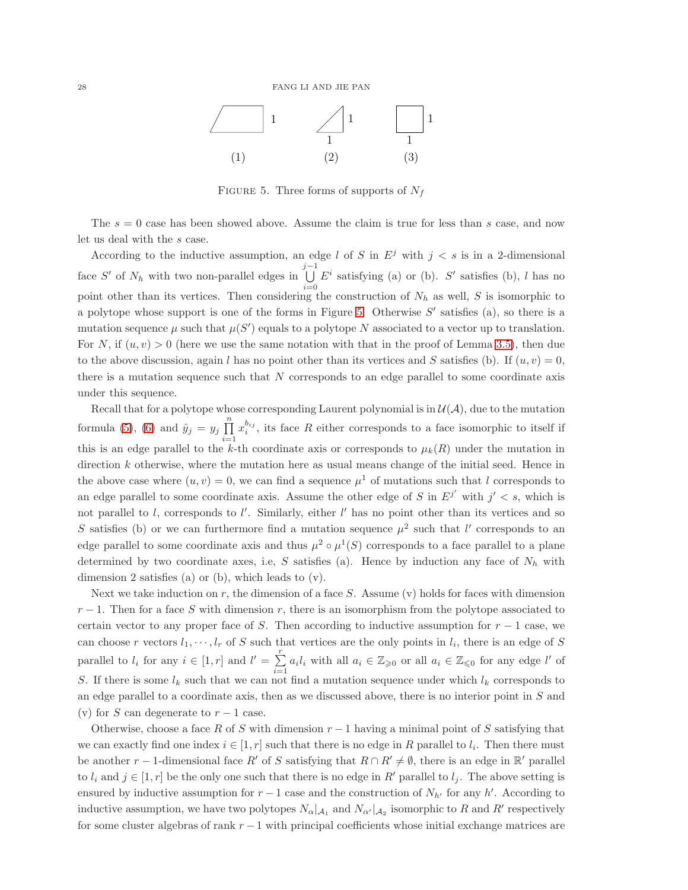

<span id="page-27-0"></span>FIGURE 5. Three forms of supports of  $N_f$ 

The  $s = 0$  case has been showed above. Assume the claim is true for less than s case, and now let us deal with the s case.

According to the inductive assumption, an edge l of S in  $E<sup>j</sup>$  with  $j < s$  is in a 2-dimensional face S' of  $N_h$  with two non-parallel edges in  $\bigcup_{j=1}^{j-1}$  $i=0$  $E^i$  satisfying (a) or (b).  $S'$  satisfies (b), l has no point other than its vertices. Then considering the construction of  $N_h$  as well, S is isomorphic to a polytope whose support is one of the forms in Figure [5.](#page-27-0) Otherwise  $S'$  satisfies (a), so there is a mutation sequence  $\mu$  such that  $\mu(S')$  equals to a polytope N associated to a vector up to translation. For N, if  $(u, v) > 0$  (here we use the same notation with that in the proof of Lemma [3.5\)](#page-19-0), then due to the above discussion, again l has no point other than its vertices and S satisfies (b). If  $(u, v) = 0$ , there is a mutation sequence such that  $N$  corresponds to an edge parallel to some coordinate axis under this sequence.

Recall that for a polytope whose corresponding Laurent polynomial is in  $\mathcal{U}(\mathcal{A})$ , due to the mutation formula [\(5\)](#page-5-0), [\(6\)](#page-5-1) and  $\hat{y}_j = y_j \prod_{j=1}^{n}$  $i=1$  $x_i^{b_{ij}}$ , its face R either corresponds to a face isomorphic to itself if this is an edge parallel to the k-th coordinate axis or corresponds to  $\mu_k(R)$  under the mutation in direction k otherwise, where the mutation here as usual means change of the initial seed. Hence in the above case where  $(u, v) = 0$ , we can find a sequence  $\mu^1$  of mutations such that l corresponds to an edge parallel to some coordinate axis. Assume the other edge of S in  $E^{j'}$  with  $j' < s$ , which is not parallel to l, corresponds to l'. Similarly, either l' has no point other than its vertices and so S satisfies (b) or we can furthermore find a mutation sequence  $\mu^2$  such that l' corresponds to an edge parallel to some coordinate axis and thus  $\mu^2 \circ \mu^1(S)$  corresponds to a face parallel to a plane determined by two coordinate axes, i.e, S satisfies (a). Hence by induction any face of  $N_h$  with dimension 2 satisfies (a) or (b), which leads to (v).

Next we take induction on  $r$ , the dimension of a face  $S$ . Assume (v) holds for faces with dimension  $r-1$ . Then for a face S with dimension r, there is an isomorphism from the polytope associated to certain vector to any proper face of S. Then according to inductive assumption for  $r - 1$  case, we can choose r vectors  $l_1, \dots, l_r$  of S such that vertices are the only points in  $l_i$ , there is an edge of S parallel to  $l_i$  for any  $i \in [1, r]$  and  $l' = \sum^r$  $\sum_{i=1} a_i l_i$  with all  $a_i \in \mathbb{Z}_{\geq 0}$  or all  $a_i \in \mathbb{Z}_{\leq 0}$  for any edge l' of S. If there is some  $l_k$  such that we can not find a mutation sequence under which  $l_k$  corresponds to an edge parallel to a coordinate axis, then as we discussed above, there is no interior point in S and (v) for S can degenerate to  $r-1$  case.

Otherwise, choose a face R of S with dimension  $r-1$  having a minimal point of S satisfying that we can exactly find one index  $i \in [1, r]$  such that there is no edge in R parallel to  $l_i$ . Then there must be another  $r-1$ -dimensional face  $R'$  of S satisfying that  $R \cap R' \neq \emptyset$ , there is an edge in  $\mathbb{R}'$  parallel to  $l_i$  and  $j \in [1, r]$  be the only one such that there is no edge in R' parallel to  $l_j$ . The above setting is ensured by inductive assumption for  $r-1$  case and the construction of  $N_{h'}$  for any h'. According to inductive assumption, we have two polytopes  $N_{\alpha}|_{A_1}$  and  $N_{\alpha'}|_{A_2}$  isomorphic to R and R' respectively for some cluster algebras of rank  $r - 1$  with principal coefficients whose initial exchange matrices are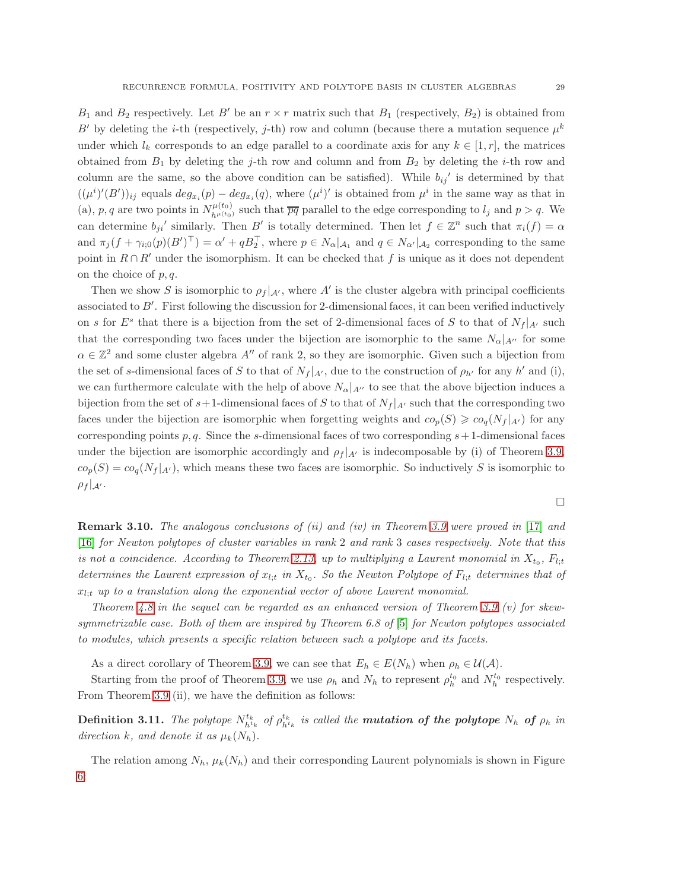$B_1$  and  $B_2$  respectively. Let B' be an  $r \times r$  matrix such that  $B_1$  (respectively,  $B_2$ ) is obtained from B' by deleting the *i*-th (respectively, *j*-th) row and column (because there a mutation sequence  $\mu^k$ under which  $l_k$  corresponds to an edge parallel to a coordinate axis for any  $k \in [1, r]$ , the matrices obtained from  $B_1$  by deleting the j-th row and column and from  $B_2$  by deleting the i-th row and column are the same, so the above condition can be satisfied). While  $b_{ij}$  is determined by that  $((\mu^i)'(B'))_{ij}$  equals  $deg_{x_i}(p) - deg_{x_i}(q)$ , where  $(\mu^i)'$  is obtained from  $\mu^i$  in the same way as that in (a), p, q are two points in  $N_{h^{\mu}(t_0)}^{\mu(t_0)}$  such that  $\overline{pq}$  parallel to the edge corresponding to  $l_j$  and  $p > q$ . We can determine  $b_{ji}$ ' similarly. Then B' is totally determined. Then let  $f \in \mathbb{Z}^n$  such that  $\pi_i(f) = \alpha$ and  $\pi_j(f + \gamma_{i,0}(p)(B')^\perp) = \alpha' + qB_2^\perp$ , where  $p \in N_\alpha|_{\mathcal{A}_1}$  and  $q \in N_{\alpha'}|_{\mathcal{A}_2}$  corresponding to the same point in  $R \cap R'$  under the isomorphism. It can be checked that f is unique as it does not dependent on the choice of  $p, q$ .

Then we show S is isomorphic to  $\rho_f|_{\mathcal{A}}$ , where A' is the cluster algebra with principal coefficients associated to B′ . First following the discussion for 2-dimensional faces, it can been verified inductively on s for  $E^s$  that there is a bijection from the set of 2-dimensional faces of S to that of  $N_f|_{A'}$  such that the corresponding two faces under the bijection are isomorphic to the same  $N_{\alpha}|_{A''}$  for some  $\alpha \in \mathbb{Z}^2$  and some cluster algebra  $A''$  of rank 2, so they are isomorphic. Given such a bijection from the set of s-dimensional faces of S to that of  $N_f|_{A'}$ , due to the construction of  $\rho_{h'}$  for any h' and (i), we can furthermore calculate with the help of above  $N_{\alpha}|_{A''}$  to see that the above bijection induces a bijection from the set of  $s+1$ -dimensional faces of S to that of  $N_f|_{A'}$  such that the corresponding two faces under the bijection are isomorphic when forgetting weights and  $co_p(S) \geqslant co_q(N_f|_{A'})$  for any corresponding points p, q. Since the s-dimensional faces of two corresponding  $s+1$ -dimensional faces under the bijection are isomorphic accordingly and  $\rho_f|_{A'}$  is indecomposable by (i) of Theorem [3.9,](#page-22-0)  $co_p(S) = co_q(N_f|_{A'})$ , which means these two faces are isomorphic. So inductively S is isomorphic to  $\rho_f |_{\mathcal{A}'}$ .

**Remark 3.10.** The analogous conclusions of (ii) and (iv) in Theorem [3.9](#page-22-0) were proved in [\[17\]](#page-52-4) and [\[16\]](#page-52-6) for Newton polytopes of cluster variables in rank 2 and rank 3 cases respectively. Note that this is not a coincidence. According to Theorem [2.13,](#page-8-1) up to multiplying a Laurent monomial in  $X_{t_0}$ ,  $F_{l,t}$ determines the Laurent expression of  $x_{l,t}$  in  $X_{t_0}$ . So the Newton Polytope of  $F_{l,t}$  determines that of  $x_{l:t}$  up to a translation along the exponential vector of above Laurent monomial.

Theorem [4.8](#page-36-0) in the sequel can be regarded as an enhanced version of Theorem [3.9](#page-22-0) (v) for skew-symmetrizable case. Both of them are inspired by Theorem 6.8 of [\[5\]](#page-52-5) for Newton polytopes associated to modules, which presents a specific relation between such a polytope and its facets.

As a direct corollary of Theorem [3](#page-22-0).9, we can see that  $E_h \in E(N_h)$  when  $\rho_h \in \mathcal{U}(\mathcal{A})$ .

Starting from the proof of Theorem [3.9,](#page-22-0) we use  $\rho_h$  and  $N_h$  to represent  $\rho_h^{t_0}$  and  $N_h^{t_0}$  respectively. From Theorem [3.9](#page-22-0) (ii), we have the definition as follows:

**Definition 3.11.** The polytope  $N_{h^{t_k}}^{t_k}$  of  $\rho_{h^{t_k}}^{t_k}$  is called the **mutation of the polytope**  $N_h$  of  $\rho_h$  in direction k, and denote it as  $\mu_k(N_h)$ .

The relation among  $N_h$ ,  $\mu_k(N_h)$  and their corresponding Laurent polynomials is shown in Figure [6:](#page-29-1)

 $\Box$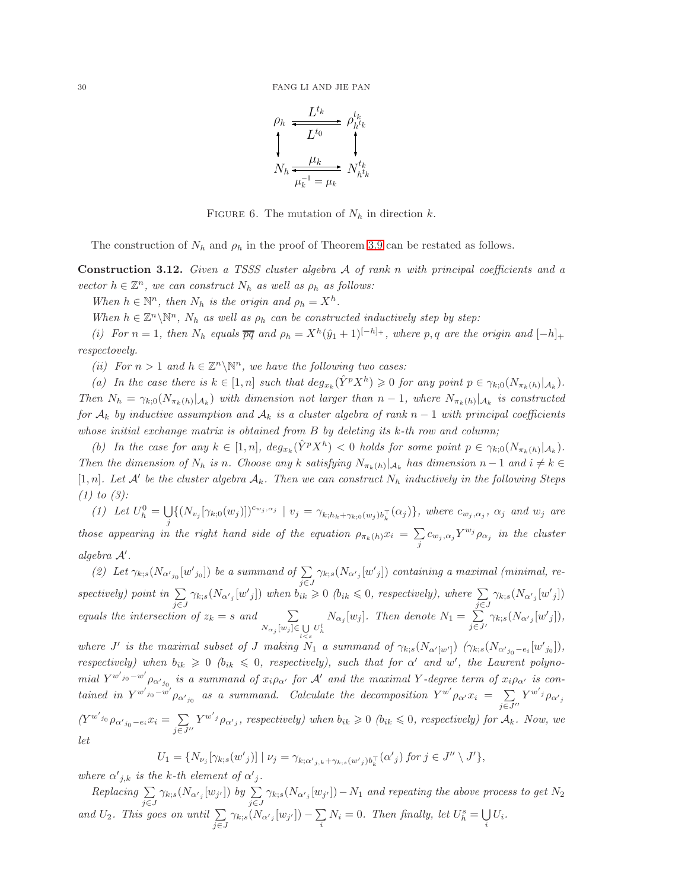$$
\rho_h \xrightarrow{L^{t_k}} \rho_{h^{t_k}}^{t_k}
$$
\n
$$
\uparrow \qquad \qquad \downarrow \qquad \downarrow
$$
\n
$$
N_h \xrightarrow{\mu_k} N_{h^{t_k}}^{t_k}
$$

<span id="page-29-1"></span>FIGURE 6. The mutation of  $N_h$  in direction k.

The construction of  $N_h$  and  $\rho_h$  in the proof of Theorem [3.9](#page-22-0) can be restated as follows.

<span id="page-29-0"></span>Construction 3.12. Given a TSSS cluster algebra A of rank n with principal coefficients and a vector  $h \in \mathbb{Z}^n$ , we can construct  $N_h$  as well as  $\rho_h$  as follows:

When  $h \in \mathbb{N}^n$ , then  $N_h$  is the origin and  $\rho_h = X^h$ .

When  $h \in \mathbb{Z}^n \backslash \mathbb{N}^n$ ,  $N_h$  as well as  $\rho_h$  can be constructed inductively step by step:

(i) For  $n = 1$ , then  $N_h$  equals  $\overline{pq}$  and  $\rho_h = X^h(\hat{y}_1 + 1)^{[-h]_+}$ , where p, q are the origin and  $[-h]_+$ respectovely.

(ii) For  $n > 1$  and  $h \in \mathbb{Z}^n \backslash \mathbb{N}^n$ , we have the following two cases:

(a) In the case there is  $k \in [1, n]$  such that  $deg_{x_k}(\hat{Y}^p X^h) \geq 0$  for any point  $p \in \gamma_{k,0}(N_{\pi_k(h)}|_{\mathcal{A}_k})$ . Then  $N_h = \gamma_{k,0}(N_{\pi_k(h)}|_{\mathcal{A}_k})$  with dimension not larger than  $n-1$ , where  $N_{\pi_k(h)}|_{\mathcal{A}_k}$  is constructed for  $A_k$  by inductive assumption and  $A_k$  is a cluster algebra of rank  $n-1$  with principal coefficients whose initial exchange matrix is obtained from  $B$  by deleting its  $k$ -th row and column;

(b) In the case for any  $k \in [1, n]$ ,  $deg_{x_k}(\hat{Y}^p X^h) < 0$  holds for some point  $p \in \gamma_{k,0}(N_{\pi_k(h)}|_{\mathcal{A}_k})$ . Then the dimension of  $N_h$  is n. Choose any k satisfying  $N_{\pi_k(h)}|_{\mathcal{A}_k}$  has dimension  $n-1$  and  $i \neq k \in$  $[1,n]$ . Let A' be the cluster algebra  $A_k$ . Then we can construct  $N_h$  inductively in the following Steps  $(1)$  to  $(3)$ :

(1) Let  $U_h^0 = \bigcup$  $\bigcup_j \{ (N_{v_j} [\gamma_{k;0}(w_j)])^{c_{w_j,\alpha_j}} \mid v_j = \gamma_{k;h_k+\gamma_{k;0}(w_j)b_k^{\top}}(\alpha_j) \},$  where  $c_{w_j,\alpha_j}$ ,  $\alpha_j$  and  $w_j$  are those appearing in the right hand side of the equation  $\rho_{\pi_k(h)} x_i = \sum$  $\sum_j c_{w_j,\alpha_j} Y^{w_j} \rho_{\alpha_j}$  in the cluster algebra A′ .

(2) Let  $\gamma_{k;s}(N_{\alpha'_{j_0}}[w'_{j_0}])$  be a summand of  $\sum_{i=1}^k$ j∈J  $\gamma_{k;s}(N_{\alpha^{\prime}{}_{j}}[w^{\prime}{}_{j}])$  containing a maximal (minimal, respectively) point in  $\Sigma$ j∈J  $\gamma_{k;s}(N_{\alpha'_{j}}[w'_{j}])$  when  $b_{ik} \geqslant 0$  ( $b_{ik} \leqslant 0$ , respectively), where  $\sum$ j∈J  $\gamma_{k;s}(N_{\alpha'{}_{j}}[w'{}_{j}])$ equals the intersection of  $z_k = s$  and  $\sum$  $N_{\alpha_j} [w_j] \in \bigcup_{l < s} U_h^l$  $N_{\alpha_j}[w_j]$ . Then denote  $N_1 = \sum$  $j\overline{\in}J'$  $\gamma_{k;s}(N_{\alpha'{}_j}[w'{}_j]),$ 

where  $J'$  is the maximal subset of  $J$  making  $N_1$  a summand of  $\gamma_{k;s}(N_{\alpha'[w']})$   $(\gamma_{k;s}(N_{\alpha'j_0}-e_i[w'j_0]),$ respectively) when  $b_{ik} \geq 0$  ( $b_{ik} \leq 0$ , respectively), such that for  $\alpha'$  and  $w'$ , the Laurent polynomial  $Y^{w'j_0-w'}\rho_{\alpha'j_0}$  is a summand of  $x_i\rho_{\alpha'}$  for  $\mathcal A'$  and the maximal Y-degree term of  $x_i\rho_{\alpha'}$  is contained in  $Y^{w'_{j_0}-w'}\rho_{\alpha'_{j_0}}$  as a summand. Calculate the decomposition  $Y^{w'}\rho_{\alpha'}x_i = \sum_{j=1}^{\infty}$  $j\overline{\in}J''$  $Y^{w'j}\rho_{\alpha'j}$  $(Y^{w'_{j_0}} \rho_{\alpha'_{j_0}-e_i} x_i = \sum_{i=1}^{\infty}$  $j\overline{\in}J^{\prime\prime}$  $Y^{w'j} \rho_{\alpha'j}$ , respectively) when  $b_{ik} \geqslant 0$  ( $b_{ik} \leqslant 0$ , respectively) for  $A_k$ . Now, we let

$$
U_1 = \{ N_{\nu_j} [\gamma_{k;s}(w'_j)] \mid \nu_j = \gamma_{k;\alpha'_{j,k} + \gamma_{k;s}(w'_j)b_k^\top}(\alpha'_j) \text{ for } j \in J'' \setminus J' \},
$$

where  $\alpha'_{j,k}$  is the k-th element of  $\alpha'_{j}$ .

 $Replacing \sum$ j∈J  $\gamma_{k;s}(N_{\alpha'j}}[w_{j'}])$  by  $\sum$ j∈J  $\gamma_{k;s}(N_{\alpha'_{j}}[w_{j'}])-N_1$  and repeating the above process to get  $N_2$ and  $U_2$ . This goes on until  $\Sigma$ j∈J  $\gamma_{k;s}(N_{\alpha'j}}[w_{j'}])-\sum$  $\sum_i N_i = 0$ . Then finally, let  $U_h^s = \bigcup_i$  $\bigcup_i U_i.$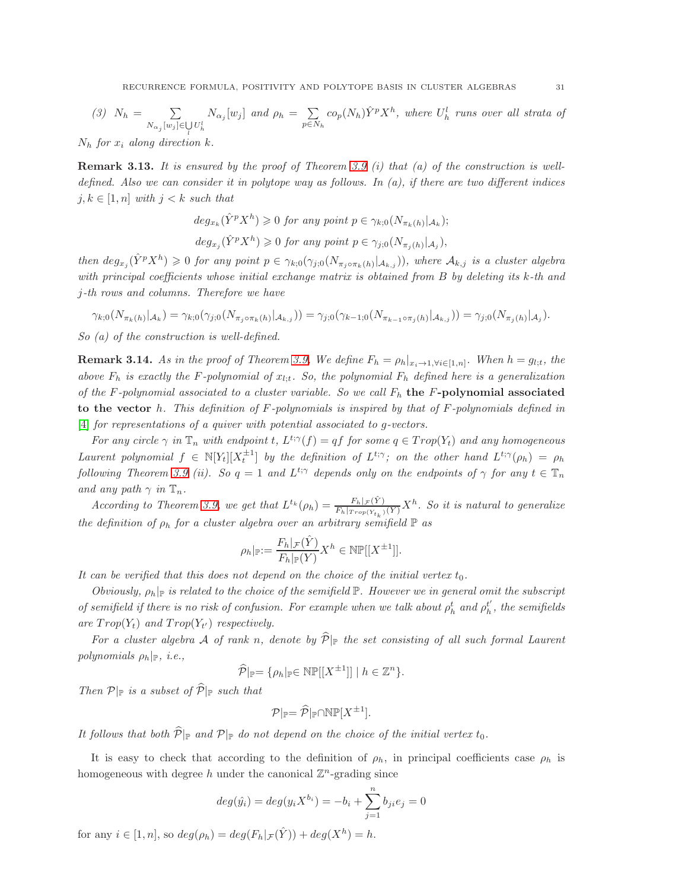(3) 
$$
N_h = \sum_{N_{\alpha_j}[w_j] \in \bigcup_l U_h^l} N_{\alpha_j}[w_j]
$$
 and  $\rho_h = \sum_{p \in N_h} co_p(N_h) \hat{Y}^p X^h$ , where  $U_h^l$  runs over all strata of

 $N_h$  for  $x_i$  along direction  $k$ .

**Remark 3.13.** It is ensured by the proof of Theorem [3.9](#page-22-0) (i) that (a) of the construction is welldefined. Also we can consider it in polytope way as follows. In  $(a)$ , if there are two different indices  $j, k \in [1, n]$  with  $j < k$  such that

$$
deg_{x_k}(\hat{Y}^p X^h) \geq 0 \text{ for any point } p \in \gamma_{k,0}(N_{\pi_k(h)}|_{\mathcal{A}_k});
$$

 $deg_{x_j}(\hat{Y}^p X^h) \geq 0$  for any point  $p \in \gamma_{j;0}(N_{\pi_j(h)}|_{\mathcal{A}_j}),$ 

then  $deg_{x_j}(\hat{Y}^pX^h) \geq 0$  for any point  $p \in \gamma_{k,0}(\gamma_{j,0}(N_{\pi_j \circ \pi_k(h)}|_{\mathcal{A}_{k,j}}))$ , where  $\mathcal{A}_{k,j}$  is a cluster algebra with principal coefficients whose initial exchange matrix is obtained from  $B$  by deleting its  $k$ -th and j-th rows and columns. Therefore we have

$$
\gamma_{k;0}(N_{\pi_k(h)}|_{\mathcal{A}_k}) = \gamma_{k;0}(\gamma_{j;0}(N_{\pi_j \circ \pi_k(h)}|_{\mathcal{A}_{k,j}})) = \gamma_{j;0}(\gamma_{k-1;0}(N_{\pi_{k-1} \circ \pi_j(h)}|_{\mathcal{A}_{k,j}})) = \gamma_{j;0}(N_{\pi_j(h)}|_{\mathcal{A}_j}).
$$

So (a) of the construction is well-defined.

<span id="page-30-0"></span>**Remark 3.14.** As in the proof of Theorem [3.9,](#page-22-0) We define  $F_h = \rho_h|_{x_i \to 1, \forall i \in [1,n]}$ . When  $h = g_{l,t}$ , the above  $F_h$  is exactly the F-polynomial of  $x_{l,t}$ . So, the polynomial  $F_h$  defined here is a generalization of the F-polynomial associated to a cluster variable. So we call  $F_h$  the F-polynomial associated to the vector h. This definition of  $F$ -polynomials is inspired by that of  $F$ -polynomials defined in [\[4\]](#page-52-13) for representations of a quiver with potential associated to g-vectors.

For any circle  $\gamma$  in  $\mathbb{T}_n$  with endpoint t,  $L^{t;\gamma}(f) = qf$  for some  $q \in Trop(Y_t)$  and any homogeneous Laurent polynomial  $f \in \mathbb{N}[Y_t][X_t^{\pm 1}]$  by the definition of  $L^{t;\gamma}$ ; on the other hand  $L^{t;\gamma}(\rho_h) = \rho_h$ following Theorem [3.9](#page-22-0) (ii). So  $q = 1$  and  $L^{t;\gamma}$  depends only on the endpoints of  $\gamma$  for any  $t \in \mathbb{T}_n$ and any path  $\gamma$  in  $\mathbb{T}_n$ .

According to Theorem [3.9,](#page-22-0) we get that  $L^{t_k}(\rho_h) = \frac{F_h|\mathcal{F}(\hat{Y})}{F_h|\mathcal{F}_{top}(Y_t)}X^h$ . So it is natural to generalize the definition of  $\rho_h$  for a cluster algebra over an arbitrary semifield  $\mathbb P$  as

$$
\rho_h|_{\mathbb{P}}:=\frac{F_h|_{\mathcal{F}}(\hat{Y})}{F_h|_{\mathbb{P}}(Y)}X^h\in \mathbb{N}\mathbb{P}[[X^{\pm 1}]].
$$

It can be verified that this does not depend on the choice of the initial vertex  $t_0$ .

Obviously,  $\rho_h|_{\mathbb{P}}$  is related to the choice of the semifield  $\mathbb{P}$ . However we in general omit the subscript of semifield if there is no risk of confusion. For example when we talk about  $\rho_h^t$  and  $\rho_h^{t'}$  $h<sub>h</sub>$ , the semifields are  $Trop(Y_t)$  and  $Trop(Y_{t'})$  respectively.

For a cluster algebra A of rank n, denote by  $\widehat{\mathcal{P}}|_{\mathbb{P}}$  the set consisting of all such formal Laurent polynomials  $\rho_h|_{\mathbb{P}}$ , *i.e.*,

$$
\widehat{\mathcal{P}}|_{\mathbb{P}} = \{ \rho_h |_{\mathbb{P}} \in \mathbb{NP}[[X^{\pm 1}]] \mid h \in \mathbb{Z}^n \}.
$$

Then  $\mathcal{P}|_{\mathbb{P}}$  is a subset of  $\widehat{\mathcal{P}}|_{\mathbb{P}}$  such that

$$
\mathcal{P}|_{\mathbb{P}} = \widehat{\mathcal{P}}|_{\mathbb{P}} \cap \mathbb{NP}[X^{\pm 1}].
$$

It follows that both  $\widehat{\mathcal{P}}|_{\mathbb{P}}$  and  $\mathcal{P}|_{\mathbb{P}}$  do not depend on the choice of the initial vertex  $t_0$ .

It is easy to check that according to the definition of  $\rho_h$ , in principal coefficients case  $\rho_h$  is homogeneous with degree h under the canonical  $\mathbb{Z}^n$ -grading since

$$
deg(\hat{y}_i) = deg(y_i X^{b_i}) = -b_i + \sum_{j=1}^n b_{ji} e_j = 0
$$

for any  $i \in [1, n]$ , so  $deg(\rho_h) = deg(F_h |_{\mathcal{F}}(\hat{Y})) + deg(X^h) = h$ .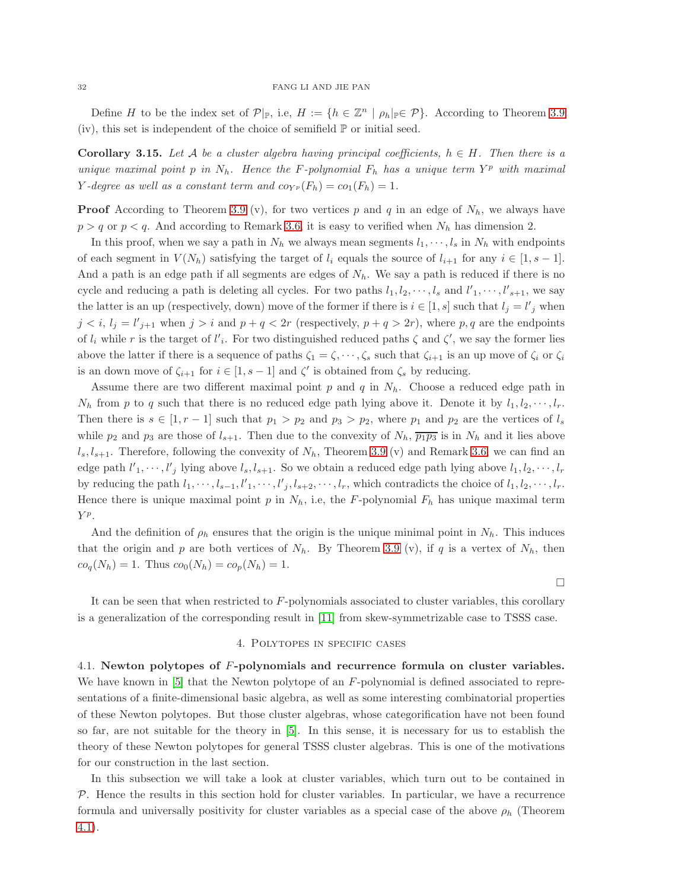Define H to be the index set of  $\mathcal{P}|_{\mathbb{P}}$ , i.e,  $H := \{h \in \mathbb{Z}^n \mid \rho_h |_{\mathbb{P}} \in \mathcal{P}\}\.$  According to Theorem [3.9](#page-22-0) (iv), this set is independent of the choice of semifield  $\mathbb P$  or initial seed.

<span id="page-31-2"></span>**Corollary 3.15.** Let A be a cluster algebra having principal coefficients,  $h \in H$ . Then there is a unique maximal point p in  $N_h$ . Hence the F-polynomial  $F_h$  has a unique term  $Y^p$  with maximal Y-degree as well as a constant term and  $cov_{P}(F_h) = co_1(F_h) = 1$ .

**Proof** According to Theorem [3.9](#page-22-0) (v), for two vertices p and q in an edge of  $N_h$ , we always have  $p > q$  or  $p < q$ . And according to Remark [3.6,](#page-20-1) it is easy to verified when  $N_h$  has dimension 2.

In this proof, when we say a path in  $N_h$  we always mean segments  $l_1, \dots, l_s$  in  $N_h$  with endpoints of each segment in  $V(N_h)$  satisfying the target of  $l_i$  equals the source of  $l_{i+1}$  for any  $i \in [1, s-1]$ . And a path is an edge path if all segments are edges of  $N<sub>h</sub>$ . We say a path is reduced if there is no cycle and reducing a path is deleting all cycles. For two paths  $l_1, l_2, \dots, l_s$  and  $l'_1, \dots, l'_{s+1}$ , we say the latter is an up (respectively, down) move of the former if there is  $i \in [1, s]$  such that  $l_j = l'_j$  when  $j < i$ ,  $l_j = l'_{j+1}$  when  $j > i$  and  $p + q < 2r$  (respectively,  $p + q > 2r$ ), where p, q are the endpoints of  $l_i$  while r is the target of  $l'_i$ . For two distinguished reduced paths  $\zeta$  and  $\zeta'$ , we say the former lies above the latter if there is a sequence of paths  $\zeta_1 = \zeta, \dots, \zeta_s$  such that  $\zeta_{i+1}$  is an up move of  $\zeta_i$  or  $\zeta_i$ is an down move of  $\zeta_{i+1}$  for  $i \in [1, s-1]$  and  $\zeta'$  is obtained from  $\zeta_s$  by reducing.

Assume there are two different maximal point p and q in  $N_h$ . Choose a reduced edge path in  $N_h$  from p to q such that there is no reduced edge path lying above it. Denote it by  $l_1, l_2, \cdots, l_r$ . Then there is  $s \in [1, r - 1]$  such that  $p_1 > p_2$  and  $p_3 > p_2$ , where  $p_1$  and  $p_2$  are the vertices of  $l_s$ while  $p_2$  and  $p_3$  are those of  $l_{s+1}$ . Then due to the convexity of  $N_h$ ,  $\overline{p_1p_3}$  is in  $N_h$  and it lies above  $l_s, l_{s+1}$ . Therefore, following the convexity of  $N_h$ , Theorem [3.9](#page-22-0) (v) and Remark [3.6,](#page-20-1) we can find an edge path  $l'_1, \dots, l'_j$  lying above  $l_s, l_{s+1}$ . So we obtain a reduced edge path lying above  $l_1, l_2, \dots, l_r$ by reducing the path  $l_1, \dots, l_{s-1}, l'_1, \dots, l'_j, l_{s+2}, \dots, l_r$ , which contradicts the choice of  $l_1, l_2, \dots, l_r$ . Hence there is unique maximal point p in  $N_h$ , i.e, the F-polynomial  $F_h$  has unique maximal term Y<sup>p</sup>.

And the definition of  $\rho_h$  ensures that the origin is the unique minimal point in  $N_h$ . This induces that the origin and p are both vertices of  $N_h$ . By Theorem [3.9](#page-22-0) (v), if q is a vertex of  $N_h$ , then  $co_q(N_h) = 1$ . Thus  $co_0(N_h) = co_p(N_h) = 1$ .

 $\Box$ 

<span id="page-31-0"></span>It can be seen that when restricted to F-polynomials associated to cluster variables, this corollary is a generalization of the corresponding result in [\[11\]](#page-52-0) from skew-symmetrizable case to TSSS case.

# 4. Polytopes in specific cases

<span id="page-31-1"></span>4.1. Newton polytopes of F-polynomials and recurrence formula on cluster variables. We have known in [\[5\]](#page-52-5) that the Newton polytope of an F-polynomial is defined associated to representations of a finite-dimensional basic algebra, as well as some interesting combinatorial properties of these Newton polytopes. But those cluster algebras, whose categorification have not been found so far, are not suitable for the theory in [\[5\]](#page-52-5). In this sense, it is necessary for us to establish the theory of these Newton polytopes for general TSSS cluster algebras. This is one of the motivations for our construction in the last section.

In this subsection we will take a look at cluster variables, which turn out to be contained in  $P$ . Hence the results in this section hold for cluster variables. In particular, we have a recurrence formula and universally positivity for cluster variables as a special case of the above  $\rho_h$  (Theorem [4.1\)](#page-32-0).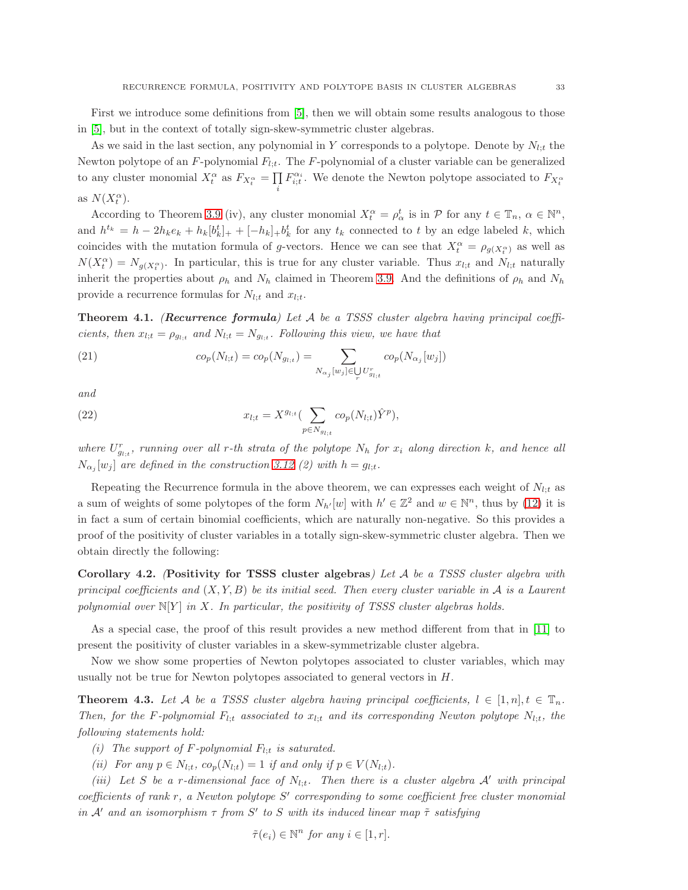First we introduce some definitions from [\[5\]](#page-52-5), then we will obtain some results analogous to those in [\[5\]](#page-52-5), but in the context of totally sign-skew-symmetric cluster algebras.

As we said in the last section, any polynomial in Y corresponds to a polytope. Denote by  $N_{l;t}$  the Newton polytope of an  $F$ -polynomial  $F_{l:t}$ . The  $F$ -polynomial of a cluster variable can be generalized to any cluster monomial  $X_t^{\alpha}$  as  $F_{X_t^{\alpha}} = \prod$  $\prod\limits_i F_{i;t}^{\alpha_i}.$  We denote the Newton polytope associated to  $F_{X_t^{\alpha}}$ as  $N(X_t^{\alpha})$ .

According to Theorem [3.9](#page-22-0) (iv), any cluster monomial  $X_t^{\alpha} = \rho_{\alpha}^t$  is in  $\mathcal{P}$  for any  $t \in \mathbb{T}_n$ ,  $\alpha \in \mathbb{N}^n$ , and  $h^{t_k} = h - 2h_k e_k + h_k [b_k^t]_+ + [-h_k]_+ b_k^t$  for any  $t_k$  connected to t by an edge labeled k, which coincides with the mutation formula of g-vectors. Hence we can see that  $X_t^{\alpha} = \rho_{g(X_t^{\alpha})}$  as well as  $N(X_t^{\alpha}) = N_{g(X_t^{\alpha})}$ . In particular, this is true for any cluster variable. Thus  $x_{l,t}$  and  $N_{l,t}$  naturally inherit the properties about  $\rho_h$  and  $N_h$  claimed in Theorem [3.9.](#page-22-0) And the definitions of  $\rho_h$  and  $N_h$ provide a recurrence formulas for  $N_{l;t}$  and  $x_{l;t}$ .

<span id="page-32-0"></span>**Theorem 4.1.** (Recurrence formula) Let  $A$  be a TSSS cluster algebra having principal coefficients, then  $x_{l,t} = \rho_{g_{l,t}}$  and  $N_{l,t} = N_{g_{l,t}}$ . Following this view, we have that

(21) 
$$
co_p(N_{l;t}) = co_p(N_{g_{l;t}}) = \sum_{N_{\alpha_j}[w_j] \in \bigcup_r U_{g_{l;t}}^r} co_p(N_{\alpha_j}[w_j])
$$

and

(22) 
$$
x_{l;t} = X^{g_{l;t}} \left( \sum_{p \in N_{g_{l;t}}} co_p(N_{l;t}) \hat{Y}^p \right),
$$

where  $U_{g_{i;t}}^{r}$ , running over all r-th strata of the polytope  $N_h$  for  $x_i$  along direction k, and hence all  $N_{\alpha_j}[w_j]$  are defined in the construction [3.12](#page-29-0) (2) with  $h = g_{l,t}$ .

Repeating the Recurrence formula in the above theorem, we can expresses each weight of  $N_{l;t}$  as a sum of weights of some polytopes of the form  $N_{h'}[w]$  with  $h' \in \mathbb{Z}^2$  and  $w \in \mathbb{N}^n$ , thus by [\(12\)](#page-15-1) it is in fact a sum of certain binomial coefficients, which are naturally non-negative. So this provides a proof of the positivity of cluster variables in a totally sign-skew-symmetric cluster algebra. Then we obtain directly the following:

<span id="page-32-1"></span>Corollary 4.2. (Positivity for TSSS cluster algebras) Let  $A$  be a TSSS cluster algebra with principal coefficients and  $(X, Y, B)$  be its initial seed. Then every cluster variable in A is a Laurent polynomial over  $N[Y]$  in X. In particular, the positivity of TSSS cluster algebras holds.

As a special case, the proof of this result provides a new method different from that in [\[11\]](#page-52-0) to present the positivity of cluster variables in a skew-symmetrizable cluster algebra.

Now we show some properties of Newton polytopes associated to cluster variables, which may usually not be true for Newton polytopes associated to general vectors in  $H$ .

<span id="page-32-2"></span>**Theorem 4.3.** Let A be a TSSS cluster algebra having principal coefficients,  $l \in [1, n], t \in \mathbb{T}_n$ . Then, for the F-polynomial  $F_{l;t}$  associated to  $x_{l;t}$  and its corresponding Newton polytope  $N_{l;t}$ , the following statements hold:

(i) The support of F-polynomial  $F_{l:t}$  is saturated.

(ii) For any  $p \in N_{l:t}$ ,  $co_p(N_{l:t}) = 1$  if and only if  $p \in V(N_{l:t})$ .

(iii) Let S be a r-dimensional face of  $N_{l,t}$ . Then there is a cluster algebra  $A'$  with principal coefficients of rank r, a Newton polytope S' corresponding to some coefficient free cluster monomial in A' and an isomorphism  $\tau$  from S' to S with its induced linear map  $\tilde{\tau}$  satisfying

$$
\tilde{\tau}(e_i) \in \mathbb{N}^n \text{ for any } i \in [1, r].
$$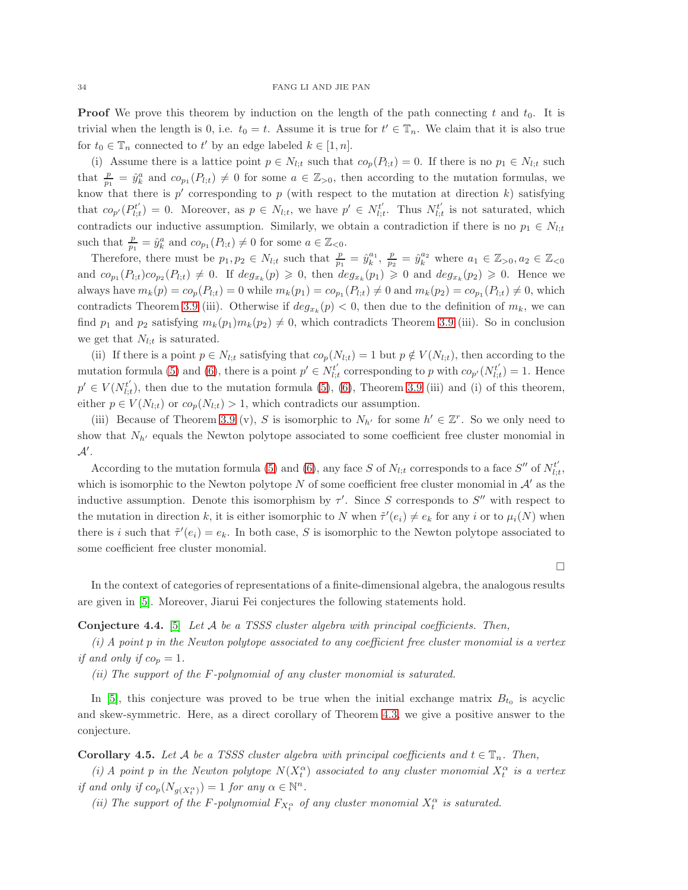**Proof** We prove this theorem by induction on the length of the path connecting t and  $t_0$ . It is trivial when the length is 0, i.e.  $t_0 = t$ . Assume it is true for  $t' \in \mathbb{T}_n$ . We claim that it is also true for  $t_0 \in \mathbb{T}_n$  connected to  $t'$  by an edge labeled  $k \in [1, n]$ .

(i) Assume there is a lattice point  $p \in N_{l;t}$  such that  $co_p(P_{l;t}) = 0$ . If there is no  $p_1 \in N_{l;t}$  such that  $\frac{p}{p_1} = \hat{y}_k^a$  and  $co_{p_1}(P_{l,t}) \neq 0$  for some  $a \in \mathbb{Z}_{>0}$ , then according to the mutation formulas, we know that there is  $p'$  corresponding to p (with respect to the mutation at direction k) satisfying that  $co_{p'}(P_{l;i}^{t'}$  $\mathbf{E}_{l;t}^{t'}$  = 0. Moreover, as  $p \in N_{l;t}$ , we have  $p' \in N_{l;t}^{t'}$  $l_{i,t}^{t'}$ . Thus  $N_{l,i}^{t'}$  $l_{i,t}^{t'}$  is not saturated, which contradicts our inductive assumption. Similarly, we obtain a contradiction if there is no  $p_1 \in N_{l,t}$ such that  $\frac{p}{p_1} = \hat{y}_k^a$  and  $co_{p_1}(P_{l,t}) \neq 0$  for some  $a \in \mathbb{Z}_{\leq 0}$ .

Therefore, there must be  $p_1, p_2 \in N_{l;t}$  such that  $\frac{p}{p_1} = \hat{y}_k^{a_1}$ ,  $\frac{p}{p_2} = \hat{y}_k^{a_2}$  where  $a_1 \in \mathbb{Z}_{>0}$ ,  $a_2 \in \mathbb{Z}_{<0}$ and  $co_{p_1}(P_{l,t})co_{p_2}(P_{l,t}) \neq 0$ . If  $deg_{x_k}(p) \geqslant 0$ , then  $deg_{x_k}(p_1) \geqslant 0$  and  $deg_{x_k}(p_2) \geqslant 0$ . Hence we always have  $m_k(p) = co_p(P_{l,t}) = 0$  while  $m_k(p_1) = co_{p_1}(P_{l,t}) \neq 0$  and  $m_k(p_2) = co_{p_1}(P_{l,t}) \neq 0$ , which contradicts Theorem [3.9](#page-22-0) (iii). Otherwise if  $deg_{x_k}(p) < 0$ , then due to the definition of  $m_k$ , we can find  $p_1$  and  $p_2$  satisfying  $m_k(p_1)m_k(p_2) \neq 0$ , which contradicts Theorem [3.9](#page-22-0) (iii). So in conclusion we get that  $N_{l;t}$  is saturated.

(ii) If there is a point  $p \in N_{l,t}$  satisfying that  $co_p(N_{l,t}) = 1$  but  $p \notin V(N_{l,t})$ , then according to the mutation formula [\(5\)](#page-5-0) and [\(6\)](#page-5-1), there is a point  $p' \in N_{l}^{t'}$  $\mathcal{L}_{l;t}^{t'}$  corresponding to p with  $co_{p'}(N_{l;t}^{t'})$  $l_{i,t}^{t'}$ ) = 1. Hence  $p' \in V(N_{l:n}^{t'})$  $\mathcal{L}_{l,t}^{t}$ , then due to the mutation formula [\(5\)](#page-5-0), [\(6\)](#page-5-1), Theorem [3.9](#page-22-0) (iii) and (i) of this theorem, either  $p \in V(N_{l;t})$  or  $co_p(N_{l;t}) > 1$ , which contradicts our assumption.

(iii) Because of Theorem [3.9](#page-22-0) (v), S is isomorphic to  $N_{h'}$  for some  $h' \in \mathbb{Z}^r$ . So we only need to show that  $N_{h'}$  equals the Newton polytope associated to some coefficient free cluster monomial in  $\mathcal{A}'$  .

According to the mutation formula [\(5\)](#page-5-0) and [\(6\)](#page-5-1), any face S of  $N_{l;t}$  corresponds to a face S'' of  $N_{l;t}^{t'}$  $_{l;t}^{t},$ which is isomorphic to the Newton polytope  $N$  of some coefficient free cluster monomial in  $\mathcal{A}'$  as the inductive assumption. Denote this isomorphism by  $\tau'$ . Since S corresponds to S'' with respect to the mutation in direction k, it is either isomorphic to N when  $\tilde{\tau}'(e_i) \neq e_k$  for any i or to  $\mu_i(N)$  when there is i such that  $\tilde{\tau}'(e_i) = e_k$ . In both case, S is isomorphic to the Newton polytope associated to some coefficient free cluster monomial.

 $\Box$ 

In the context of categories of representations of a finite-dimensional algebra, the analogous results are given in [\[5\]](#page-52-5). Moreover, Jiarui Fei conjectures the following statements hold.

# <span id="page-33-1"></span>**Conjecture 4.4.** [\[5\]](#page-52-5) Let  $A$  be a TSSS cluster algebra with principal coefficients. Then,

 $(i)$  A point p in the Newton polytope associated to any coefficient free cluster monomial is a vertex if and only if  $co_p = 1$ .

(ii) The support of the  $F$ -polynomial of any cluster monomial is saturated.

In [\[5\]](#page-52-5), this conjecture was proved to be true when the initial exchange matrix  $B_{t_0}$  is acyclic and skew-symmetric. Here, as a direct corollary of Theorem [4.3,](#page-32-2) we give a positive answer to the conjecture.

<span id="page-33-0"></span>**Corollary 4.5.** Let A be a TSSS cluster algebra with principal coefficients and  $t \in \mathbb{T}_n$ . Then,

(i) A point p in the Newton polytope  $N(X_t^{\alpha})$  associated to any cluster monomial  $X_t^{\alpha}$  is a vertex if and only if  $co_p(N_{g(X_i^{\alpha})}) = 1$  for any  $\alpha \in \mathbb{N}^n$ .

(ii) The support of the F-polynomial  $F_{X_t^{\alpha}}$  of any cluster monomial  $X_t^{\alpha}$  is saturated.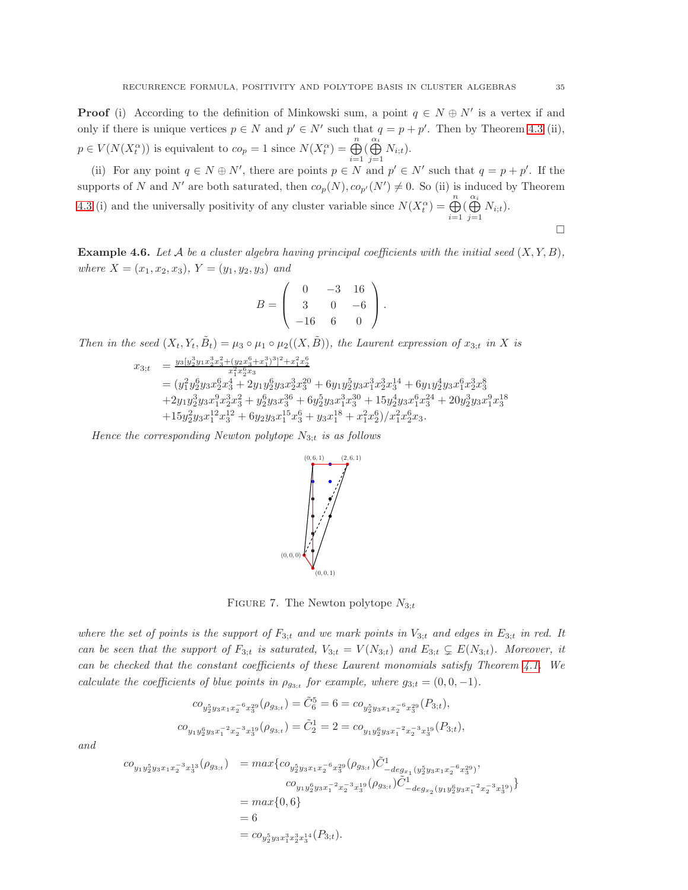**Proof** (i) According to the definition of Minkowski sum, a point  $q \in N \oplus N'$  is a vertex if and only if there is unique vertices  $p \in N$  and  $p' \in N'$  such that  $q = p + p'$ . Then by Theorem [4.3](#page-32-2) (ii),  $p \in V(N(X_t^{\alpha}))$  is equivalent to  $co_p = 1$  since  $N(X_t^{\alpha}) = \bigoplus_{k=1}^{n}$  $i=1$  $\overset{\alpha_i}{\bigoplus}$  $\bigoplus_{j=1} N_{i;t}$ .

(ii) For any point  $q \in N \oplus N'$ , there are points  $p \in N$  and  $p' \in N'$  such that  $q = p + p'$ . If the supports of N and N' are both saturated, then  $co_p(N), co_{p'}(N') \neq 0$ . So (ii) is induced by Theorem [4.3](#page-32-2) (i) and the universally positivity of any cluster variable since  $N(X_t^{\alpha}) = \bigoplus_{k=1}^{n} X_k^{\alpha}$  $i=1$  $\overset{\alpha_i}{\bigoplus}$  $\bigoplus_{j=1} N_{i;t}$ .

<span id="page-34-0"></span>**Example 4.6.** Let A be a cluster algebra having principal coefficients with the initial seed  $(X, Y, B)$ , where  $X = (x_1, x_2, x_3), Y = (y_1, y_2, y_3)$  and

$$
B = \left(\begin{array}{rrr} 0 & -3 & 16 \\ 3 & 0 & -6 \\ -16 & 6 & 0 \end{array}\right).
$$

Then in the seed  $(X_t, Y_t, \tilde{B}_t) = \mu_3 \circ \mu_1 \circ \mu_2((X, \tilde{B}))$ , the Laurent expression of  $x_{3;t}$  in X is

$$
x_{3;t} = \frac{y_3[y_2^3y_1x_2^3x_3^2+(y_2x_3^6+x_1^3)^3]^2+x_1^2x_2^6}{x_1^2x_2^6x_3}
$$
  
=  $(y_1^2y_2^6y_3x_2^6x_3^4+2y_1y_2^6y_3x_2^3x_3^20+6y_1y_2^5y_3x_1^3x_2^3x_3^4+6y_1y_2^4y_3x_1^6x_2^3x_3^8$   
+ $2y_1y_2^3y_3x_1^9x_2^3x_3^2+y_2^6y_3x_3^3^6+6y_2^5y_3x_1^3x_3^3^0+15y_2^4y_3x_1^6x_3^2^4+20y_2^3y_3x_1^9x_3^{18}$   
+ $15y_2^2y_3x_1^{12}x_3^{12}+6y_2y_3x_1^{15}x_3^6+y_3x_1^{18}+x_1^2x_2^6)/x_1^2x_2^6x_3.$ 

Hence the corresponding Newton polytope  $N_{3,t}$  is as follows



FIGURE 7. The Newton polytope  $N_{3;t}$ 

where the set of points is the support of  $F_{3;t}$  and we mark points in  $V_{3;t}$  and edges in  $E_{3;t}$  in red. It can be seen that the support of  $F_{3:t}$  is saturated,  $V_{3:t} = V(N_{3:t})$  and  $E_{3:t} \subsetneq E(N_{3:t})$ . Moreover, it can be checked that the constant coefficients of these Laurent monomials satisfy Theorem [4.1.](#page-32-0) We calculate the coefficients of blue points in  $\rho_{g_{3;t}}$  for example, where  $g_{3;t} = (0,0,-1)$ .

$$
\begin{aligned} co_{y_2^5y_3x_1x_2^{-6}x_3^{29}}(\rho_{g_{3;t}}) = \tilde{C}_6^5 = 6 = co_{y_2^5y_3x_1x_2^{-6}x_3^{29}}(P_{3;t}),\\ co_{y_1y_2^6y_3x_1^{-2}x_2^{-3}x_3^{19}}(\rho_{g_{3;t}}) = \tilde{C}_2^1 = 2 = co_{y_1y_2^6y_3x_1^{-2}x_2^{-3}x_3^{19}}(P_{3;t}), \end{aligned}
$$

and

$$
co_{y_1y_2^5y_3x_1x_2^{-3}x_3^{13}}(\rho_{g_{3;t}}) = max\{co_{y_2^5y_3x_1x_2^{-6}x_3^{29}}(\rho_{g_{3;t}})\tilde{C}^1_{-deg_{x_1}(y_2^5y_3x_1x_2^{-6}x_3^{29})},\newline co_{y_1y_2^6y_3x_1^{-2}x_2^{-3}x_3^{19}}(\rho_{g_{3;t}})\tilde{C}^1_{-deg_{x_2}(y_1y_2^6y_3x_1^{-2}x_2^{-3}x_3^{19})}\} = max\{0,6\} = 6 = co_{y_2^5y_3x_1^3x_2^{3}x_3^{14}}(P_{3;t}).
$$

 $\Box$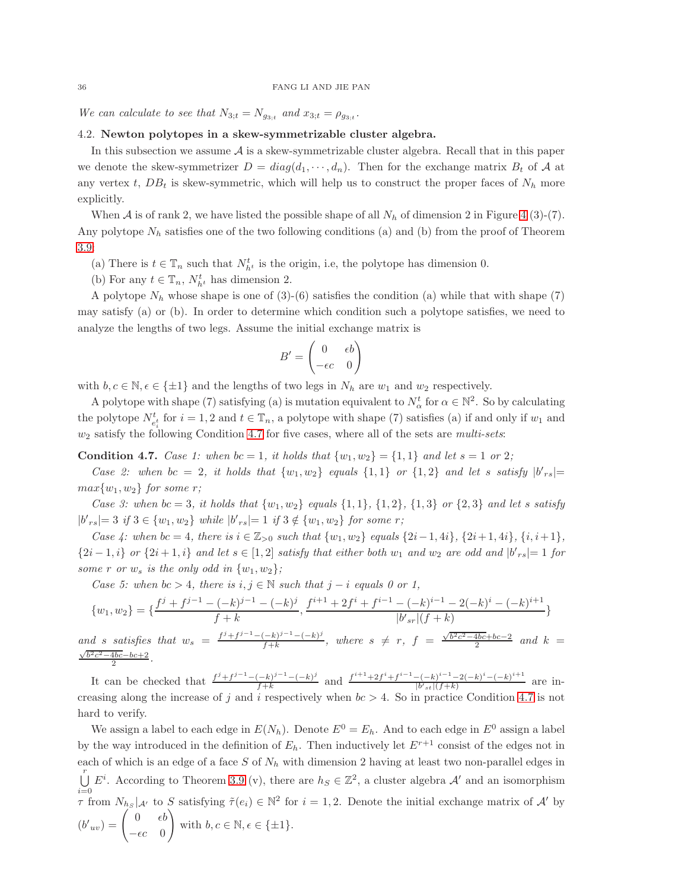<span id="page-35-0"></span>We can calculate to see that  $N_{3;t} = N_{g_{3;t}}$  and  $x_{3;t} = \rho_{g_{3;t}}$ .

# 4.2. Newton polytopes in a skew-symmetrizable cluster algebra.

In this subsection we assume  $A$  is a skew-symmetrizable cluster algebra. Recall that in this paper we denote the skew-symmetrizer  $D = diag(d_1, \dots, d_n)$ . Then for the exchange matrix  $B_t$  of A at any vertex t,  $DB_t$  is skew-symmetric, which will help us to construct the proper faces of  $N_h$  more explicitly.

When A is of rank 2, we have listed the possible shape of all  $N_h$  of dimension 2 in Figure [4](#page-21-1) (3)-(7). Any polytope  $N_h$  satisfies one of the two following conditions (a) and (b) from the proof of Theorem [3.9:](#page-22-0)

(a) There is  $t \in \mathbb{T}_n$  such that  $N_{h^t}^t$  is the origin, i.e, the polytope has dimension 0.

(b) For any  $t \in \mathbb{T}_n$ ,  $N_{h^t}^t$  has dimension 2.

A polytope  $N_h$  whose shape is one of (3)-(6) satisfies the condition (a) while that with shape (7) may satisfy (a) or (b). In order to determine which condition such a polytope satisfies, we need to analyze the lengths of two legs. Assume the initial exchange matrix is

$$
B' = \begin{pmatrix} 0 & \epsilon b \\ -\epsilon c & 0 \end{pmatrix}
$$

with  $b, c \in \mathbb{N}, \epsilon \in \{\pm 1\}$  and the lengths of two legs in  $N_h$  are  $w_1$  and  $w_2$  respectively.

A polytope with shape (7) satisfying (a) is mutation equivalent to  $N_{\alpha}^{t}$  for  $\alpha \in \mathbb{N}^{2}$ . So by calculating the polytope  $N_{e_i^t}^t$  for  $i = 1, 2$  and  $t \in \mathbb{T}_n$ , a polytope with shape (7) satisfies (a) if and only if  $w_1$  and  $w_2$  satisfy the following Condition [4.7](#page-35-1) for five cases, where all of the sets are multi-sets:

<span id="page-35-1"></span>**Condition 4.7.** Case 1: when  $bc = 1$ , it holds that  $\{w_1, w_2\} = \{1, 1\}$  and let  $s = 1$  or 2;

Case 2: when  $bc = 2$ , it holds that  $\{w_1, w_2\}$  equals  $\{1, 1\}$  or  $\{1, 2\}$  and let s satisfy  $|b'_{rs}| =$  $max{w_1, w_2}$  for some r;

Case 3: when  $bc = 3$ , it holds that  $\{w_1, w_2\}$  equals  $\{1, 1\}$ ,  $\{1, 2\}$ ,  $\{1, 3\}$  or  $\{2, 3\}$  and let s satisfy  $|b'_{rs}| = 3$  if  $3 \in \{w_1, w_2\}$  while  $|b'_{rs}| = 1$  if  $3 \notin \{w_1, w_2\}$  for some r;

Case 4: when  $bc = 4$ , there is  $i \in \mathbb{Z}_{\geq 0}$  such that  $\{w_1, w_2\}$  equals  $\{2i-1, 4i\}$ ,  $\{2i+1, 4i\}$ ,  $\{i, i+1\}$ ,  $\{2i-1,i\}$  or  $\{2i+1,i\}$  and let  $s \in [1,2]$  satisfy that either both  $w_1$  and  $w_2$  are odd and  $|b'_{rs}|=1$  for some r or  $w_s$  is the only odd in  $\{w_1, w_2\}$ ;

Case 5: when  $bc > 4$ , there is  $i, j \in \mathbb{N}$  such that  $j - i$  equals 0 or 1,

$$
\{w_1, w_2\} = \{\frac{f^j + f^{j-1} - (-k)^{j-1} - (-k)^j}{f + k}, \frac{f^{i+1} + 2f^i + f^{i-1} - (-k)^{i-1} - 2(-k)^i - (-k)^{i+1}}{|b'_{sr}|(f + k)}\}
$$

and s satisfies that  $w_s = \frac{f^j + f^{j-1} - (-k)^{j-1} - (-k)^j}{f+k}$  $\frac{(-k)^{j-1}-(-k)^j}{f+k}$ , where  $s \neq r$ ,  $f = \frac{\sqrt{b^2c^2-4bc}+bc-2}{2}$  and  $k =$  $\frac{\sqrt{b^2c^2-4bc}-bc+2}{2}$ . 2

It can be checked that  $\frac{f^j + f^{j-1} - (-k)^{j-1} - (-k)^j}{f + k}$  $\frac{(-k)^{j-1}-(-k)^j}{f+k}$  and  $\frac{f^{i+1}+2f^i+f^{i-1}-(-k)^{i-1}-2(-k)^i-(-k)^{i+1}}{|b'_{st}|(f+k)}$  $\frac{|(-k) - 2(-k) - (-k)|}{|b'_{st}|(f+k)}$  are increasing along the increase of j and i respectively when  $bc > 4$ . So in practice Condition [4.7](#page-35-1) is not hard to verify.

We assign a label to each edge in  $E(N_h)$ . Denote  $E^0 = E_h$ . And to each edge in  $E^0$  assign a label by the way introduced in the definition of  $E_h$ . Then inductively let  $E^{r+1}$  consist of the edges not in each of which is an edge of a face  $S$  of  $N_h$  with dimension 2 having at least two non-parallel edges in  $\bigcup_{i=1}^{r} E^{i}$ . According to Theorem [3.9](#page-22-0) (v), there are  $h_S \in \mathbb{Z}^2$ , a cluster algebra  $\mathcal{A}'$  and an isomorphism  $\tau$  from  $N_{h_S} |_{\mathcal{A}'}$  to S satisfying  $\tilde{\tau}(e_i) \in \mathbb{N}^2$  for  $i = 1, 2$ . Denote the initial exchange matrix of  $\mathcal{A}'$  by  $(b'_{uv}) = \begin{pmatrix} 0 & \epsilon b \\ 0 & \epsilon \end{pmatrix}$  $-\epsilon c \quad 0$  with  $b, c \in \mathbb{N}, \epsilon \in \{\pm 1\}.$  $\setminus$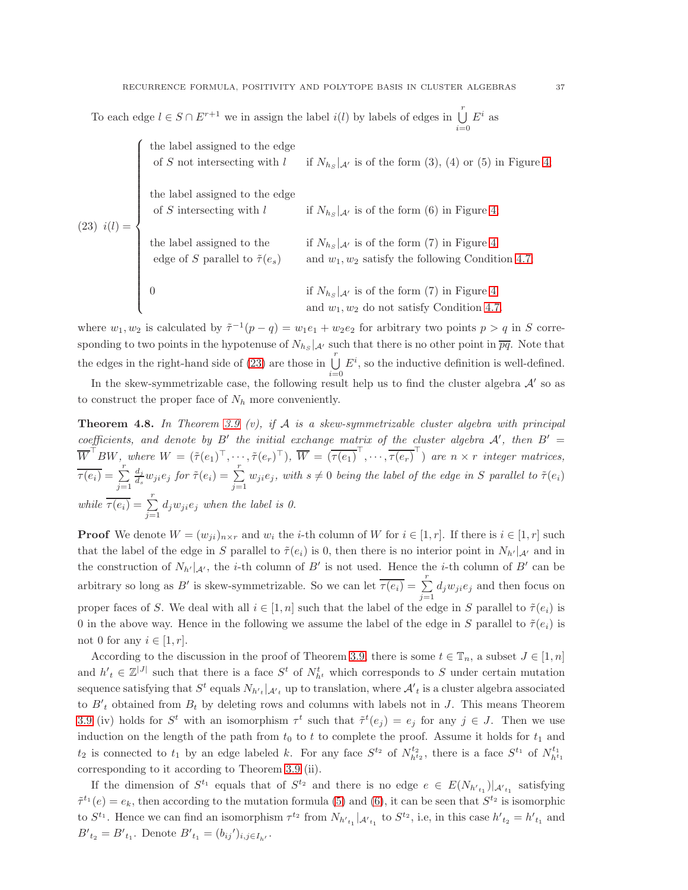To each edge  $l \in S \cap E^{r+1}$  we in assign the label  $i(l)$  by labels of edges in  $\bigcup^r E^i$  as  $i=0$ 

<span id="page-36-1"></span>

|  | % the label assigned to the edge of $S$ not intersecting with $\boldsymbol{l}$                                                                                                                                                  | if $N_{h_s}$   $\mu$ is of the form (3), (4) or (5) in Figure 4;                                                    |
|--|---------------------------------------------------------------------------------------------------------------------------------------------------------------------------------------------------------------------------------|---------------------------------------------------------------------------------------------------------------------|
|  | (23) $i(l) = \begin{cases} \text{the label assigned to the edge} \\ \text{of } S \text{ intersecting with } l \\ \text{the label assigned to the edge} \\ \text{edge of } S \text{ parallel to } \tilde{\tau}(e_s) \end{cases}$ | if $N_{h,s}$   $\mathcal{A}'$ is of the form (6) in Figure 4;                                                       |
|  |                                                                                                                                                                                                                                 | if $N_{h_S} _{{\mathcal A}'}$ is of the form (7) in Figure 4<br>and $w_1, w_2$ satisfy the following Condition 4.7; |
|  |                                                                                                                                                                                                                                 | if $N_{h_s}$   $\mathcal{A}'$ is of the form (7) in Figure 4<br>and $w_1, w_2$ do not satisfy Condition 4.7.        |

where  $w_1, w_2$  is calculated by  $\tilde{\tau}^{-1}(p-q) = w_1 e_1 + w_2 e_2$  for arbitrary two points  $p > q$  in S corresponding to two points in the hypotenuse of  $N_{h_S} |_{\mathcal{A}}$  such that there is no other point in  $\overline{pq}$ . Note that the edges in the right-hand side of [\(23\)](#page-36-1) are those in  $\bigcup_{i=1}^{r} E^{i}$ , so the inductive definition is well-defined.

In the skew-symmetrizable case, the following result help us to find the cluster algebra  $\mathcal{A}'$  so as to construct the proper face of  $N_h$  more conveniently.

<span id="page-36-0"></span>**Theorem 4.8.** In Theorem [3.9](#page-22-0) (v), if A is a skew-symmetrizable cluster algebra with principal coefficients, and denote by B' the initial exchange matrix of the cluster algebra  $\mathcal{A}'$ , then  $B' =$  $\overline{W}^{\perp}BW$ , where  $W = (\tilde{\tau}(e_1)^{\top}, \cdots, \tilde{\tau}(e_r)^{\top}), \ \overline{W} = (\overline{\tau(e_1)}^{\perp}, \cdots, \overline{\tau(e_r)}^{\perp})$  are  $n \times r$  integer matrices,  $\overline{\tau(e_i)} = \sum_{j=1}^r$  $d_j$  $\frac{d_j}{d_s}w_{ji}e_j$  for  $\tilde{\tau}(e_i) = \sum_{j=1}^r w_{ji}e_j$ , with  $s \neq 0$  being the label of the edge in S parallel to  $\tilde{\tau}(e_i)$ while  $\overline{\tau(e_i)} = \sum_{j=1}^r d_j w_{ji} e_j$  when the label is 0.

**Proof** We denote  $W = (w_{ji})_{n \times r}$  and  $w_i$  the *i*-th column of W for  $i \in [1, r]$ . If there is  $i \in [1, r]$  such that the label of the edge in S parallel to  $\tilde{\tau}(e_i)$  is 0, then there is no interior point in  $N_{h'}|_{\mathcal{A}'}$  and in the construction of  $N_{h'}|_{\mathcal{A}'}$ , the *i*-th column of B' is not used. Hence the *i*-th column of B' can be arbitrary so long as B' is skew-symmetrizable. So we can let  $\overline{\tau(e_i)} = \sum_{j=1}^r d_j w_{ji} e_j$  and then focus on proper faces of S. We deal with all  $i \in [1, n]$  such that the label of the edge in S parallel to  $\tilde{\tau}(e_i)$  is 0 in the above way. Hence in the following we assume the label of the edge in S parallel to  $\tilde{\tau}(e_i)$  is not 0 for any  $i \in [1, r]$ .

According to the discussion in the proof of Theorem [3.9,](#page-22-0) there is some  $t \in \mathbb{T}_n$ , a subset  $J \in [1, n]$ and  $h'_{t} \in \mathbb{Z}^{|J|}$  such that there is a face  $S^{t}$  of  $N_{h^{t}}^{t}$  which corresponds to S under certain mutation sequence satisfying that  $S^t$  equals  $N_{h'_{t}}|_{A'_{t}}$  up to translation, where  $A'_{t}$  is a cluster algebra associated to  $B<sup>'</sup><sub>t</sub>$  obtained from  $B<sub>t</sub>$  by deleting rows and columns with labels not in J. This means Theorem [3.9](#page-22-0) (iv) holds for  $S^t$  with an isomorphism  $\tau^t$  such that  $\tilde{\tau}^t(e_j) = e_j$  for any  $j \in J$ . Then we use induction on the length of the path from  $t_0$  to t to complete the proof. Assume it holds for  $t_1$  and  $t_2$  is connected to  $t_1$  by an edge labeled k. For any face  $S^{t_2}$  of  $N_{h^{t_2}}^{t_2}$ , there is a face  $S^{t_1}$  of  $N_{h^{t_1}}^{t_1}$ corresponding to it according to Theorem [3.9](#page-22-0) (ii).

If the dimension of  $S^{t_1}$  equals that of  $S^{t_2}$  and there is no edge  $e \in E(N_{h'_{t_1}})|_{\mathcal{A}_{t_1}}$  satisfying  $\tilde{\tau}^{t_1}(e) = e_k$ , then according to the mutation formula [\(5\)](#page-5-0) and [\(6\)](#page-5-1), it can be seen that  $S^{t_2}$  is isomorphic to  $S^{t_1}$ . Hence we can find an isomorphism  $\tau^{t_2}$  from  $N_{h'_{t_1}}|_{\mathcal{A'}_{t_1}}$  to  $S^{t_2}$ , i.e, in this case  $h'_{t_2} = h'_{t_1}$  and  $B'_{t_2} = B'_{t_1}$ . Denote  $B'_{t_1} = (b_{ij}')_{i,j \in I_{h'}}$ .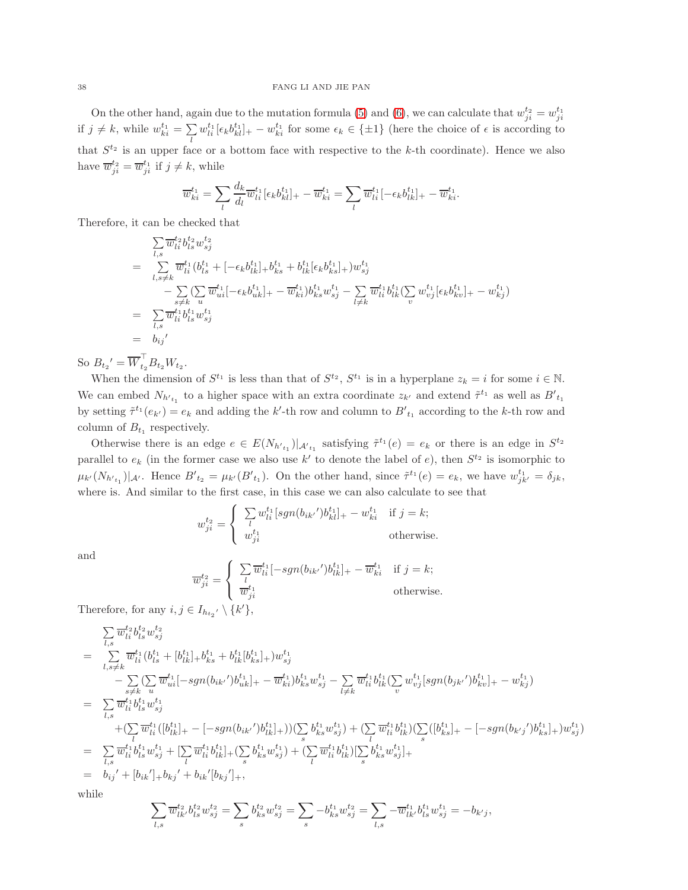On the other hand, again due to the mutation formula [\(5\)](#page-5-0) and [\(6\)](#page-5-1), we can calculate that  $w_{ji}^{t_2} = w_{ji}^{t_1}$ if  $j \neq k$ , while  $w_{ki}^{t_1} = \sum w_{li}^{t_1} [\epsilon_k b_{kl}^{t_1}]_+ - w_{ki}^{t_1}$  for some  $\epsilon_k \in {\pm 1}$  (here the choice of  $\epsilon$  is according to that  $S^{t_2}$  is an upper face or a bottom face with respective to the k-th coordinate). Hence we also have  $\overline{w}_{ji}^{t_2} = \overline{w}_{ji}^{t_1}$  if  $j \neq k$ , while

$$
\overline{w}_{ki}^{t_1} = \sum_{l} \frac{d_k}{d_l} \overline{w}_{li}^{t_1} [\epsilon_k b_{kl}^{t_1}]_+ - \overline{w}_{ki}^{t_1} = \sum_{l} \overline{w}_{li}^{t_1} [-\epsilon_k b_{lk}^{t_1}]_+ - \overline{w}_{ki}^{t_1}.
$$

Therefore, it can be checked that

$$
\sum_{l,s} \overline{w}_{li}^{t_2} b_{ls}^{t_2} w_{sj}^{t_2}
$$
\n
$$
= \sum_{l,s \neq k} \overline{w}_{li}^{t_1} (b_{ls}^{t_1} + [-\epsilon_k b_{lk}^{t_1}]_+ b_{ks}^{t_1} + b_{lk}^{t_1} [\epsilon_k b_{ks}^{t_1}]_+) w_{sj}^{t_1}
$$
\n
$$
- \sum_{s \neq k} (\sum_{u} \overline{w}_{ui}^{t_1} [-\epsilon_k b_{uk}^{t_1}]_+ - \overline{w}_{ki}^{t_1}) b_{ks}^{t_1} w_{sj}^{t_1} - \sum_{l \neq k} \overline{w}_{li}^{t_1} b_{lk}^{t_1} (\sum_{v} w_{vj}^{t_1} [\epsilon_k b_{kv}^{t_1}]_+ - w_{kj}^{t_1})
$$
\n
$$
= \sum_{l,s} \overline{w}_{li}^{t_1} b_{ls}^{t_1} w_{sj}^{t_1}
$$
\n
$$
= b_{ij}'
$$

So  $B_{t_2}' = \overline{W}^{\perp}_{t_2} B_{t_2} W_{t_2}$ .

When the dimension of  $S^{t_1}$  is less than that of  $S^{t_2}$ ,  $S^{t_1}$  is in a hyperplane  $z_k = i$  for some  $i \in \mathbb{N}$ . We can embed  $N_{h'_{t_1}}$  to a higher space with an extra coordinate  $z_{k'}$  and extend  $\tilde{\tau}^{t_1}$  as well as  $B'_{t_1}$ by setting  $\tilde{\tau}^{t_1}(e_{k'})=e_k$  and adding the k'-th row and column to  $B'_{t_1}$  according to the k-th row and column of  $B_{t_1}$  respectively.

Otherwise there is an edge  $e \in E(N_{h'_{t_1}})|_{\mathcal{A'}_{t_1}}$  satisfying  $\tilde{\tau}^{t_1}(e) = e_k$  or there is an edge in  $S^{t_2}$ parallel to  $e_k$  (in the former case we also use k' to denote the label of e), then  $S^{t_2}$  is isomorphic to  $\mu_{k'}(N_{h'_{t_1}})|_{\mathcal{A}'}$ . Hence  $B'_{t_2} = \mu_{k'}(B'_{t_1})$ . On the other hand, since  $\tilde{\tau}^{t_1}(e) = e_k$ , we have  $w_{jk'}^{t_1} = \delta_{jk}$ , where is. And similar to the first case, in this case we can also calculate to see that

$$
w_{ji}^{t_2} = \begin{cases} \sum_{l} w_{li}^{t_1} [sgn(b_{ik'})b_{kl}^{t_1}]_+ - w_{ki}^{t_1} & \text{if } j = k; \\ w_{ji}^{t_1} & \text{otherwise.} \end{cases}
$$

and

$$
\overline{w}_{ji}^{t_2} = \begin{cases}\n\sum_{l} \overline{w}_{li}^{t_1} [-sgn(b_{ik'})b_{lk}^{t_1}]_+ - \overline{w}_{ki}^{t_1} & \text{if } j = k; \\
\overline{w}_{ji}^{t_1} & \text{otherwise.} \n\end{cases}
$$

Therefore, for any  $i, j \in I_{h_{t_2'}} \setminus \{k'\},\$ 

$$
\sum_{l,s} \overline{w}_{li}^{t_2} b_{ls}^{t_2} w_{sj}^{t_2}
$$
\n
$$
= \sum_{l,s \neq k} \overline{w}_{li}^{t_1} (b_{ls}^{t_1} + [b_{lk}^{t_1}]_+ b_{ks}^{t_1} + b_{lk}^{t_1} [b_{ks}^{t_1}]_+) w_{sj}^{t_1}
$$
\n
$$
- \sum_{s \neq k} (\sum_{u} \overline{w}_{ui}^{t_1} [-sgn(b_{ik'})b_{uk}^{t_1}]_+ - \overline{w}_{ki}^{t_1}) b_{ks}^{t_1} w_{sj}^{t_1} - \sum_{l \neq k} \overline{w}_{li}^{t_1} b_{lk}^{t_1} (\sum_{v} w_{vj}^{t_1} [sgn(b_{jk'})b_{kv}^{t_1}]_+ - w_{kj}^{t_1})
$$
\n
$$
= \sum_{l,s} \overline{w}_{li}^{t_1} b_{ls}^{t_1} w_{sj}^{t_1}
$$
\n
$$
+ (\sum_{l} \overline{w}_{li}^{t_1} ([b_{lk}^{t_1}]_+ - [-sgn(b_{ik'})b_{lk}^{t_1}]_+)) (\sum_{s} b_{ks}^{t_1} w_{sj}^{t_1}) + (\sum_{l} \overline{w}_{li}^{t_1} b_{lk}^{t_1}) (\sum_{s} ([b_{ks}^{t_1}]_+ - [-sgn(b_{k'j'})b_{ks}^{t_1}]_+) w_{sj}^{t_1})
$$
\n
$$
= \sum_{l,s} \overline{w}_{li}^{t_1} b_{ls}^{t_1} w_{sj}^{t_1} + [\sum_{l} \overline{w}_{li}^{t_1} b_{lk}^{t_1}]_+ (\sum_{s} b_{ks}^{t_1} w_{sj}^{t_1}) + (\sum_{l} \overline{w}_{li}^{t_1} b_{lk}^{t_1}) [\sum_{s} b_{ks}^{t_1} w_{sj}^{t_1}]_+
$$
\n
$$
= b_{ij}' + [b_{ik}']_+ b_{kj}' + b_{ik}' [b_{kj}']_+,
$$

while

$$
\sum_{l,s} \overline{w}_{lk'}^{t_2} b_{ls}^{t_2} w_{sj}^{t_2} = \sum_s b_{ks}^{t_2} w_{sj}^{t_2} = \sum_s -b_{ks}^{t_1} w_{sj}^{t_2} = \sum_{l,s} -\overline{w}_{lk'}^{t_1} b_{ls}^{t_1} w_{sj}^{t_1} = -b_{k'j},
$$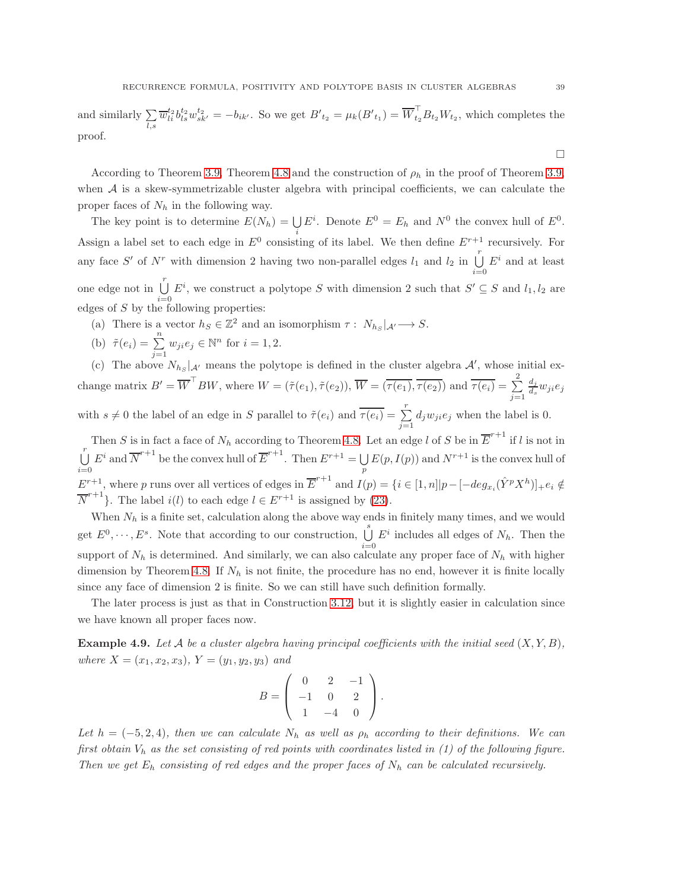and similarly  $\sum$ l,s  $\overline{w}_{li}^{t_2}b_{ls}^{t_2}w_{sk'}^{t_2} = -b_{ik'}$ . So we get  $B'_{t_2} = \mu_k(B'_{t_1}) = \overline{W}_{t_2}^{\perp}B_{t_2}W_{t_2}$ , which completes the proof.

According to Theorem [3.9,](#page-22-0) Theorem [4.8](#page-36-0) and the construction of  $\rho_h$  in the proof of Theorem 3.9, when  $A$  is a skew-symmetrizable cluster algebra with principal coefficients, we can calculate the proper faces of  $N_h$  in the following way.

The key point is to determine  $E(N_h) = \bigcup E^i$ . Denote  $E^0 = E_h$  and  $N^0$  the convex hull of  $E^0$ . Assign a label set to each edge in  $E^0$  consisting of its label. We then define  $E^{r+1}$  recursively. For any face S' of  $N^r$  with dimension 2 having two non-parallel edges  $l_1$  and  $l_2$  in  $\bigcup_{i=0}^r$  $E^i$  and at least one edge not in  $\bigcup^{r}$  $i=0$  $E^i$ , we construct a polytope S with dimension 2 such that  $S' \subseteq S$  and  $l_1, l_2$  are edges of  $S$  by the following properties:

- (a) There is a vector  $h_S \in \mathbb{Z}^2$  and an isomorphism  $\tau : N_{h_S} |_{\mathcal{A}} \longrightarrow S$ .
- (b)  $\tilde{\tau}(e_i) = \sum_{j=1}^n w_{ji} e_j \in \mathbb{N}^n$  for  $i = 1, 2$ .

(c) The above  $N_{h_s}$  |  $\mu$  means the polytope is defined in the cluster algebra  $\mathcal{A}'$ , whose initial exchange matrix  $B' = \overline{W}^\top BW$ , where  $W = (\tilde{\tau}(e_1), \tilde{\tau}(e_2)), \overline{W} = (\overline{\tau(e_1)}, \overline{\tau(e_2)})$  and  $\overline{\tau(e_i)} = \sum_{i=1}^{n}$  $j=1$  $d_j$  $\frac{a_j}{d_s} w_{ji} e_j$ with  $s \neq 0$  the label of an edge in S parallel to  $\tilde{\tau}(e_i)$  and  $\overline{\tau}(e_i) = \sum_{j=1}^r d_j w_{ji} e_j$  when the label is 0.

Then S is in fact a face of  $N_h$  according to Theorem [4.8.](#page-36-0) Let an edge l of S be in  $\overline{E}^{r+1}$  if l is not in  $\begin{bmatrix} r \\ \end{bmatrix}$  $i=0$  $E^i$  and  $\overline{N}^{r+1}$  be the convex hull of  $\overline{E}^{r+1}$ . Then  $E^{r+1} = \bigcup$  $\bigcup_p E(p, I(p))$  and  $N^{r+1}$  is the convex hull of  $E^{r+1}$ , where p runs over all vertices of edges in  $\overline{E}^{r+1}$  and  $I(p) = \{i \in [1,n] | p - [-deg_{x_i}(\hat{Y}^p X^h)]_+ e_i \notin$  $\overline{N}^{r+1}$ . The label  $i(l)$  to each edge  $l \in E^{r+1}$  is assigned by [\(23\)](#page-36-1).

When  $N_h$  is a finite set, calculation along the above way ends in finitely many times, and we would get  $E^0, \dots, E^s$ . Note that according to our construction,  $\bigcup^s E^i$  includes all edges of  $N_h$ . Then the support of  $N_h$  is determined. And similarly, we can also calculate any proper face of  $N_h$  with higher dimension by Theorem [4.8.](#page-36-0) If  $N_h$  is not finite, the procedure has no end, however it is finite locally since any face of dimension 2 is finite. So we can still have such definition formally.

The later process is just as that in Construction [3.12,](#page-29-0) but it is slightly easier in calculation since we have known all proper faces now.

**Example 4.9.** Let A be a cluster algebra having principal coefficients with the initial seed  $(X, Y, B)$ , where  $X = (x_1, x_2, x_3), Y = (y_1, y_2, y_3)$  and

$$
B = \left( \begin{array}{ccc} 0 & 2 & -1 \\ -1 & 0 & 2 \\ 1 & -4 & 0 \end{array} \right).
$$

Let  $h = (-5, 2, 4)$ , then we can calculate  $N_h$  as well as  $\rho_h$  according to their definitions. We can first obtain  $V_h$  as the set consisting of red points with coordinates listed in (1) of the following figure. Then we get  $E_h$  consisting of red edges and the proper faces of  $N_h$  can be calculated recursively.

 $\Box$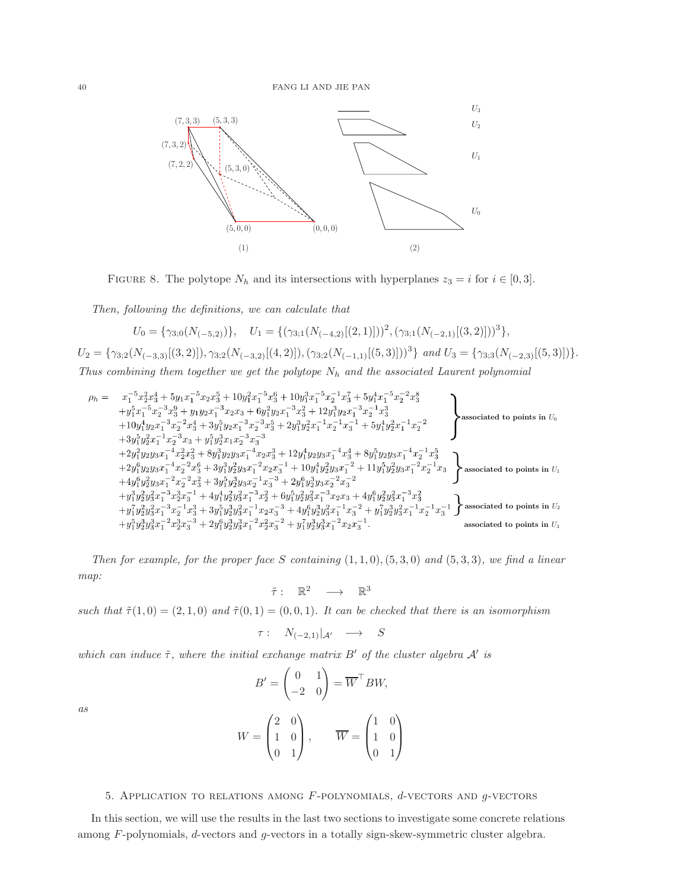# 40 FANG LI AND JIE PAN



FIGURE 8. The polytope  $N_h$  and its intersections with hyperplanes  $z_3 = i$  for  $i \in [0,3]$ .

Then, following the definitions, we can calculate that

$$
U_0 = \{ \gamma_{3,0}(N_{(-5,2)}) \}, \quad U_1 = \{ (\gamma_{3,1}(N_{(-4,2)}[(2,1)]))^2, (\gamma_{3,1}(N_{(-2,1)}[(3,2)]))^3 \},
$$

 $U_2 = \{\gamma_{3;2}(N_{(-3,3)}[(3,2)]), \gamma_{3;2}(N_{(-3,2)}[(4,2)]),(\gamma_{3;2}(N_{(-1,1)}[(5,3)]))^3\}$  and  $U_3 = \{\gamma_{3;3}(N_{(-2,3)}[(5,3)])\}.$ Thus combining them together we get the polytope  $N_h$  and the associated Laurent polynomial

$$
\rho_h = \begin{array}{l} x_1^{-5}x_2^2x_3^4 + 5y_1x_1^{-5}x_2x_3^5 + 10y_1^2x_1^{-5}x_3^6 + 10y_1^3x_1^{-5}x_2^{-1}x_3^7 + 5y_1^4x_1^{-5}x_2^{-2}x_3^8 \\ \quad + y_1^5x_1^{-5}x_2^{-3}x_3^9 + y_1y_2x_1^{-3}x_2x_3 + 6y_1^2y_2x_1^{-3}x_3^2 + 12y_1^3y_2x_1^{-3}x_2^{-1}x_3^3 \\ \quad + 10y_1^4y_2x_1^{-3}x_2^{-2}x_3^4 + 3y_1^5y_2x_1^{-3}x_2^{-3}x_3^5 + 2y_1^3y_2^2x_1^{-1}x_2^{-1}x_3^{-1} + 5y_1^4y_2^2x_1^{-1}x_2^{-2} \\ \quad + 3y_1^5y_2^2x_1^{-1}x_2^{-3}x_3 + y_1^5y_2^3x_1x_2^{-3}x_3^{-3} \\ \quad + 2y_1^2y_2y_3x_1^{-4}x_2^2x_3^2 + 8y_1^3y_2y_3x_1^{-4}x_2x_3^3 + 12y_1^4y_2y_3x_1^{-4}x_3^4 + 8y_1^5y_2y_3x_1^{-4}x_2^{-1}x_3^5 \\ \quad + 2y_1^6y_2y_3x_1^{-4}x_2^{-2}x_3^6 + 3y_1^3y_2^2y_3x_1^{-2}x_2x_3^{-1} + 10y_1^4y_2^2y_3x_1^{-2} + 11y_1^5y_2^2y_3x_1^{-2}x_2^{-1}x_3 \\ \quad + 4y_1^6y_2^2y_3x_1^{-2}x_2^{-2}x_3^2 + 3y_1^5y_2^3y_3x_2^{-1}x_3^{-3} + 2y_1^6y_2^3y_3x_2^{-2}x_3^{-2} \\ \quad + y_1^3y_2^2y_3^2x_1^{-3}x_2^{-3}x_3^{-1} + 4y_1
$$

Then for example, for the proper face S containing  $(1, 1, 0), (5, 3, 0)$  and  $(5, 3, 3)$ , we find a linear map:

$$
\tilde{\tau}:\ \mathbb{R}^2\quad\longrightarrow\quad \mathbb{R}^3
$$

such that  $\tilde{\tau}(1,0) = (2,1,0)$  and  $\tilde{\tau}(0,1) = (0,0,1)$ . It can be checked that there is an isomorphism

$$
\tau: N_{(-2,1)}|_{\mathcal{A}'} \longrightarrow S
$$

which can induce  $\tilde{\tau}$ , where the initial exchange matrix B' of the cluster algebra  $\mathcal{A}'$  is

 $\setminus$ 

 $W =$ 

 $\sqrt{ }$ 

 $\overline{ }$ 

$$
B' = \begin{pmatrix} 0 & 1 \\ -2 & 0 \end{pmatrix} = \overline{W}^{\top} BW,
$$

as

<span id="page-39-0"></span>5. APPLICATION TO RELATIONS AMONG 
$$
F
$$
-polynomials,  $d$ -vectors and  $g$ -vectors

 $\Big\}$ ,  $W =$ 

 $\sqrt{ }$ 

 $\setminus$ 

 $\Big\}$ 

 $\overline{ }$ 

In this section, we will use the results in the last two sections to investigate some concrete relations among F-polynomials, d-vectors and g-vectors in a totally sign-skew-symmetric cluster algebra.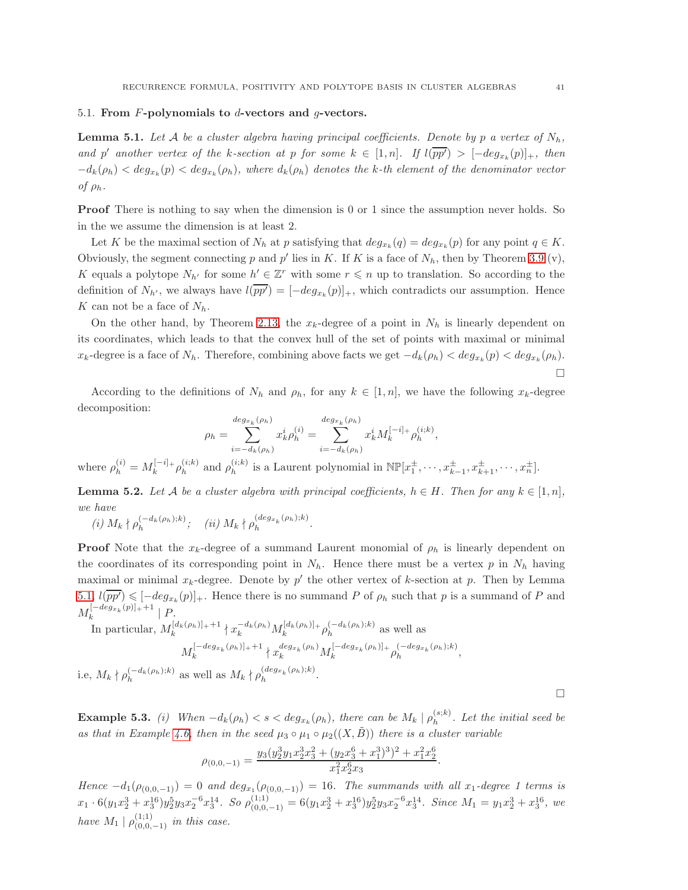#### <span id="page-40-0"></span>5.1. From  $F$ -polynomials to  $d$ -vectors and  $g$ -vectors.

<span id="page-40-1"></span>**Lemma 5.1.** Let A be a cluster algebra having principal coefficients. Denote by p a vertex of  $N_h$ , and p' another vertex of the k-section at p for some  $k \in [1,n]$ . If  $l(pp') > [-deg_{x_k}(p)]_+$ , then  $-d_k(\rho_h) < deg_{x_k}(p) < deg_{x_k}(\rho_h)$ , where  $d_k(\rho_h)$  denotes the k-th element of the denominator vector of  $\rho_h$ .

**Proof** There is nothing to say when the dimension is 0 or 1 since the assumption never holds. So in the we assume the dimension is at least 2.

Let K be the maximal section of  $N_h$  at p satisfying that  $deg_{x_k}(q) = deg_{x_k}(p)$  for any point  $q \in K$ . Obviously, the segment connecting p and p' lies in K. If K is a face of  $N_h$ , then by Theorem [3.9](#page-22-0) (v), K equals a polytope  $N_{h'}$  for some  $h' \in \mathbb{Z}^r$  with some  $r \leq n$  up to translation. So according to the definition of  $N_{h'}$ , we always have  $l(pp') = [-deg_{x_k}(p)]_+$ , which contradicts our assumption. Hence K can not be a face of  $N_h$ .

On the other hand, by Theorem [2.13,](#page-8-1) the  $x_k$ -degree of a point in  $N_h$  is linearly dependent on its coordinates, which leads to that the convex hull of the set of points with maximal or minimal  $x_k$ -degree is a face of  $N_h$ . Therefore, combining above facts we get  $-d_k(\rho_h) < deg_{x_k}(p) < deg_{x_k}(\rho_h)$ .  $\Box$ 

According to the definitions of  $N_h$  and  $\rho_h$ , for any  $k \in [1,n]$ , we have the following  $x_k$ -degree decomposition:

$$
\rho_h = \sum_{i=-d_k(\rho_h)}^{deg_{x_k}(\rho_h)} x_k^i \rho_h^{(i)} = \sum_{i=-d_k(\rho_h)}^{deg_{x_k}(\rho_h)} x_k^i M_k^{[-i]_+} \rho_h^{(i;k)},
$$

where  $\rho_h^{(i)} = M_k^{[-i]_+} \rho_h^{(i;k)}$  $_{h}^{(i;k)}$  and  $\rho_{h}^{(i;k)}$  $\mathbb{E}[x_h^{\pm}, \dots, x_{k-1}^{\pm}, x_{k+1}^{\pm}, \dots, x_n^{\pm}]$ .

<span id="page-40-2"></span>**Lemma 5.2.** Let A be a cluster algebra with principal coefficients,  $h \in H$ . Then for any  $k \in [1, n]$ , we have

$$
(i) M_k \nmid \rho_h^{(-d_k(\rho_h);k)}; \quad (ii) M_k \nmid \rho_h^{(deg_{x_k}(\rho_h);k)}.
$$

**Proof** Note that the  $x_k$ -degree of a summand Laurent monomial of  $\rho_h$  is linearly dependent on the coordinates of its corresponding point in  $N_h$ . Hence there must be a vertex p in  $N_h$  having maximal or minimal  $x_k$ -degree. Denote by p' the other vertex of k-section at p. Then by Lemma  $5.1, l(\overline{pp'}) \leq -deg_{x_k}(p)]_+$  $5.1, l(\overline{pp'}) \leq -deg_{x_k}(p)]_+$ . Hence there is no summand P of  $\rho_h$  such that p is a summand of P and  $M_k^{[-deg_{x_k}(p)]_++1} \mid P.$ k

In particular,  $M_k^{[d_k(\rho_h)]_+ + 1} \nmid x_k^{-d_k(\rho_h)} M_k^{[d_k(\rho_h)]_+} \rho_h^{(-d_k(\rho_h);k)}$  as well as

$$
M_k^{[-deg_{x_k}(\rho_h)]_++1} {\n\times_{k}^{deg_{x_k}(\rho_h)}M_k^{[-deg_{x_k}(\rho_h)]_+} \rho_h^{(-deg_{x_k}(\rho_h);k)}},
$$

i.e,  $M_k \nmid \rho_h^{(-d_k(\rho_h);k)}$  as well as  $M_k \nmid \rho_h^{(deg_{x_k}(\rho_h);k)}$  $h^{(avgx_k(p_h),\kappa)}$ .

**Example 5.3.** (i) When  $-d_k(\rho_h) < s < deg_{x_k}(\rho_h)$ , there can be  $M_k | \rho_h^{(s;k)}$  $\binom{(s,\kappa)}{h}$ . Let the initial seed be as that in Example [4.6,](#page-34-0) then in the seed  $\mu_3 \circ \mu_1 \circ \mu_2((X,\tilde{B}))$  there is a cluster variable

$$
\rho_{(0,0,-1)} = \frac{y_3(y_2^3y_1x_2^3x_3^2 + (y_2x_3^6 + x_1^3)^3)^2 + x_1^2x_2^6}{x_1^2x_2^6x_3}.
$$

Hence  $-d_1(\rho_{(0,0,-1)}) = 0$  and  $deg_{x_1}(\rho_{(0,0,-1)}) = 16$ . The summands with all  $x_1$ -degree 1 terms is  $x_1 \cdot 6(y_1x_2^3 + x_3^{16})y_2^5y_3x_2^{-6}x_3^{14}$ . So  $\rho_{(0,0,-1)}^{(1;1)} = 6(y_1x_2^3 + x_3^{16})y_2^5y_3x_2^{-6}x_3^{14}$ . Since  $M_1 = y_1x_2^3 + x_3^{16}$ , we have  $M_1 \mid \rho_{(0,0,-1)}^{(1;1)}$  in this case.

 $\Box$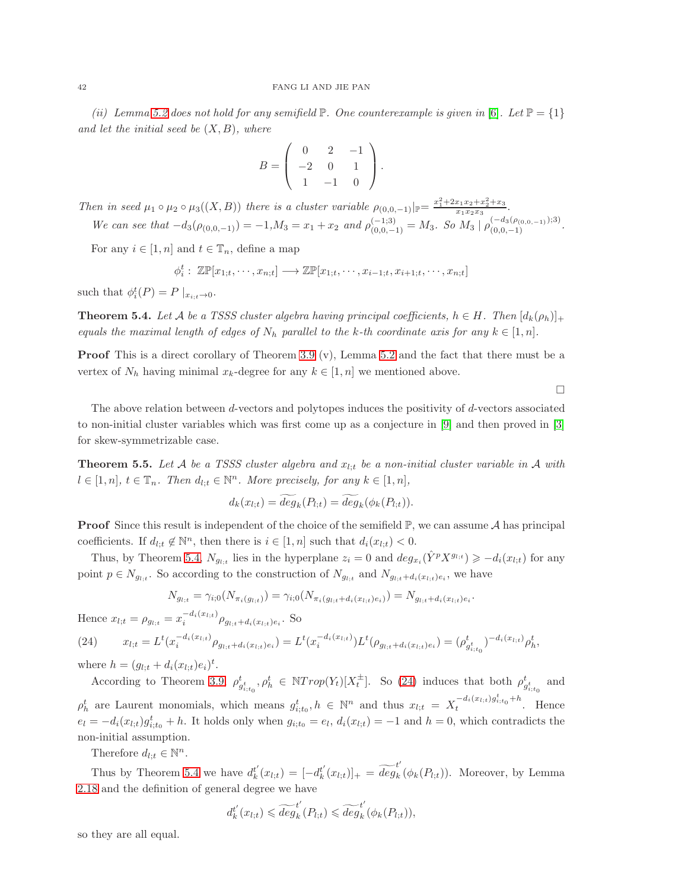(ii) Lemma [5.2](#page-40-2) does not hold for any semifield  $\mathbb{P}$ . One counterexample is given in [\[6\]](#page-52-14). Let  $\mathbb{P} = \{1\}$ and let the initial seed be  $(X, B)$ , where

$$
B = \left( \begin{array}{ccc} 0 & 2 & -1 \\ -2 & 0 & 1 \\ 1 & -1 & 0 \end{array} \right).
$$

Then in seed  $\mu_1 \circ \mu_2 \circ \mu_3((X, B))$  there is a cluster variable  $\rho_{(0, 0, -1)}|_{\mathbb{P}} = \frac{x_1^2 + 2x_1x_2 + x_2^2 + x_3}{x_1x_2x_3}$ .

We can see that  $-d_3(\rho_{(0,0,-1)}) = -1, M_3 = x_1 + x_2$  and  $\rho_{(0,0,-1)}^{(-1;3)} = M_3$ . So  $M_3 | \rho_{(0,0,-1)}^{(-d_3(\rho_{(0,0,-1)});3)}$ .

For any  $i \in [1, n]$  and  $t \in \mathbb{T}_n$ , define a map

$$
\phi_i^t: \mathbb{Z}\mathbb{P}[x_{1;t},\cdots,x_{n;t}] \longrightarrow \mathbb{Z}\mathbb{P}[x_{1;t},\cdots,x_{i-1;t},x_{i+1;t},\cdots,x_{n;t}]
$$

such that  $\phi_i^t(P) = P |_{x_{i;t}\to 0}$ .

<span id="page-41-1"></span>**Theorem 5.4.** Let A be a TSSS cluster algebra having principal coefficients,  $h \in H$ . Then  $[d_k(\rho_h)]_+$ equals the maximal length of edges of  $N_h$  parallel to the k-th coordinate axis for any  $k \in [1, n]$ .

Proof This is a direct corollary of Theorem [3.9](#page-22-0) (v), Lemma [5.2](#page-40-2) and the fact that there must be a vertex of  $N_h$  having minimal  $x_k$ -degree for any  $k \in [1, n]$  we mentioned above.

 $\Box$ 

The above relation between d-vectors and polytopes induces the positivity of d-vectors associated to non-initial cluster variables which was first come up as a conjecture in [\[9\]](#page-52-1) and then proved in [\[3\]](#page-52-15) for skew-symmetrizable case.

<span id="page-41-0"></span>**Theorem 5.5.** Let A be a TSSS cluster algebra and  $x_{l:t}$  be a non-initial cluster variable in A with  $l \in [1, n], t \in \mathbb{T}_n$ . Then  $d_{l,t} \in \mathbb{N}^n$ . More precisely, for any  $k \in [1, n],$ 

$$
d_k(x_{l;t}) = \overline{deg}_k(P_{l;t}) = \overline{deg}_k(\phi_k(P_{l;t})).
$$

**Proof** Since this result is independent of the choice of the semifield  $\mathbb{P}$ , we can assume  $\mathcal{A}$  has principal coefficients. If  $d_{l,t} \notin \mathbb{N}^n$ , then there is  $i \in [1, n]$  such that  $d_i(x_{l,t}) < 0$ .

Thus, by Theorem [5.4,](#page-41-1)  $N_{g_{l,t}}$  lies in the hyperplane  $z_i = 0$  and  $deg_{x_i}(\hat{Y}^p X^{g_{l,t}}) \geq -d_i(x_{l,t})$  for any point  $p \in N_{g_{l,t}}$ . So according to the construction of  $N_{g_{l,t}}$  and  $N_{g_{l,t}+d_i(x_{l,t})e_i}$ , we have

$$
N_{g_{l;t}} = \gamma_{i;0}(N_{\pi_i(g_{l;t})}) = \gamma_{i;0}(N_{\pi_i(g_{l;t} + d_i(x_{l;t})e_i)}) = N_{g_{l;t} + d_i(x_{l;t})e_i}.
$$

Hence  $x_{l;t} = \rho_{g_{l;t}} = x_i^{-d_i(x_{l;t})} \rho_{g_{l;t} + d_i(x_{l;t})e_i}$ . So

<span id="page-41-2"></span>(24) 
$$
x_{l;t} = L^t(x_i^{-d_i(x_{l;t})} \rho_{g_{l;t} + d_i(x_{l;t})e_i}) = L^t(x_i^{-d_i(x_{l;t})}) L^t(\rho_{g_{l;t} + d_i(x_{l;t})e_i}) = (\rho_{g_{i;t_0}}^t)^{-d_i(x_{l;t})} \rho_h^t,
$$

where  $h = (g_{l;t} + d_i(x_{l;t})e_i)^t$ .

According to Theorem [3.9,](#page-22-0)  $\rho_{g_{i,t_0}}^t$ ,  $\rho_h^t \in \mathbb{N}Trop(Y_t)[X_t^{\pm}]$ . So [\(24\)](#page-41-2) induces that both  $\rho_{g_{i,t_0}}^t$  and  $\rho_h^t$  are Laurent monomials, which means  $g_{i;t_0}^t, h \in \mathbb{N}^n$  and thus  $x_{l;t} = X_t^{-d_i(x_{l;t})g_{i;t_0}^t + h}$  $t^{u_i(x_i,y_i,t_0+n)}$ . Hence  $e_l = -d_i(x_{l,t})g_{i,t_0}^t + h$ . It holds only when  $g_{i,t_0} = e_l$ ,  $d_i(x_{l,t}) = -1$  and  $h = 0$ , which contradicts the non-initial assumption.

Therefore  $d_{l;t} \in \mathbb{N}^n$ .

Thus by Theorem [5.4](#page-41-1) we have  $d_k^{t'}$  $k'(x_{l;t}) = [-d_k^{t'}]$  $\begin{aligned} t'_k(x_{l;t})]_+ &= \widetilde{deg}_k^t. \end{aligned}$  $_{k}(\phi_{k}(P_{l,t}))$ . Moreover, by Lemma [2.18](#page-10-0) and the definition of general degree we have

$$
d_k^{t'}(x_{l;t}) \leqslant \widetilde{deg}_k^{t'}(P_{l;t}) \leqslant \widetilde{deg}_k^{t'}(\phi_k(P_{l;t})),
$$

so they are all equal.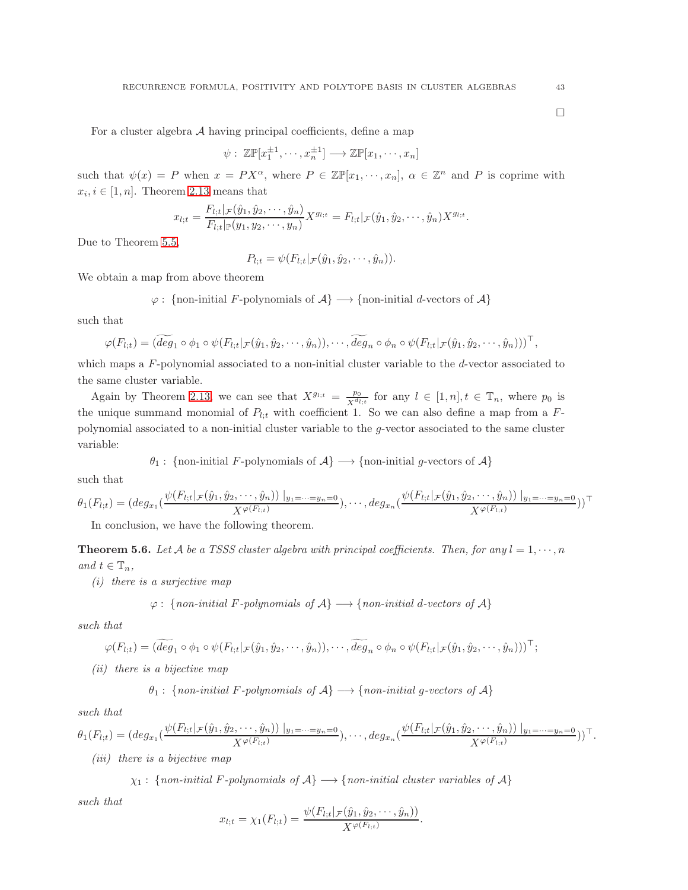$\Box$ 

For a cluster algebra  $A$  having principal coefficients, define a map

$$
\psi: \mathbb{Z}\mathbb{P}[x_1^{\pm 1}, \cdots, x_n^{\pm 1}] \longrightarrow \mathbb{Z}\mathbb{P}[x_1, \cdots, x_n]
$$

such that  $\psi(x) = P$  when  $x = PX^{\alpha}$ , where  $P \in \mathbb{Z}P[x_1,\dots,x_n], \alpha \in \mathbb{Z}^n$  and P is coprime with  $x_i, i \in [1, n]$ . Theorem [2.13](#page-8-1) means that

$$
x_{l;t} = \frac{F_{l;t}|_{\mathcal{F}}(\hat{y}_1, \hat{y}_2, \cdots, \hat{y}_n)}{F_{l;t}|_{\mathbb{P}}(y_1, y_2, \cdots, y_n)} X^{g_{l;t}} = F_{l;t}|_{\mathcal{F}}(\hat{y}_1, \hat{y}_2, \cdots, \hat{y}_n) X^{g_{l;t}}.
$$

Due to Theorem [5.5,](#page-41-0)

$$
P_{l;t}=\psi(F_{l;t}|_{\mathcal{F}}(\hat{y}_1,\hat{y}_2,\cdots,\hat{y}_n)).
$$

We obtain a map from above theorem

$$
\varphi
$$
: {non-inital F-polynomials of  $\mathcal{A}$ }  $\longrightarrow$  {non-inital d-vectors of  $\mathcal{A}$ }

such that

$$
\varphi(F_{l;t}) = (deg_1 \circ \phi_1 \circ \psi(F_{l;t} | \mathcal{F}(\hat{y}_1, \hat{y}_2, \cdots, \hat{y}_n)), \cdots, deg_n \circ \phi_n \circ \psi(F_{l;t} | \mathcal{F}(\hat{y}_1, \hat{y}_2, \cdots, \hat{y}_n)))^{\top},
$$

which maps a  $F$ -polynomial associated to a non-initial cluster variable to the  $d$ -vector associated to the same cluster variable.

Again by Theorem [2.13,](#page-8-1) we can see that  $X^{g_{l;t}} = \frac{p_0}{\sqrt{d_l}}$  $\frac{p_0}{X^{d_{l;t}}}$  for any  $l \in [1,n], t \in \mathbb{T}_n$ , where  $p_0$  is the unique summand monomial of  $P_{l;t}$  with coefficient 1. So we can also define a map from a  $F$ polynomial associated to a non-initial cluster variable to the g-vector associated to the same cluster variable:

$$
\theta_1
$$
: {non-inital F-polynomials of  $\mathcal{A}$ }  $\longrightarrow$  {non-inital g-vectors of  $\mathcal{A}$ }

such that

$$
\theta_1(F_{l;t}) = (deg_{x_1}(\frac{\psi(F_{l;t}|_{\mathcal{F}}(\hat{y}_1, \hat{y}_2, \cdots, \hat{y}_n))|_{y_1 = \cdots = y_n = 0}}{X^{\varphi(F_{l;t})})}, \cdots, deg_{x_n}(\frac{\psi(F_{l;t}|_{\mathcal{F}}(\hat{y}_1, \hat{y}_2, \cdots, \hat{y}_n))|_{y_1 = \cdots = y_n = 0}}{X^{\varphi(F_{l;t})}})^{\top}
$$

In conclusion, we have the following theorem.

<span id="page-42-0"></span>**Theorem 5.6.** Let A be a TSSS cluster algebra with principal coefficients. Then, for any  $l = 1, \dots, n$ and  $t \in \mathbb{T}_n$ ,

(i) there is a surjective map

$$
\varphi
$$
: {*non-inital F-polynomials of*  $\mathcal{A}$ }  $\longrightarrow$  {*non-inital d-vectors of*  $\mathcal{A}$ }

such that

$$
\varphi(F_{l;t}) = (\widetilde{deg}_1 \circ \phi_1 \circ \psi(F_{l;t} |_{\mathcal{F}}(\hat{y}_1, \hat{y}_2, \cdots, \hat{y}_n)), \cdots, \widetilde{deg}_n \circ \phi_n \circ \psi(F_{l;t} |_{\mathcal{F}}(\hat{y}_1, \hat{y}_2, \cdots, \hat{y}_n)))^{\top};
$$

(ii) there is a bijective map

$$
\theta_1: \{ non-inital \ F\text{-}polynomials \ of \ A\} \longrightarrow \{ non-inital \ g\text{-vectors of } A\}
$$

such that

$$
\theta_1(F_{l;t}) = (deg_{x_1}(\frac{\psi(F_{l;t}|_{\mathcal{F}}(\hat{y}_1, \hat{y}_2, \cdots, \hat{y}_n))|_{y_1 = \cdots = y_n = 0}}{X^{\varphi(F_{l;t})}}), \cdots, deg_{x_n}(\frac{\psi(F_{l;t}|_{\mathcal{F}}(\hat{y}_1, \hat{y}_2, \cdots, \hat{y}_n))|_{y_1 = \cdots = y_n = 0}}{X^{\varphi(F_{l;t})}}))^\top.
$$

(iii) there is a bijective map

 $\chi_1$ : {non-initial F-polynomials of A}  $\longrightarrow$  {non-initial cluster variables of A}

such that

$$
x_{l;t} = \chi_1(F_{l;t}) = \frac{\psi(F_{l;t}|_{\mathcal{F}}(\hat{y}_1, \hat{y}_2, \cdots, \hat{y}_n))}{X^{\varphi(F_{l;t})}}.
$$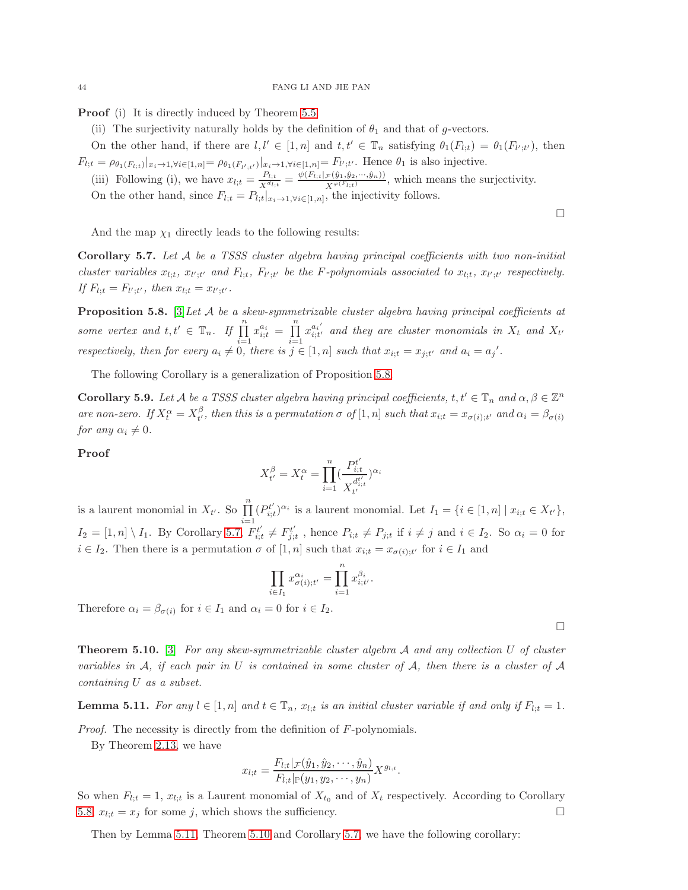Proof (i) It is directly induced by Theorem [5.5.](#page-41-0)

(ii) The surjectivity naturally holds by the definition of  $\theta_1$  and that of g-vectors.

On the other hand, if there are  $l, l' \in [1, n]$  and  $t, t' \in \mathbb{T}_n$  satisfying  $\theta_1(F_{l,t}) = \theta_1(F_{l',t'})$ , then  $F_{l;t} = \rho_{\theta_1(F_{l;t})}|_{x_i \to 1, \forall i \in [1,n]} = \rho_{\theta_1(F_{l';t'})}|_{x_i \to 1, \forall i \in [1,n]} = F_{l';t'}$ . Hence  $\theta_1$  is also injective.

(iii) Following (i), we have  $x_{l;t} = \frac{P_{l;t}}{v^{d_l}}$  $\frac{P_{l;t}}{X^{d_{l;t}}} = \frac{\psi(F_{l;t} | \mathcal{F}(\hat{y}_1, \hat{y}_2, \dots, \hat{y}_n))}{X^{\varphi(F_{l;t})}}$  $\frac{\mathcal{F}(y_1, y_2, \dots, y_n)}{X^{\varphi(F_{l;t})}}$ , which means the surjectivity. On the other hand, since  $F_{l,t} = P_{l,t}|_{x_i \to 1, \forall i \in [1,n]}$ , the injectivity follows.

And the map  $\chi_1$  directly leads to the following results:

<span id="page-43-0"></span>Corollary 5.7. Let A be a TSSS cluster algebra having principal coefficients with two non-initial cluster variables  $x_{l,t}$ ,  $x_{l';t'}$  and  $F_{l;t}$ ,  $F_{l';t'}$  be the F-polynomials associated to  $x_{l;t}$ ,  $x_{l';t'}$  respectively. If  $F_{l;t} = F_{l';t'}$ , then  $x_{l;t} = x_{l';t'}$ .

<span id="page-43-1"></span>**Proposition 5.8.** [\[3\]](#page-52-15) Let A be a skew-symmetrizable cluster algebra having principal coefficients at some vertex and  $t, t' \in \mathbb{T}_n$ . If  $\prod_{i=1}^n$  $x_{i;t}^{a_i} = \prod^n$  $i=1$  $x_{i:t'}^{a_i'}$  $\begin{array}{c} a_i \ i_i t' \end{array}$  and they are cluster monomials in  $X_t$  and  $X_{t'}$ respectively, then for every  $a_i \neq 0$ , there is  $j \in [1, n]$  such that  $x_{i,t} = x_{j,t'}$  and  $a_i = a_j'.$ 

The following Corollary is a generalization of Proposition [5.8.](#page-43-1)

**Corollary 5.9.** Let A be a TSSS cluster algebra having principal coefficients,  $t, t' \in \mathbb{T}_n$  and  $\alpha, \beta \in \mathbb{Z}^n$ are non-zero. If  $X_t^{\alpha} = X_{t'}^{\beta}$ , then this is a permutation  $\sigma$  of  $[1,n]$  such that  $x_{i,t} = x_{\sigma(i);t'}$  and  $\alpha_i = \beta_{\sigma(i)}$ for any  $\alpha_i \neq 0$ .

#### Proof

$$
X_{t'}^{\beta}=X_{t}^{\alpha}=\prod_{i=1}^{n}(\frac{P_{i;t}^{t'}}{X_{t'}^{d_{i;t}^{t'}}})^{\alpha_{i}}
$$

is a laurent monomial in  $X_{t'}$ . So  $\prod_{i=1}^{n} (P_{i,i}^{t'}$  $i=1$  $u_{i,t}^{(t')}$ <sup> $\alpha_i$ </sup> is a laurent monomial. Let  $I_1 = \{i \in [1,n] \mid x_{i,t} \in X_{t'}\},\$  $I_2 = [1, n] \setminus I_1$ . By Corollary [5.7,](#page-43-0)  $F_{i;i}^{t'}$  $t'_{i;t} \neq F^{t'}_{j;t}$  $j_{j,t}^{t'}$ , hence  $P_{i,t} \neq P_{j,t}$  if  $i \neq j$  and  $i \in I_2$ . So  $\alpha_i = 0$  for  $i \in I_2$ . Then there is a permutation  $\sigma$  of  $[1, n]$  such that  $x_{i,t} = x_{\sigma(i);t'}$  for  $i \in I_1$  and

$$
\prod_{i\in I_1} x_{\sigma(i);t'}^{\alpha_i} = \prod_{i=1}^n x_{i;t'}^{\beta_i}.
$$

Therefore  $\alpha_i = \beta_{\sigma(i)}$  for  $i \in I_1$  and  $\alpha_i = 0$  for  $i \in I_2$ .

<span id="page-43-3"></span>**Theorem 5.10.** [\[3\]](#page-52-15) For any skew-symmetrizable cluster algebra A and any collection U of cluster variables in  $A$ , if each pair in U is contained in some cluster of  $A$ , then there is a cluster of  $A$ containing U as a subset.

<span id="page-43-2"></span>**Lemma 5.11.** For any  $l \in [1, n]$  and  $t \in \mathbb{T}_n$ ,  $x_{l,t}$  is an initial cluster variable if and only if  $F_{l,t} = 1$ .

Proof. The necessity is directly from the definition of F-polynomials.

By Theorem [2.13,](#page-8-1) we have

$$
x_{l;t} = \frac{F_{l;t}|_{\mathcal{F}}(\hat{y}_1, \hat{y}_2, \cdots, \hat{y}_n)}{F_{l;t}|_{\mathbb{P}}(y_1, y_2, \cdots, y_n)} X^{g_{l;t}}.
$$

So when  $F_{l;t} = 1$ ,  $x_{l;t}$  is a Laurent monomial of  $X_{t_0}$  and of  $X_t$  respectively. According to Corollary [5.8,](#page-43-1)  $x_{l:t} = x_j$  for some j, which shows the sufficiency.

Then by Lemma [5.11,](#page-43-2) Theorem [5.10](#page-43-3) and Corollary [5.7,](#page-43-0) we have the following corollary:

 $\Box$ 

 $\Box$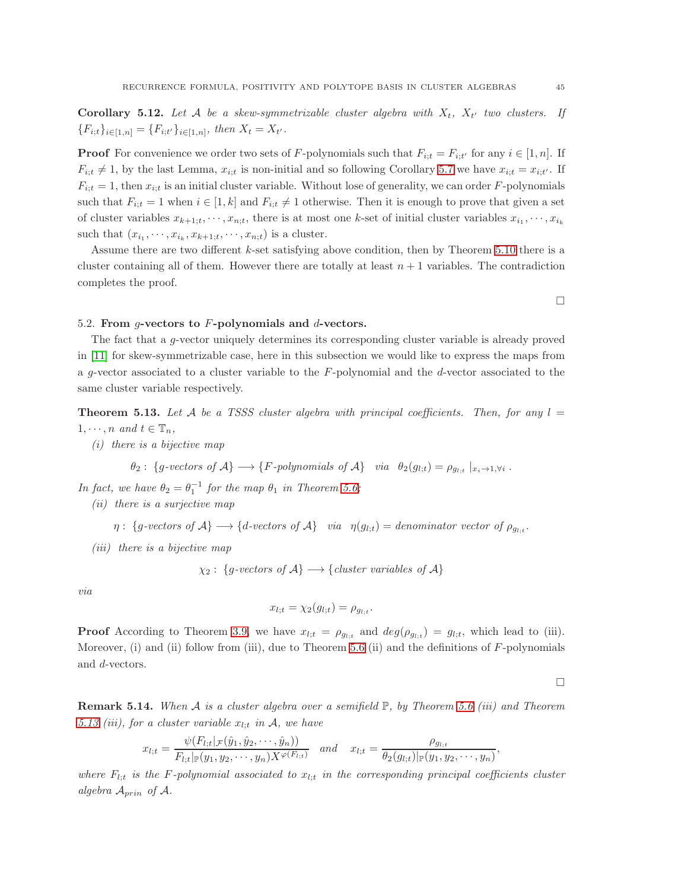**Corollary 5.12.** Let A be a skew-symmetrizable cluster algebra with  $X_t$ ,  $X_{t'}$  two clusters. If  ${F_{i;t}}_{i\in [1,n]} = {F_{i;t'}}_{i\in [1,n]},\text{ then } X_t = X_{t'}.$ 

**Proof** For convenience we order two sets of F-polynomials such that  $F_{i;t} = F_{i;t'}$  for any  $i \in [1, n]$ . If  $F_{i,t} \neq 1$ , by the last Lemma,  $x_{i,t}$  is non-initial and so following Corollary [5.7](#page-43-0) we have  $x_{i,t} = x_{i,t'}$ . If  $F_{i,t} = 1$ , then  $x_{i,t}$  is an initial cluster variable. Without lose of generality, we can order F-polynomials such that  $F_{i;t} = 1$  when  $i \in [1, k]$  and  $F_{i;t} \neq 1$  otherwise. Then it is enough to prove that given a set of cluster variables  $x_{k+1;t}, \dots, x_{n;t}$ , there is at most one k-set of initial cluster variables  $x_{i_1}, \dots, x_{i_k}$ such that  $(x_{i_1}, \dots, x_{i_k}, x_{k+1;t}, \dots, x_{n;t})$  is a cluster.

Assume there are two different k-set satisfying above condition, then by Theorem [5.10](#page-43-3) there is a cluster containing all of them. However there are totally at least  $n + 1$  variables. The contradiction completes the proof.

#### <span id="page-44-0"></span>5.2. From  $q$ -vectors to F-polynomials and  $d$ -vectors.

The fact that a g-vector uniquely determines its corresponding cluster variable is already proved in [\[11\]](#page-52-0) for skew-symmetrizable case, here in this subsection we would like to express the maps from a g-vector associated to a cluster variable to the  $F$ -polynomial and the d-vector associated to the same cluster variable respectively.

<span id="page-44-1"></span>**Theorem 5.13.** Let A be a TSSS cluster algebra with principal coefficients. Then, for any  $l =$  $1, \dots, n$  and  $t \in \mathbb{T}_n$ ,

(i) there is a bijective map

$$
\theta_2: \{g\text{-vectors of } \mathcal{A}\} \longrightarrow \{F\text{-polynomials of } \mathcal{A}\} \quad via \quad \theta_2(g_{l,t}) = \rho_{g_{l,t}} \mid_{x_i \to 1, \forall i}.
$$

In fact, we have  $\theta_2 = \theta_1^{-1}$  for the map  $\theta_1$  in Theorem [5.6;](#page-42-0)

(ii) there is a surjective map

$$
\eta: \{g\text{-vectors of } \mathcal{A}\} \longrightarrow \{d\text{-vectors of } \mathcal{A}\} \quad via \quad \eta(g_{l,t}) = denominator vector of \rho_{g_{l,t}}.
$$

(iii) there is a bijective map

 $\chi_2$ : {g-vectors of A}  $\longrightarrow$  {cluster variables of A}

via

$$
x_{l;t} = \chi_2(g_{l;t}) = \rho_{g_{l;t}}.
$$

**Proof** According to Theorem [3.9,](#page-22-0) we have  $x_{l,t} = \rho_{g_{l,t}}$  and  $deg(\rho_{g_{l,t}}) = g_{l,t}$ , which lead to (iii). Moreover, (i) and (ii) follow from (iii), due to Theorem [5.6](#page-42-0) (ii) and the definitions of  $F$ -polynomials and d-vectors.

 $\Box$ 

,

**Remark 5.14.** When A is a cluster algebra over a semifield  $\mathbb{P}$ , by Theorem [5.6](#page-42-0) (iii) and Theorem [5.13](#page-44-1) (iii), for a cluster variable  $x_{l:t}$  in A, we have

$$
x_{l;t} = \frac{\psi(F_{l;t} | \mathcal{F}(\hat{y}_1, \hat{y}_2, \dots, \hat{y}_n))}{F_{l;t} | \mathbb{P}(y_1, y_2, \dots, y_n) X^{\varphi(F_{l;t})}} \quad and \quad x_{l;t} = \frac{\rho_{g_{l;t}}}{\theta_2(g_{l;t}) | \mathbb{P}(y_1, y_2, \dots, y_n)}
$$

where  $F_{l:t}$  is the F-polynomial associated to  $x_{l:t}$  in the corresponding principal coefficients cluster algebra  $A_{prin}$  of A.

 $\Box$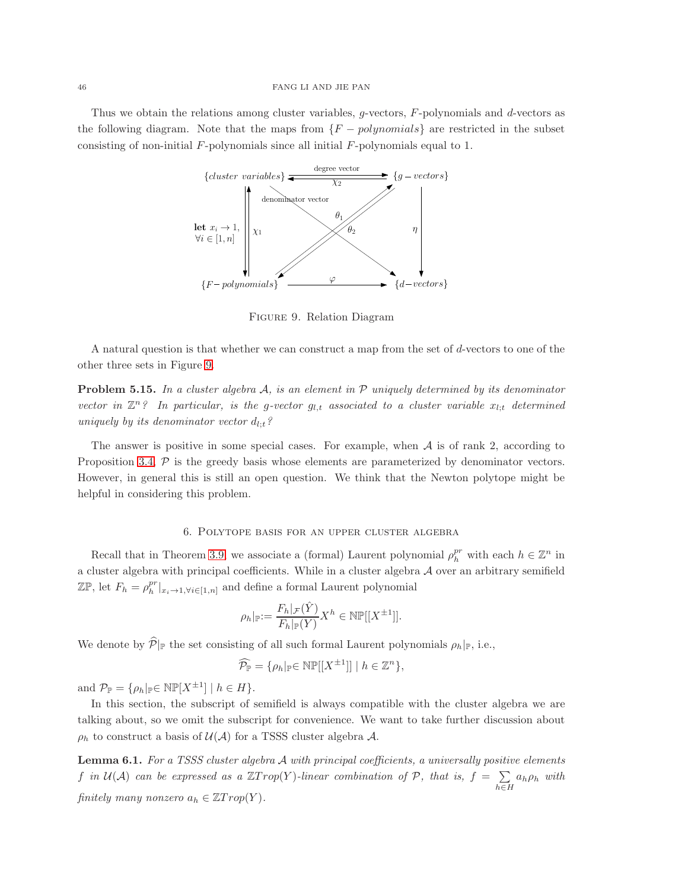#### 46 FANG LI AND JIE PAN

Thus we obtain the relations among cluster variables, g-vectors, F-polynomials and d-vectors as the following diagram. Note that the maps from  ${F - polynomials}$  are restricted in the subset consisting of non-initial  $F$ -polynomials since all initial  $F$ -polynomials equal to 1.



<span id="page-45-1"></span>Figure 9. Relation Diagram

A natural question is that whether we can construct a map from the set of d-vectors to one of the other three sets in Figure [9.](#page-45-1)

**Problem 5.15.** In a cluster algebra  $A$ , is an element in  $P$  uniquely determined by its denominator vector in  $\mathbb{Z}^n$ ? In particular, is the g-vector  $g_{l,t}$  associated to a cluster variable  $x_{l,t}$  determined uniquely by its denominator vector  $d_{l;t}$ ?

The answer is positive in some special cases. For example, when  $A$  is of rank 2, according to Proposition [3.4,](#page-18-0)  $P$  is the greedy basis whose elements are parameterized by denominator vectors. However, in general this is still an open question. We think that the Newton polytope might be helpful in considering this problem.

# 6. Polytope basis for an upper cluster algebra

<span id="page-45-0"></span>Recall that in Theorem [3.9,](#page-22-0) we associate a (formal) Laurent polynomial  $\rho_h^{pr}$  with each  $h \in \mathbb{Z}^n$  in a cluster algebra with principal coefficients. While in a cluster algebra  $A$  over an arbitrary semifield  $\mathbb{Z}\mathbb{P}$ , let  $F_h = \rho_h^{pr}|_{x_i \to 1, \forall i \in [1,n]}$  and define a formal Laurent polynomial

$$
\rho_h|_{\mathbb{P}} := \frac{F_h|_{\mathcal{F}}(\hat{Y})}{F_h|_{\mathbb{P}}(Y)} X^h \in \mathbb{NP}[[X^{\pm 1}]].
$$

We denote by  $\widehat{\mathcal{P}}|_{\mathbb{P}}$  the set consisting of all such formal Laurent polynomials  $\rho_h|_{\mathbb{P}}$ , i.e.,

$$
\widehat{\mathcal{P}_{\mathbb{P}}} = \{ \rho_h |_{\mathbb{P}} \in \mathbb{NP}[[X^{\pm 1}]] \mid h \in \mathbb{Z}^n \},
$$

and  $\mathcal{P}_{\mathbb{P}} = {\rho_h|_{\mathbb{P}}} \in \mathbb{NP}[X^{\pm 1}] \mid h \in H$ .

In this section, the subscript of semifield is always compatible with the cluster algebra we are talking about, so we omit the subscript for convenience. We want to take further discussion about  $\rho_h$  to construct a basis of  $\mathcal{U}(\mathcal{A})$  for a TSSS cluster algebra  $\mathcal{A}$ .

<span id="page-45-2"></span>**Lemma 6.1.** For a TSSS cluster algebra  $A$  with principal coefficients, a universally positive elements f in  $\mathcal{U}(\mathcal{A})$  can be expressed as a  $\mathbb{Z}Trop(Y)$ -linear combination of  $\mathcal{P}$ , that is,  $f = \sum$  $h\in H$  $a_h \rho_h$  with finitely many nonzero  $a_h \in \mathbb{Z}$ Trop(Y).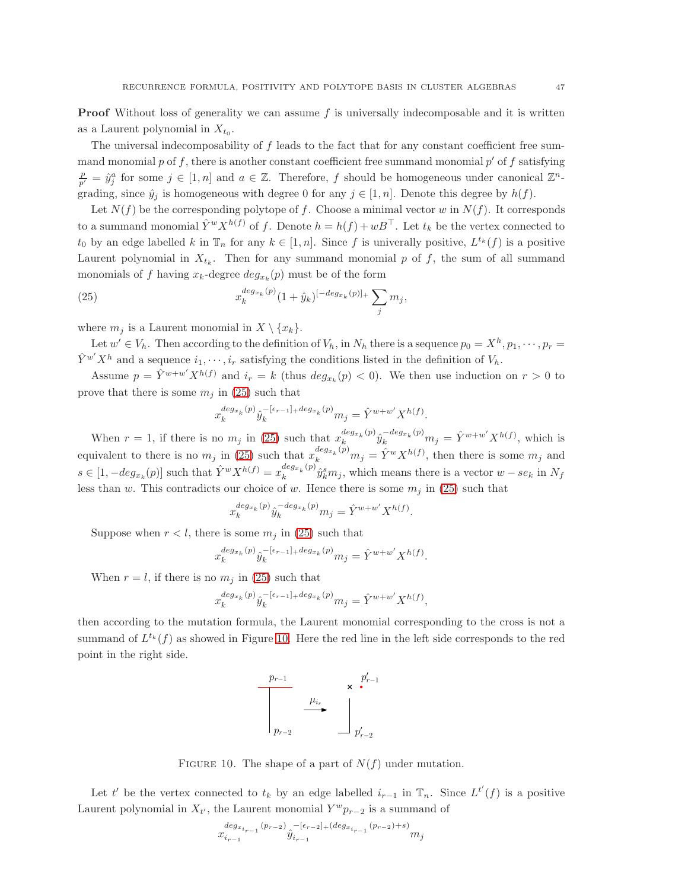**Proof** Without loss of generality we can assume  $f$  is universally indecomposable and it is written as a Laurent polynomial in  $X_{t_0}$ .

The universal indecomposability of f leads to the fact that for any constant coefficient free summand monomial p of f, there is another constant coefficient free summand monomial  $p'$  of f satisfying  $\frac{p}{p'} = \hat{y}_j^a$  for some  $j \in [1, n]$  and  $a \in \mathbb{Z}$ . Therefore, f should be homogeneous under canonical  $\mathbb{Z}^n$ grading, since  $\hat{y}_j$  is homogeneous with degree 0 for any  $j \in [1, n]$ . Denote this degree by  $h(f)$ .

Let  $N(f)$  be the corresponding polytope of f. Choose a minimal vector w in  $N(f)$ . It corresponds to a summand monomial  $\hat{Y}^w X^{h(f)}$  of f. Denote  $h = h(f) + wB^{\top}$ . Let  $t_k$  be the vertex connected to  $t_0$  by an edge labelled k in  $\mathbb{T}_n$  for any  $k \in [1, n]$ . Since f is univerally positive,  $L^{t_k}(f)$  is a positive Laurent polynomial in  $X_{t_k}$ . Then for any summand monomial p of f, the sum of all summand monomials of f having  $x_k$ -degree  $deg_{x_k}(p)$  must be of the form

(25) 
$$
x_k^{deg_{x_k}(p)}(1+\hat{y}_k)^{[-deg_{x_k}(p)]_+} \sum_j m_j,
$$

where  $m_j$  is a Laurent monomial in  $X \setminus \{x_k\}.$ 

Let  $w' \in V_h$ . Then according to the definition of  $V_h$ , in  $N_h$  there is a sequence  $p_0 = X^h, p_1, \dots, p_r =$  $\hat{Y}^{w'}X^h$  and a sequence  $i_1, \dots, i_r$  satisfying the conditions listed in the definition of  $V_h$ .

Assume  $p = \hat{Y}^{w+w'} X^{h(f)}$  and  $i_r = k$  (thus  $deg_{x_k}(p) < 0$ ). We then use induction on  $r > 0$  to prove that there is some  $m_j$  in [\(25\)](#page-46-0) such that

<span id="page-46-0"></span>
$$
x_k^{deg_{x_k}(p)}\hat{y}_k^{-[\epsilon_{r-1}]+deg_{x_k}(p)}m_j=\hat{Y}^{w+w'}X^{h(f)}.
$$

When  $r = 1$ , if there is no  $m_j$  in [\(25\)](#page-46-0) such that  $x_k^{deg_{x_k}(p)}$  $\int_{k}^{deg_{x_k}(p)} \hat{y}_{k}^{-deg_{x_k}(p)} m_j = \hat{Y}^{w+w'} X^{h(f)},$  which is equivalent to there is no  $m_j$  in [\(25\)](#page-46-0) such that  $x_k^{deg_{x_k}(p)}m_j = \hat{Y}^w X^{h(f)}$ , then there is some  $m_j$  and  $s \in [1, -deg_{x_k}(p)]$  such that  $\hat{Y}^w X^{h(f)} = x_k^{deg_{x_k}(p)}$  $\int_k^{deg_{x_k}(p)} \hat{y}_k^s m_j$ , which means there is a vector  $w - s e_k$  in  $N_f$ less than w. This contradicts our choice of w. Hence there is some  $m_i$  in [\(25\)](#page-46-0) such that

$$
x_k^{deg_{x_k}(p)}\hat{y}_k^{-deg_{x_k}(p)}m_j = \hat{Y}^{w+w'}X^{h(f)}.
$$

Suppose when  $r < l$ , there is some  $m<sub>i</sub>$  in [\(25\)](#page-46-0) such that

$$
x_k^{deg_{x_k}(p)}\hat{y}_k^{-[\epsilon_{r-1}]+deg_{x_k}(p)}m_j=\hat{Y}^{w+w'}X^{h(f)}.
$$

When  $r = l$ , if there is no  $m<sub>j</sub>$  in [\(25\)](#page-46-0) such that

$$
x_k^{deg_{x_k}(p)}\hat{y}_k^{-[\epsilon_{r-1}]+deg_{x_k}(p)}m_j = \hat{Y}^{w+w'}X^{h(f)},
$$

then according to the mutation formula, the Laurent monomial corresponding to the cross is not a summand of  $L^{t_k}(f)$  as showed in Figure [10.](#page-46-1) Here the red line in the left side corresponds to the red point in the right side.



FIGURE 10. The shape of a part of  $N(f)$  under mutation.

Let t' be the vertex connected to  $t_k$  by an edge labelled  $i_{r-1}$  in  $\mathbb{T}_n$ . Since  $L^{t'}(f)$  is a positive Laurent polynomial in  $X_{t'}$ , the Laurent monomial  $Y^{w}p_{r-2}$  is a summand of

<span id="page-46-1"></span>
$$
x_{i_{r-1}}^{\deg_{x_{i_{r-1}}}(p_{r-2})} \hat{y}_{i_{r-1}}^{[-\epsilon_{r-2}]_+ (\deg_{x_{i_{r-1}}}(p_{r-2})+s)} m_j
$$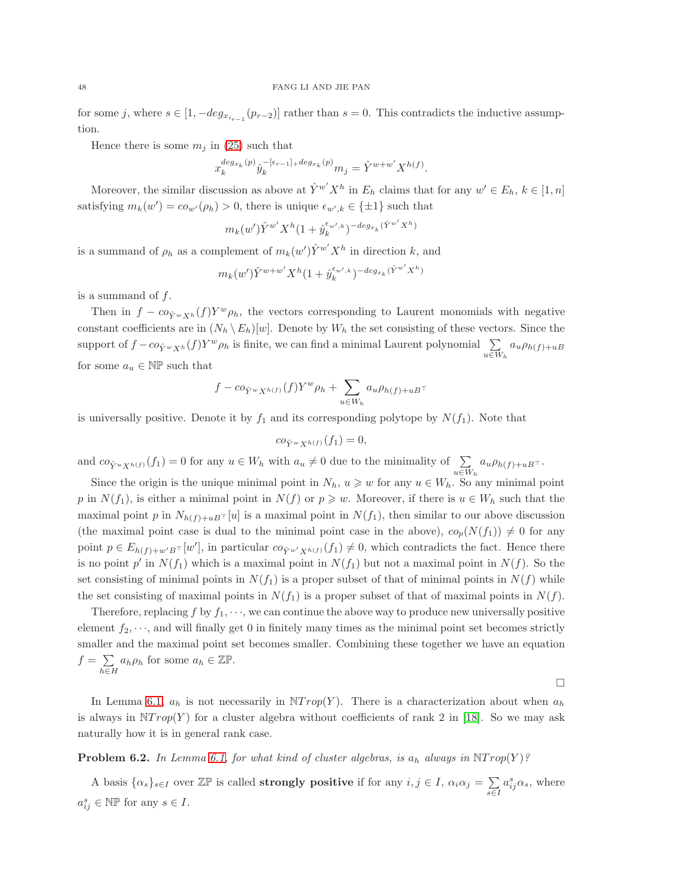for some j, where  $s \in [1, -deg_{x_{i_{r-1}}}(p_{r-2})]$  rather than  $s = 0$ . This contradicts the inductive assumption.

Hence there is some  $m_j$  in [\(25\)](#page-46-0) such that

$$
x_k^{deg_{x_k}(p)}\hat{y}_k^{-[\epsilon_{r-1}]+deg_{x_k}(p)}m_j=\hat{Y}^{w+w'}X^{h(f)}.
$$

Moreover, the similar discussion as above at  $\hat{Y}^{w'}X^h$  in  $E_h$  claims that for any  $w' \in E_h$ ,  $k \in [1, n]$ satisfying  $m_k(w') = c o_{w'}(\rho_h) > 0$ , there is unique  $\epsilon_{w',k} \in {\pm 1}$  such that

$$
m_k(w') \hat{Y}^{w'}X^h(1+\hat{y}_k^{\epsilon_{w',k}})^{-deg_{x_k}(\hat{Y}^{w'}X^h)}
$$

is a summand of  $\rho_h$  as a complement of  $m_k(w')\hat{Y}^{w'}X^h$  in direction k, and

$$
m_k(w')\hat{Y}^{w+w'}X^h(1+\hat{y}_k^{\epsilon_{w',k}})^{-deg_{x_k}(\hat{Y}^{w'}X^h)}
$$

is a summand of  $f$ .

Then in  $f - c \circ_{\hat{Y}^w X^h}(f) Y^w \rho_h$ , the vectors corresponding to Laurent monomials with negative constant coefficients are in  $(N_h \backslash E_h)[w]$ . Denote by  $W_h$  the set consisting of these vectors. Since the support of  $f - co_{\hat{Y}^w X^h}(f) Y^w \rho_h$  is finite, we can find a minimal Laurent polynomial  $\sum_{\alpha}$  $u \in W_h$  $a_u \rho_{h(f)+uB}$ for some  $a_u \in \mathbb{NP}$  such that

$$
f - c o_{\hat{Y}^w X^{h(f)}}(f) Y^w \rho_h + \sum_{u \in W_h} a_u \rho_{h(f) + uB} \tau
$$

is universally positive. Denote it by  $f_1$  and its corresponding polytope by  $N(f_1)$ . Note that

$$
co_{\hat{Y}^w X^{h(f)}}(f_1) = 0,
$$

and  $co_{\hat{Y}^u X^{h(f)}}(f_1) = 0$  for any  $u \in W_h$  with  $a_u \neq 0$  due to the minimality of  $\sum_{u \in W_h}$  $a_u \rho_{h(f)+uB}$ <sup>+</sup>

Since the origin is the unique minimal point in  $N_h$ ,  $u \geq w$  for any  $u \in W_h$ . So any minimal point p in  $N(f_1)$ , is either a minimal point in  $N(f)$  or  $p \geq w$ . Moreover, if there is  $u \in W_h$  such that the maximal point p in  $N_{h(f)+uB}$ ⊤ [u] is a maximal point in  $N(f_1)$ , then similar to our above discussion (the maximal point case is dual to the minimal point case in the above),  $co_p(N(f_1)) \neq 0$  for any point  $p \in E_{h(f)+w'B}$ <sup> $\top$ </sup>[*w'*], in particular  $co_{\hat{Y}^{w'}X^{h(f)}}(f_1) \neq 0$ , which contradicts the fact. Hence there is no point  $p'$  in  $N(f_1)$  which is a maximal point in  $N(f_1)$  but not a maximal point in  $N(f)$ . So the set consisting of minimal points in  $N(f_1)$  is a proper subset of that of minimal points in  $N(f)$  while the set consisting of maximal points in  $N(f_1)$  is a proper subset of that of maximal points in  $N(f)$ .

Therefore, replacing f by  $f_1, \dots$ , we can continue the above way to produce new universally positive element  $f_2, \dots$ , and will finally get 0 in finitely many times as the minimal point set becomes strictly smaller and the maximal point set becomes smaller. Combining these together we have an equation  $f = \sum$  $h\in H$  $a_h \rho_h$  for some  $a_h \in \mathbb{Z} \mathbb{P}$ .

In Lemma [6.1,](#page-45-2)  $a_h$  is not necessarily in  $\mathbb{N}Trop(Y)$ . There is a characterization about when  $a_h$ is always in  $\mathbb{N}Trop(Y)$  for a cluster algebra without coefficients of rank 2 in [\[18\]](#page-52-16). So we may ask naturally how it is in general rank case.

 $\Box$ 

# **Problem 6.2.** In Lemma [6.1,](#page-45-2) for what kind of cluster algebras, is  $a_h$  always in  $\text{NTrop}(Y)$ ?

A basis  $\{\alpha_s\}_{s\in I}$  over  $\mathbb{Z}\mathbb{P}$  is called **strongly positive** if for any  $i, j \in I$ ,  $\alpha_i \alpha_j = \sum_{i=1}^n a_i$ s∈I  $a_{ij}^s \alpha_s$ , where  $a_{ij}^s \in \mathbb{NP}$  for any  $s \in I$ .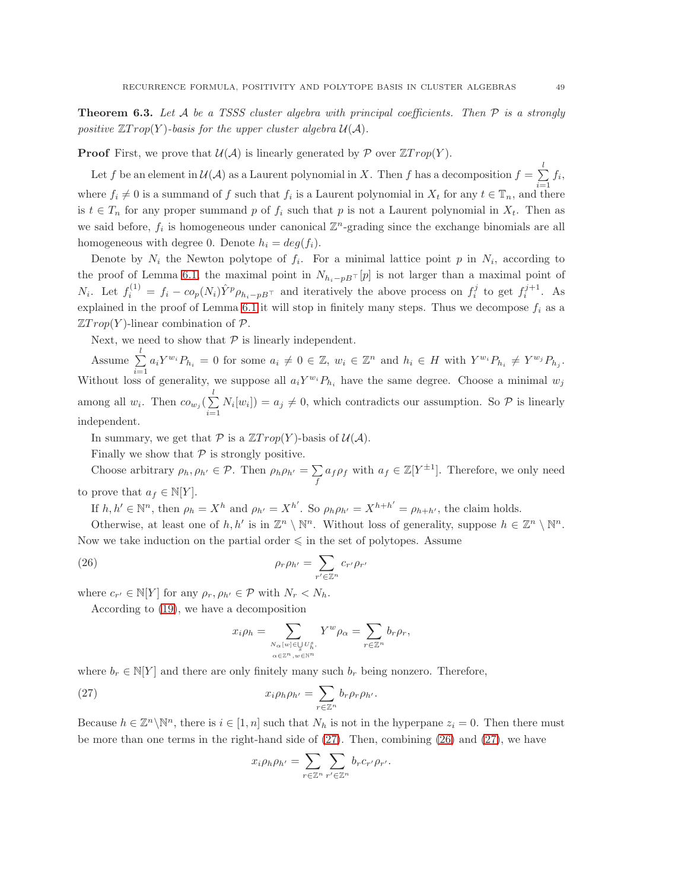<span id="page-48-0"></span>**Theorem 6.3.** Let A be a TSSS cluster algebra with principal coefficients. Then  $P$  is a strongly positive  $\mathbb{Z} Trop(Y)$ -basis for the upper cluster algebra  $\mathcal{U}(\mathcal{A})$ .

**Proof** First, we prove that  $\mathcal{U}(\mathcal{A})$  is linearly generated by  $\mathcal{P}$  over  $\mathbb{Z}Trop(Y)$ .

Let f be an element in  $\mathcal{U}(\mathcal{A})$  as a Laurent polynomial in X. Then f has a decomposition  $f = \sum^l$  $\sum_{i=1} f_i,$ where  $f_i \neq 0$  is a summand of f such that  $f_i$  is a Laurent polynomial in  $X_t$  for any  $t \in \mathbb{T}_n$ , and there is  $t \in T_n$  for any proper summand p of  $f_i$  such that p is not a Laurent polynomial in  $X_t$ . Then as we said before,  $f_i$  is homogeneous under canonical  $\mathbb{Z}^n$ -grading since the exchange binomials are all homogeneous with degree 0. Denote  $h_i = deg(f_i)$ .

Denote by  $N_i$  the Newton polytope of  $f_i$ . For a minimal lattice point p in  $N_i$ , according to the proof of Lemma [6.1,](#page-45-2) the maximal point in  $N_{h_i-pB\uparrow}[p]$  is not larger than a maximal point of  $N_i$ . Let  $f_i^{(1)} = f_i - co_p(N_i) \hat{Y}^p \rho_{h_i-pB}$  and iteratively the above process on  $f_i^j$  to get  $f_i^{j+1}$ . As explained in the proof of Lemma [6.1](#page-45-2) it will stop in finitely many steps. Thus we decompose  $f_i$  as a  $\mathbb{Z}Trop(Y)$ -linear combination of  $\mathcal{P}$ .

Next, we need to show that  $P$  is linearly independent.

Assume  $\sum_{l=1}^{l}$  $\sum_{i=1} a_i Y^{w_i} P_{h_i} = 0$  for some  $a_i \neq 0 \in \mathbb{Z}$ ,  $w_i \in \mathbb{Z}^n$  and  $h_i \in H$  with  $Y^{w_i} P_{h_i} \neq Y^{w_j} P_{h_j}$ . Without loss of generality, we suppose all  $a_i Y^{w_i} P_{h_i}$  have the same degree. Choose a minimal  $w_j$ among all  $w_i$ . Then  $co_{w_j}(\sum_{i=1}^l$  $\sum_{i=1} N_i[w_i]$  =  $a_j \neq 0$ , which contradicts our assumption. So  $P$  is linearly independent.

In summary, we get that  $P$  is a  $\mathbb{Z}Trop(Y)$ -basis of  $\mathcal{U}(\mathcal{A})$ .

Finally we show that  $P$  is strongly positive.

Choose arbitrary  $\rho_h, \rho_{h'} \in \mathcal{P}$ . Then  $\rho_h \rho_{h'} = \sum$  $\sum f a_f \rho_f$  with  $a_f \in \mathbb{Z}[Y^{\pm 1}]$ . Therefore, we only need

to prove that  $a_f \in \mathbb{N}[Y]$ .

If  $h, h' \in \mathbb{N}^n$ , then  $\rho_h = X^h$  and  $\rho_{h'} = X^{h'}$ . So  $\rho_h \rho_{h'} = X^{h+h'} = \rho_{h+h'}$ , the claim holds.

Otherwise, at least one of  $h, h'$  is in  $\mathbb{Z}^n \setminus \mathbb{N}^n$ . Without loss of generality, suppose  $h \in \mathbb{Z}^n \setminus \mathbb{N}^n$ . Now we take induction on the partial order  $\leq$  in the set of polytopes. Assume

(26) 
$$
\rho_r \rho_{h'} = \sum_{r' \in \mathbb{Z}^n} c_{r'} \rho_{r'}
$$

where  $c_{r'} \in N[Y]$  for any  $\rho_r, \rho_{h'} \in \mathcal{P}$  with  $N_r < N_h$ .

According to [\(19\)](#page-25-0), we have a decomposition

<span id="page-48-2"></span>
$$
x_i \rho_h = \sum_{\substack{N_\alpha[w] \in \bigcup_{s} U_h^s, \\ \alpha \in \mathbb{Z}^n, w \in \mathbb{N}^n}} Y^w \rho_\alpha = \sum_{r \in \mathbb{Z}^n} b_r \rho_r,
$$

where  $b_r \in \mathbb{N}[Y]$  and there are only finitely many such  $b_r$  being nonzero. Therefore,

(27) 
$$
x_i \rho_h \rho_{h'} = \sum_{r \in \mathbb{Z}^n} b_r \rho_r \rho_{h'}.
$$

Because  $h \in \mathbb{Z}^n \setminus \mathbb{N}^n$ , there is  $i \in [1, n]$  such that  $N_h$  is not in the hyperpane  $z_i = 0$ . Then there must be more than one terms in the right-hand side of [\(27\)](#page-48-1). Then, combining [\(26\)](#page-48-2) and [\(27\)](#page-48-1), we have

<span id="page-48-1"></span>
$$
x_i \rho_h \rho_{h'} = \sum_{r \in \mathbb{Z}^n} \sum_{r' \in \mathbb{Z}^n} b_r c_{r'} \rho_{r'}.
$$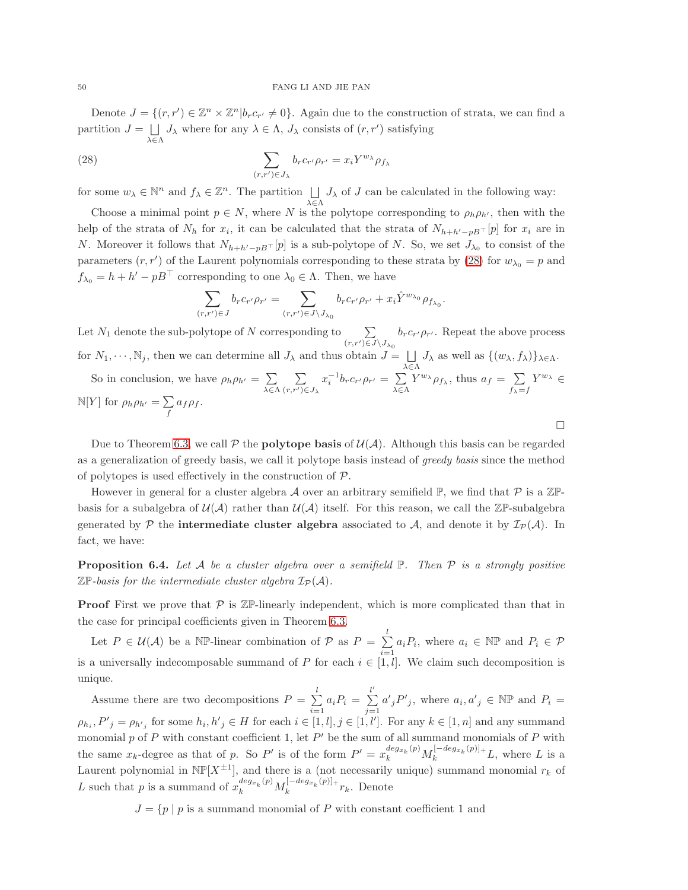#### 50 FANG LI AND JIE PAN

Denote  $J = \{(r, r') \in \mathbb{Z}^n \times \mathbb{Z}^n | b_r c_{r'} \neq 0\}$ . Again due to the construction of strata, we can find a partition  $J = \Box$ λ∈Λ  $J_{\lambda}$  where for any  $\lambda \in \Lambda$ ,  $J_{\lambda}$  consists of  $(r, r')$  satisfying

(28) 
$$
\sum_{(r,r')\in J_{\lambda}} b_r c_{r'} \rho_{r'} = x_i Y^{w_{\lambda}} \rho_{f_{\lambda}}
$$

for some  $w_{\lambda} \in \mathbb{N}^n$  and  $f_{\lambda} \in \mathbb{Z}^n$ . The partition  $\Box$  $J_{\lambda}$  of J can be calculated in the following way:

λ∈Λ Choose a minimal point  $p \in N$ , where N is the polytope corresponding to  $\rho_h \rho_{h'}$ , then with the help of the strata of  $N_h$  for  $x_i$ , it can be calculated that the strata of  $N_{h+h'-pB}$ ⊤ [p] for  $x_i$  are in N. Moreover it follows that  $N_{h+h'-pB}$ ⊤ [p] is a sub-polytope of N. So, we set  $J_{\lambda_0}$  to consist of the parameters  $(r, r')$  of the Laurent polynomials corresponding to these strata by [\(28\)](#page-49-0) for  $w_{\lambda_0} = p$  and  $f_{\lambda_0} = h + h' - pB^{\dagger}$  corresponding to one  $\lambda_0 \in \Lambda$ . Then, we have

<span id="page-49-0"></span>
$$
\sum_{(r,r')\in J}b_r c_{r'} \rho_{r'}=\sum_{(r,r')\in J\backslash J_{\lambda_0}}b_r c_{r'} \rho_{r'}+x_i\hat Y^{w_{\lambda_0}}\rho_{f_{\lambda_0}}.
$$

Let  $N_1$  denote the sub-polytope of N corresponding to  $\sum$  $(r,r')\!\in\!J\backslash J_{\lambda_0}$  $b_r c_{r'} \rho_{r'}$ . Repeat the above process for  $N_1, \dots, N_j$ , then we can determine all  $J_\lambda$  and thus obtain  $J = \bigsqcup J_\lambda$  as well as  $\{(w_\lambda, f_\lambda)\}_{\lambda \in \Lambda}$ .

 $λ$  $∈$  $Λ$ So in conclusion, we have  $\rho_h \rho_{h'} = \sum$  $\lambda \in \Lambda$  $\sum$  $(r,r')\!\in\!J_\lambda$  $x_i^{-1}b_r c_{r'} \rho_{r'} = \sum$  $\lambda \in \Lambda$  $Y^{w_{\lambda}} \rho_{f_{\lambda}},$  thus  $a_f = \sum$  $f_{\lambda}=f$  $Y^{w_{\lambda}} \in$  $\mathbb{N}[Y]$  for  $\rho_h \rho_{h'} = \sum$  $\sum_f a_f \rho_f.$ 

Due to Theorem [6.3,](#page-48-0) we call  $P$  the **polytope basis** of  $\mathcal{U}(\mathcal{A})$ . Although this basis can be regarded as a generalization of greedy basis, we call it polytope basis instead of *greedy basis* since the method of polytopes is used effectively in the construction of  $P$ .

 $\Box$ 

However in general for a cluster algebra A over an arbitrary semifield  $\mathbb{P}$ , we find that  $\mathcal{P}$  is a  $\mathbb{Z} \mathbb{P}$ basis for a subalgebra of  $\mathcal{U}(\mathcal{A})$  rather than  $\mathcal{U}(\mathcal{A})$  itself. For this reason, we call the  $\mathbb{Z}$ P-subalgebra generated by  $P$  the intermediate cluster algebra associated to  $A$ , and denote it by  $\mathcal{I}_P(A)$ . In fact, we have:

<span id="page-49-1"></span>**Proposition 6.4.** Let A be a cluster algebra over a semifield  $\mathbb{P}$ . Then  $\mathcal{P}$  is a strongly positive  $\mathbb{Z}\mathbb{P}$ -basis for the intermediate cluster algebra  $\mathcal{I}_{\mathcal{P}}(\mathcal{A})$ .

**Proof** First we prove that  $P$  is  $\mathbb{Z}P$ -linearly independent, which is more complicated than that in the case for principal coefficients given in Theorem [6.3.](#page-48-0)

Let  $P \in \mathcal{U}(\mathcal{A})$  be a NP-linear combination of  $\mathcal{P}$  as  $P = \sum_{i=1}^{l}$  $\sum_{i=1} a_i P_i$ , where  $a_i \in \mathbb{NP}$  and  $P_i \in \mathcal{P}$ is a universally indecomposable summand of P for each  $i \in [1, l]$ . We claim such decomposition is unique.

Assume there are two decompositions  $P = \sum_{i=1}^{l}$  $\sum_{i=1}^{l} a_i P_i = \sum_{j=1}^{l'}$  $j=1$  $a'_{j}P'_{j}$ , where  $a_{i}, a'_{j} \in \mathbb{NP}$  and  $P_{i} =$  $\rho_{h_i}, P'_{j} = \rho_{h'_{j}}$  for some  $h_i, h'_{j} \in H$  for each  $i \in [1, l], j \in [1, l']$ . For any  $k \in [1, n]$  and any summand monomial p of P with constant coefficient 1, let  $P'$  be the sum of all summand monomials of P with the same  $x_k$ -degree as that of p. So P' is of the form  $P' = x_k^{deg_{x_k}(p)} M_k^{[-deg_{x_k}(p)]+} L$ , where L is a Laurent polynomial in  $\mathbb{NP}[X^{\pm 1}]$ , and there is a (not necessarily unique) summand monomial  $r_k$  of L such that p is a summand of  $x_k^{deg_{x_k}(p)}M_k^{[-deg_{x_k}(p)]_+}$  $\int_k^{\pi} \frac{deg x_k(p)}{p} + r_k$ . Denote

 $J = \{p \mid p \text{ is a summand monomial of } P \text{ with constant coefficient 1 and} \}$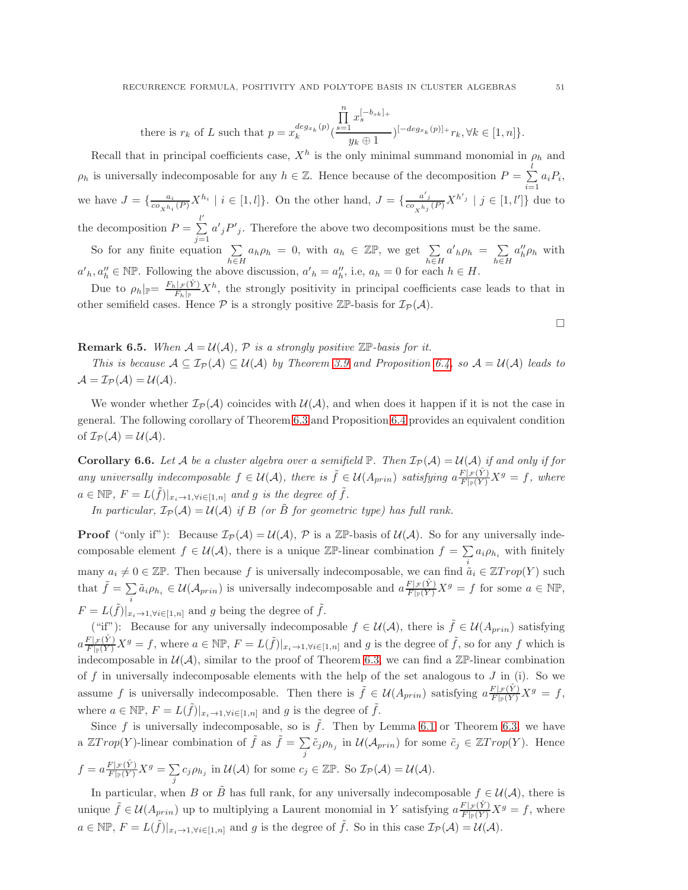there is 
$$
r_k
$$
 of L such that  $p = x_k^{deg_{x_k}(p)} \left( \frac{\prod_{s=1}^n x_s^{[-b_{sk}]_+}}{y_k \oplus 1} \right)^{[-deg_{x_k}(p)]_+} r_k, \forall k \in [1, n] \}.$ 

Recall that in principal coefficients case,  $X^h$  is the only minimal summand monomial in  $\rho_h$  and  $\rho_h$  is universally indecomposable for any  $h \in \mathbb{Z}$ . Hence because of the decomposition  $P = \sum^l$  $\sum_{i=1} a_i P_i,$ we have  $J = \{\frac{a_i}{c o_{X^{h_i}}(P)} X^{h_i} \mid i \in [1, l]\}$ . On the other hand,  $J = \{\frac{a'_j}{c o_{X^{h_j}}(P)} X^{h'_j} \mid j \in [1, l']\}$  due to the decomposition  $P = \sum^{l'}$  $a'_{j}P'_{j}$ . Therefore the above two decompositions must be the same.

 $j=1$ So for any finite equation  $\Sigma$ h∈H  $a_h \rho_h = 0$ , with  $a_h \in \mathbb{Z} \mathbb{P}$ , we get  $\sum$  $h\in H$  $a'_{h}\rho_{h} = \sum$ h∈H  $a''_h \rho_h$  with  $a'_{h}, a''_{h} \in \mathbb{NP}$ . Following the above discussion,  $a'_{h} = a''_{h}$ , i.e,  $a_{h} = 0$  for each  $h \in H$ .

Due to  $\rho_h|_{\mathbb{P}} = \frac{F_h|_{\mathcal{F}}(\hat{Y})}{F_h|_{\mathbb{P}}}$  $\frac{L_F(Y)}{F_h|_{\mathbb{P}}} X^h$ , the strongly positivity in principal coefficients case leads to that in other semifield cases. Hence  $P$  is a strongly positive  $\mathbb{Z}P$ -basis for  $\mathcal{I}_P(\mathcal{A})$ .

 $\Box$ 

# **Remark 6.5.** When  $A = U(A)$ ,  $P$  is a strongly positive  $\mathbb{Z}P$ -basis for it.

This is because  $A \subseteq \mathcal{I}_{\mathcal{P}}(\mathcal{A}) \subseteq \mathcal{U}(\mathcal{A})$  by Theorem [3.9](#page-22-0) and Proposition [6.4,](#page-49-1) so  $\mathcal{A} = \mathcal{U}(\mathcal{A})$  leads to  $\mathcal{A} = \mathcal{I}_{\mathcal{P}}(\mathcal{A}) = \mathcal{U}(\mathcal{A}).$ 

We wonder whether  $\mathcal{I}_{\mathcal{P}}(\mathcal{A})$  coincides with  $\mathcal{U}(\mathcal{A})$ , and when does it happen if it is not the case in general. The following corollary of Theorem [6.3](#page-48-0) and Proposition [6.4](#page-49-1) provides an equivalent condition of  $\mathcal{I}_{\mathcal{P}}(\mathcal{A}) = \mathcal{U}(\mathcal{A}).$ 

<span id="page-50-0"></span>**Corollary 6.6.** Let A be a cluster algebra over a semifield  $\mathbb{P}$ . Then  $\mathcal{I}_{\mathcal{P}}(\mathcal{A}) = \mathcal{U}(\mathcal{A})$  if and only if for any universally indecomposable  $f \in \mathcal{U}(\mathcal{A})$ , there is  $\tilde{f} \in \mathcal{U}(A_{prin})$  satisfying  $a \frac{F | \mathcal{F}(\hat{Y})}{F | \mathcal{F}(Y)} X^g = f$ , where  $a \in \mathbb{NP}, F = L(\tilde{f})|_{x_i \to 1, \forall i \in [1,n]}$  and g is the degree of  $\tilde{f}$ .

In particular,  $\mathcal{I}_{\mathcal{P}}(\mathcal{A}) = \mathcal{U}(\mathcal{A})$  if B (or  $\tilde{B}$  for geometric type) has full rank.

**Proof** ("only if"): Because  $\mathcal{I}_{\mathcal{P}}(\mathcal{A}) = \mathcal{U}(\mathcal{A}), \mathcal{P}$  is a  $\mathbb{Z} \mathbb{P}$ -basis of  $\mathcal{U}(\mathcal{A})$ . So for any universally indecomposable element  $f \in \mathcal{U}(\mathcal{A})$ , there is a unique  $\mathbb{Z}$ P-linear combination  $f = \sum a_i \rho_{h_i}$  with finitely many  $a_i \neq 0 \in \mathbb{Z} \mathbb{P}$ . Then because f is universally indecomposable, we can find  $\tilde{a}_i \in \mathbb{Z} Trop(Y)$  such that  $\tilde{f} = \sum$  $\sum_i \tilde{a}_i \rho_{h_i} \in \mathcal{U}(\mathcal{A}_{prin})$  is universally indecomposable and  $a \frac{F|\mathcal{F}(\hat{Y})}{F|\mathcal{F}(Y)} X^g = f$  for some  $a \in \mathbb{NP}$ ,  $F = L(\tilde{f})|_{x_i \to 1, \forall i \in [1,n]}$  and g being the degree of  $\tilde{f}$ .

("if"): Because for any universally indecomposable  $f \in \mathcal{U}(\mathcal{A})$ , there is  $\tilde{f} \in \mathcal{U}(A_{prin})$  satisfying  $a \frac{F[\mathcal{F}(\hat{Y})]}{F[\mathcal{F}(Y)]} X^g = f$ , where  $a \in \mathbb{NP}, F = L(\tilde{f})|_{x_i \to 1, \forall i \in [1,n]}$  and g is the degree of  $\tilde{f}$ , so for any f which is indecomposable in  $\mathcal{U}(\mathcal{A})$ , similar to the proof of Theorem [6.3,](#page-48-0) we can find a  $\mathbb{Z}P$ -linear combination of f in universally indecomposable elements with the help of the set analogous to  $J$  in (i). So we assume f is universally indecomposable. Then there is  $\tilde{f} \in \mathcal{U}(A_{prin})$  satisfying  $a \frac{F|\mathcal{F}(\hat{Y})}{F|\mathcal{F}(Y)} X^g = f$ , where  $a \in \mathbb{NP}, F = L(\tilde{f})|_{x_i \to 1, \forall i \in [1,n]}$  and g is the degree of  $\tilde{f}$ .

Since f is universally indecomposable, so is  $\tilde{f}$ . Then by Lemma [6.1](#page-45-2) or Theorem [6.3,](#page-48-0) we have a  $\mathbb{Z}Trop(Y)$ -linear combination of  $\tilde{f}$  as  $\tilde{f} = \sum$  $\sum_{j} \tilde{c}_{j} \rho_{h_j}$  in  $\mathcal{U}(\mathcal{A}_{prin})$  for some  $\tilde{c}_{j} \in \mathbb{Z} Trop(Y)$ . Hence  $f = a \frac{F|\mathcal{F}(\hat{Y})}{F|\mathcal{F}(Y)} X^g = \sum_i$  $\sum_j c_j \rho_{h_j}$  in  $\mathcal{U}(\mathcal{A})$  for some  $c_j \in \mathbb{ZP}$ . So  $\mathcal{I}_{\mathcal{P}}(\mathcal{A}) = \mathcal{U}(\mathcal{A})$ .

In particular, when B or  $\tilde{B}$  has full rank, for any universally indecomposable  $f \in \mathcal{U}(\mathcal{A})$ , there is unique  $\tilde{f} \in \mathcal{U}(A_{prin})$  up to multiplying a Laurent monomial in Y satisfying  $a \frac{F |_{\mathcal{F}}(\hat{Y})}{F |_{\mathbb{F}}(\hat{Y})} X^g = f$ , where  $a \in \mathbb{NP}, F = L(\tilde{f})|_{x_i \to 1, \forall i \in [1,n]}$  and g is the degree of  $\tilde{f}$ . So in this case  $\mathcal{I}_{\mathcal{P}}(\mathcal{A}) = \mathcal{U}(\mathcal{A})$ .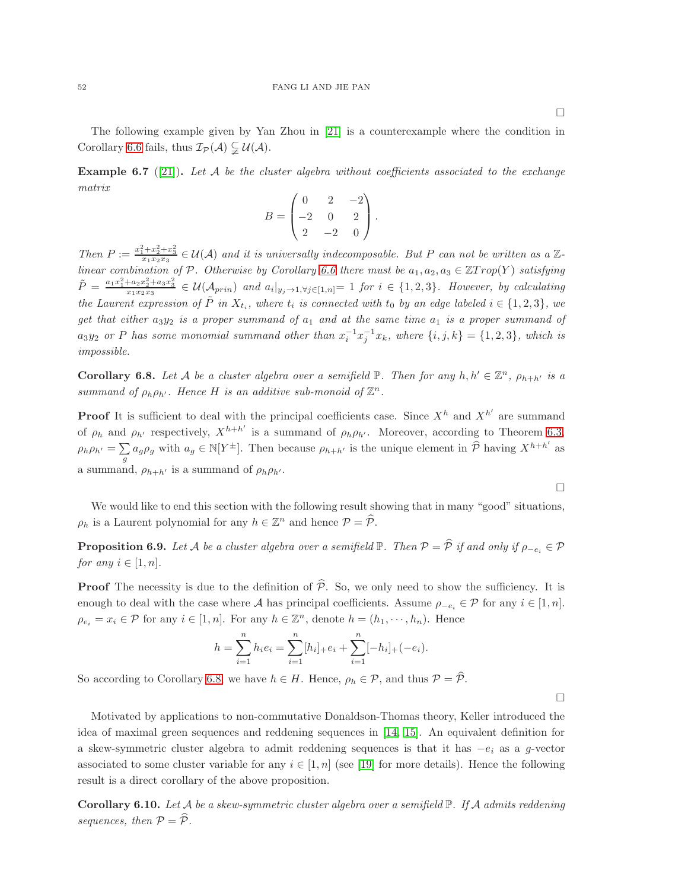The following example given by Yan Zhou in [\[21\]](#page-52-17) is a counterexample where the condition in Corollary [6.6](#page-50-0) fails, thus  $\mathcal{I}_{\mathcal{P}}(\mathcal{A}) \subsetneq \mathcal{U}(\mathcal{A})$ .

**Example 6.7** ([\[21\]](#page-52-17)). Let A be the cluster algebra without coefficients associated to the exchange matrix

$$
B = \begin{pmatrix} 0 & 2 & -2 \\ -2 & 0 & 2 \\ 2 & -2 & 0 \end{pmatrix}.
$$

Then  $P := \frac{x_1^2 + x_2^2 + x_3^2}{x_1 x_2 x_3} \in \mathcal{U}(\mathcal{A})$  and it is universally indecomposable. But P can not be written as a Z-linear combination of P. Otherwise by Corollary [6.6](#page-50-0) there must be  $a_1, a_2, a_3 \in \mathbb{Z}$ Trop(Y) satisfying  $\tilde{P} = \frac{a_1x_1^2 + a_2x_2^2 + a_3x_3^2}{x_1x_2x_3} \in \mathcal{U}(\mathcal{A}_{prin})$  and  $a_i|_{y_j \to 1, \forall j \in [1,n]} = 1$  for  $i \in \{1,2,3\}$ . However, by calculating the Laurent expression of  $\tilde{P}$  in  $X_{t_i}$ , where  $t_i$  is connected with  $t_0$  by an edge labeled  $i \in \{1,2,3\}$ , we get that either  $a_3y_2$  is a proper summand of  $a_1$  and at the same time  $a_1$  is a proper summand of  $a_3y_2$  or P has some monomial summand other than  $x_i^{-1}x_j^{-1}x_k$ , where  $\{i, j, k\} = \{1, 2, 3\}$ , which is impossible.

<span id="page-51-0"></span>**Corollary 6.8.** Let A be a cluster algebra over a semifield  $\mathbb{P}$ . Then for any  $h, h' \in \mathbb{Z}^n$ ,  $\rho_{h+h'}$  is a summand of  $\rho_h \rho_{h'}$ . Hence H is an additive sub-monoid of  $\mathbb{Z}^n$ .

**Proof** It is sufficient to deal with the principal coefficients case. Since  $X^h$  and  $X^{h'}$  are summand of  $\rho_h$  and  $\rho_{h'}$  respectively,  $X^{h+h'}$  is a summand of  $\rho_h \rho_{h'}$ . Moreover, according to Theorem [6.3,](#page-48-0)  $\rho_h \rho_{h'} = \sum$  $\sum_{g} a_g \rho_g$  with  $a_g \in N[Y^{\pm}]$ . Then because  $\rho_{h+h'}$  is the unique element in  $\hat{\mathcal{P}}$  having  $X^{h+h'}$  as a summand,  $\rho_{h+h'}$  is a summand of  $\rho_h \rho_{h'}$ .

We would like to end this section with the following result showing that in many "good" situations,  $\rho_h$  is a Laurent polynomial for any  $h \in \mathbb{Z}^n$  and hence  $\mathcal{P} = \widehat{\mathcal{P}}$ .

**Proposition 6.9.** Let A be a cluster algebra over a semifield  $\mathbb{P}$ . Then  $\mathcal{P} = \widehat{\mathcal{P}}$  if and only if  $\rho_{-e_i} \in \mathcal{P}$ for any  $i \in [1, n]$ .

**Proof** The necessity is due to the definition of  $\hat{\mathcal{P}}$ . So, we only need to show the sufficiency. It is enough to deal with the case where A has principal coefficients. Assume  $\rho_{-e_i} \in \mathcal{P}$  for any  $i \in [1, n]$ .  $\rho_{e_i} = x_i \in \mathcal{P}$  for any  $i \in [1, n]$ . For any  $h \in \mathbb{Z}^n$ , denote  $h = (h_1, \dots, h_n)$ . Hence

$$
h = \sum_{i=1}^{n} h_i e_i = \sum_{i=1}^{n} [h_i]_+ e_i + \sum_{i=1}^{n} [-h_i]_+ (-e_i).
$$

So according to Corollary [6.8,](#page-51-0) we have  $h \in H$ . Hence,  $\rho_h \in \mathcal{P}$ , and thus  $\mathcal{P} = \hat{\mathcal{P}}$ .

 $\Box$ 

 $\Box$ 

Motivated by applications to non-commutative Donaldson-Thomas theory, Keller introduced the idea of maximal green sequences and reddening sequences in [\[14,](#page-52-18) [15\]](#page-52-19). An equivalent definition for a skew-symmetric cluster algebra to admit reddening sequences is that it has  $-e_i$  as a g-vector associated to some cluster variable for any  $i \in [1, n]$  (see [\[19\]](#page-52-20) for more details). Hence the following result is a direct corollary of the above proposition.

**Corollary 6.10.** Let A be a skew-symmetric cluster algebra over a semifield  $\mathbb{P}$ . If A admits reddening sequences, then  $P = \widehat{P}$ .

 $\Box$